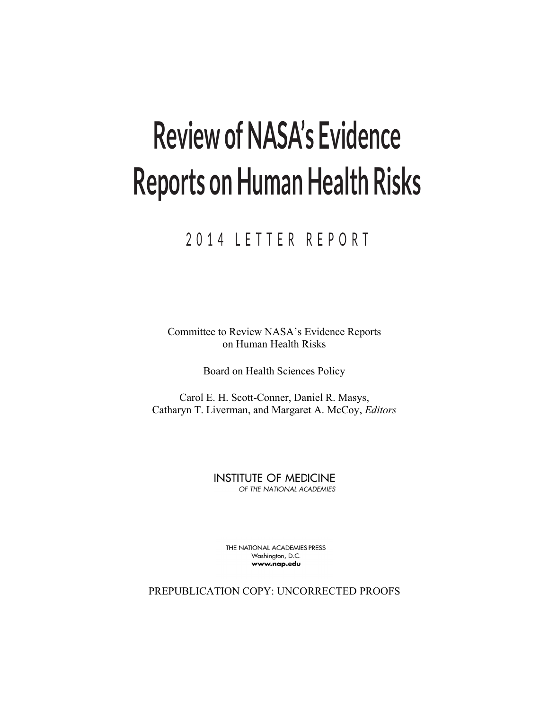# **Re eports on Hu uman Healt h Risk sReview w of N NASA's s Evide ence**

# 2014 LETTER REPORT

Committee to Review NASA's Evidence Reports on Hum man Health R Risks

Board on Health Sciences Policy

Catharyn T. Liverman, and Margaret A. McCoy, *Editors* Carol E. H. Scott-Conner, Daniel R. Masys,

> **INSTITUTE OF MEDICINE** OF THE NATIONAL ACADEMIES

THE NATIONAL ACADEMIES PRESS Washington, D.C. www.nap.edu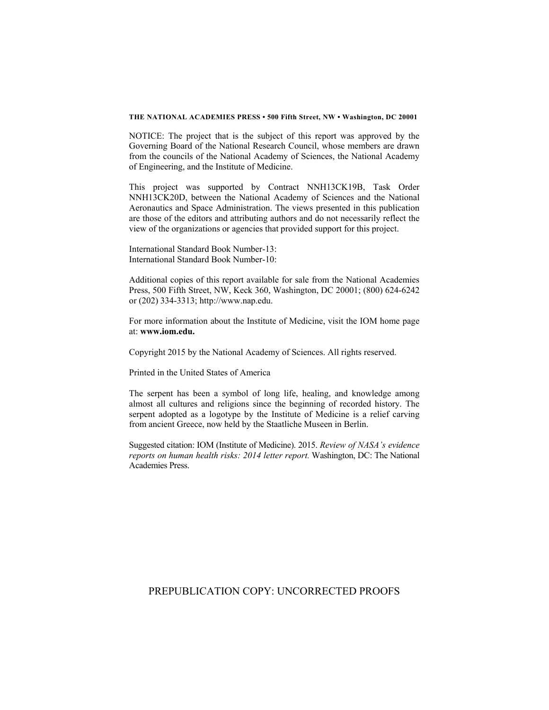#### **THE NATIONAL ACADEMIES PRESS • 500 Fifth Street, NW • Washington, DC 20001**

NOTICE: The project that is the subject of this report was approved by the Governing Board of the National Research Council, whose members are drawn from the councils of the National Academy of Sciences, the National Academy of Engineering, and the Institute of Medicine.

This project was supported by Contract NNH13CK19B, Task Order NNH13CK20D, between the National Academy of Sciences and the National Aeronautics and Space Administration. The views presented in this publication are those of the editors and attributing authors and do not necessarily reflect the view of the organizations or agencies that provided support for this project.

International Standard Book Number-13: International Standard Book Number-10:

Additional copies of this report available for sale from the National Academies Press, 500 Fifth Street, NW, Keck 360, Washington, DC 20001; (800) 624-6242 or (202) 334-3313; http://www.nap.edu.

For more information about the Institute of Medicine, visit the IOM home page at: **www.iom.edu.** 

Copyright 2015 by the National Academy of Sciences. All rights reserved.

Printed in the United States of America

The serpent has been a symbol of long life, healing, and knowledge among almost all cultures and religions since the beginning of recorded history. The serpent adopted as a logotype by the Institute of Medicine is a relief carving from ancient Greece, now held by the Staatliche Museen in Berlin.

Suggested citation: IOM (Institute of Medicine). 2015. *Review of NASA's evidence reports on human health risks: 2014 letter report.* Washington, DC: The National Academies Press.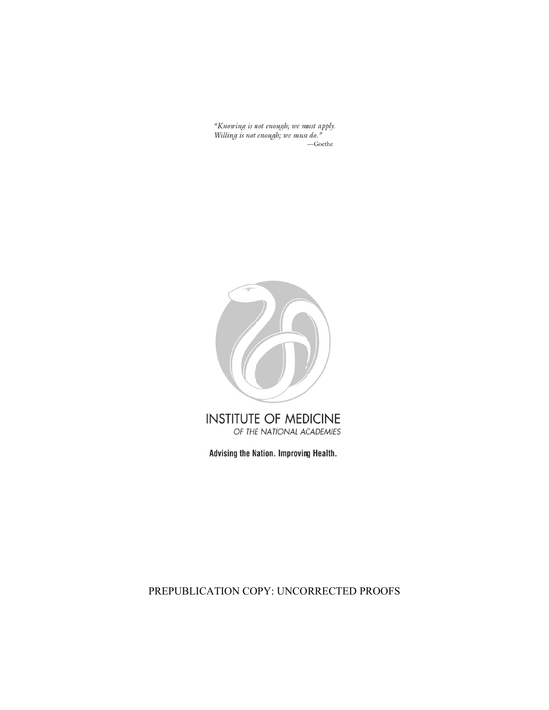"Knowing is not enough; we must apply.<br>Willing is not enough; we must do." -Goethe



Advising the Nation. Improving Health.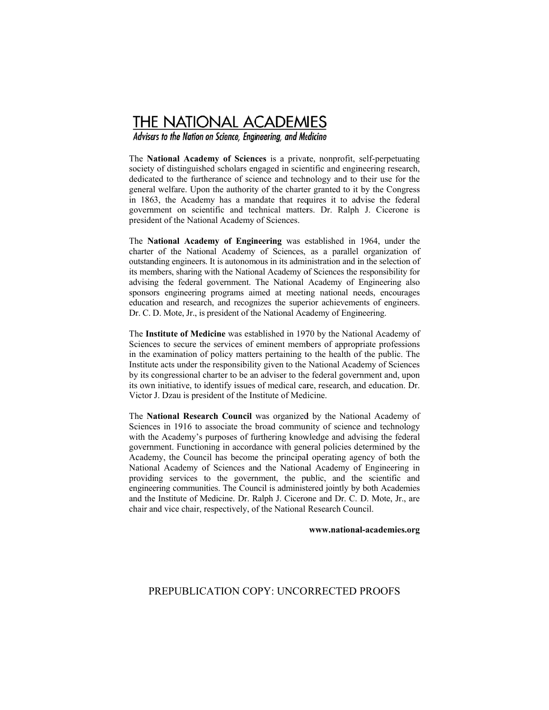# THE NATIONAL ACADEMIES

Advisers to the Nation on Science, Engineering, and Medicine

The National Academy of Sciences is a private, nonprofit, self-perpetuating society of distinguished scholars engaged in scientific and engineering research, dedicated to the furtherance of science and technology and to their use for the general welfare. Upon the authority of the charter granted to it by the Congress in 1863, the Academy has a mandate that requires it to advise the federal government on scientific and technical matters. Dr. Ralph J. Cicerone is president of the National Academy of Sciences.

The National Academy of Engineering was established in 1964, under the charter of the National Academy of Sciences, as a parallel organization of outstanding engineers. It is autonomous in its administration and in the selection of its members, sharing with the National Academy of Sciences the responsibility for advising the federal government. The National Academy of Engineering also sponsors engineering programs aimed at meeting national needs, encourages education and research, and recognizes the superior achievements of engineers. Dr. C. D. Mote, Jr., is president of the National Academy of Engineering.

The Institute of Medicine was established in 1970 by the National Academy of Sciences to secure the services of eminent members of appropriate professions in the examination of policy matters pertaining to the health of the public. The Institute acts under the responsibility given to the National Academy of Sciences by its congressional charter to be an adviser to the federal government and, upon its own initiative, to identify issues of medical care, research, and education. Dr. Victor J. Dzau is president of the Institute of Medicine.

The National Research Council was organized by the National Academy of Sciences in 1916 to associate the broad community of science and technology with the Academy's purposes of furthering knowledge and advising the federal government. Functioning in accordance with general policies determined by the Academy, the Council has become the principal operating agency of both the National Academy of Sciences and the National Academy of Engineering in providing services to the government, the public, and the scientific and engineering communities. The Council is administered jointly by both Academies and the Institute of Medicine. Dr. Ralph J. Cicerone and Dr. C. D. Mote, Jr., are chair and vice chair, respectively, of the National Research Council.

#### **www.nationa al-academies.o org**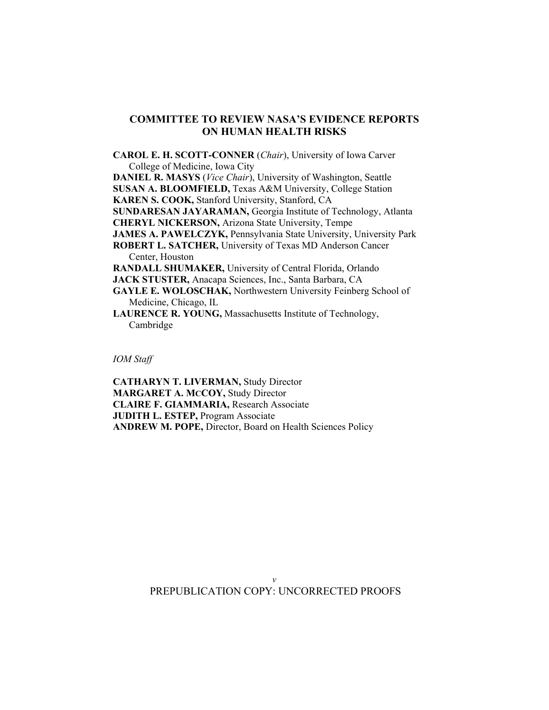#### **COMMITTEE TO REVIEW NASA'S EVIDENCE REPORTS ON HUMAN HEALTH RISKS**

**CAROL E. H. SCOTT-CONNER** (*Chair*), University of Iowa Carver College of Medicine, Iowa City **DANIEL R. MASYS** (*Vice Chair*), University of Washington, Seattle **SUSAN A. BLOOMFIELD,** Texas A&M University, College Station **KAREN S. COOK,** Stanford University, Stanford, CA **SUNDARESAN JAYARAMAN,** Georgia Institute of Technology, Atlanta **CHERYL NICKERSON,** Arizona State University, Tempe **JAMES A. PAWELCZYK,** Pennsylvania State University, University Park **ROBERT L. SATCHER,** University of Texas MD Anderson Cancer Center, Houston **RANDALL SHUMAKER,** University of Central Florida, Orlando **JACK STUSTER,** Anacapa Sciences, Inc., Santa Barbara, CA **GAYLE E. WOLOSCHAK,** Northwestern University Feinberg School of Medicine, Chicago, IL **LAURENCE R. YOUNG,** Massachusetts Institute of Technology, Cambridge

*IOM Staff* 

**CATHARYN T. LIVERMAN,** Study Director **MARGARET A. MCCOY,** Study Director **CLAIRE F. GIAMMARIA,** Research Associate **JUDITH L. ESTEP,** Program Associate **ANDREW M. POPE,** Director, Board on Health Sciences Policy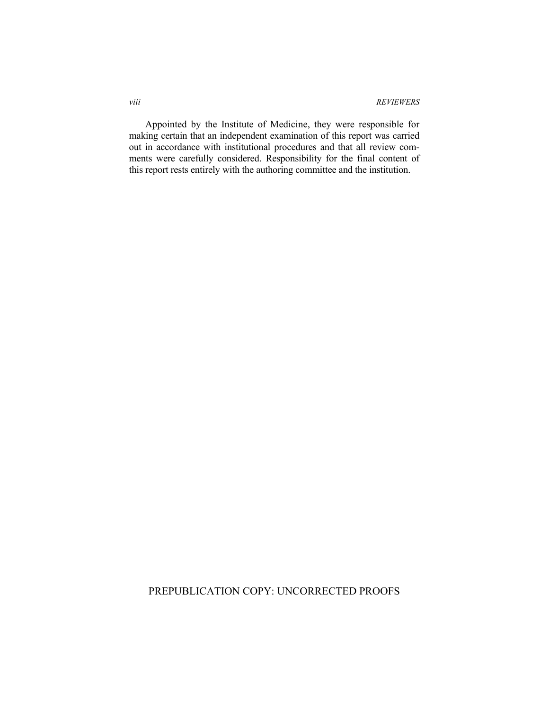### **Reviewers**

 This report has been reviewed in draft form by individuals chosen for their diverse perspectives and technical expertise, in accordance with procedures approved by the National Research Council's Report Review Committee. The purpose of this independent review is to provide candid and critical comments that will assist the institution in making its published report as sound as possible and to ensure that the report meets institutional standards for objectivity, evidence, and responsiveness to the study charge. The review comments and draft manuscript remain confidential to protect the integrity of the deliberative process. We wish to thank the following individuals for their review of this report:

**JAY C. BUCKEY, Dartmouth-Hitchcock Medical Center MARY L. CUMMINGS,** Duke University **PETER A. HANCOCK,** University of Central Florida **CHRISTINE E. KASPER,** Uniformed Services University of the Health Sciences **DAVID M. KLAUS,** University of Colorado Boulder **ANDREW LIU,** Massachusetts Institute of Technology, Man Vehicle Lab **DEAN M. OLSON,** Wright State University **NEAL PELLIS,** Universities Space Research Association

Although reviewers listed above have provided many constructive comments and suggestions, they did not see the final draft of the report before its release. The review of this report was overseen by **GLORIA LEON,** University of Minnesota, who served as the Coordinator and **MARCIA J. RIEKE,** University of Arizona, who served as the Monitor.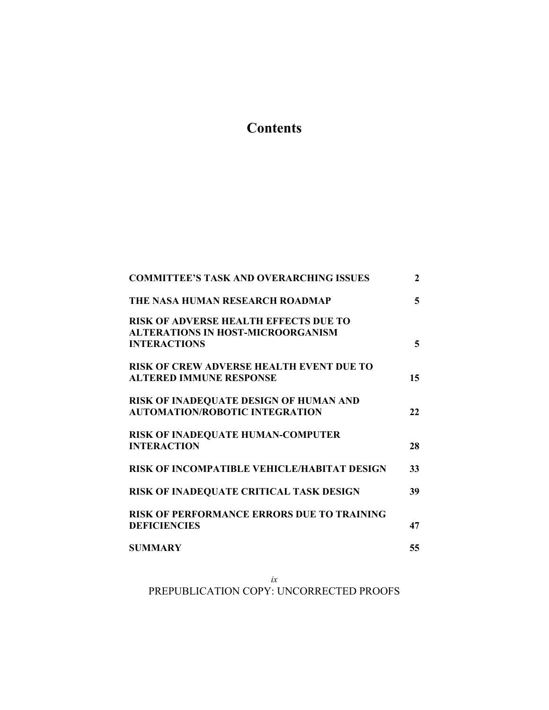Appointed by the Institute of Medicine, they were responsible for making certain that an independent examination of this report was carried out in accordance with institutional procedures and that all review comments were carefully considered. Responsibility for the final content of this report rests entirely with the authoring committee and the institution.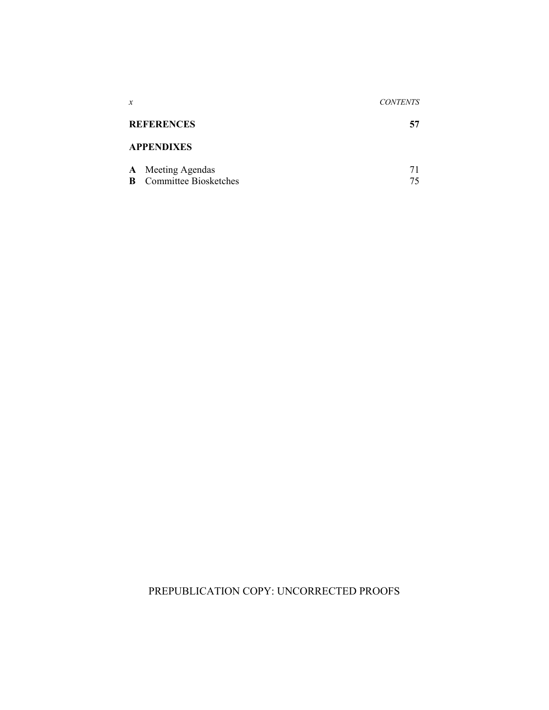# **Contents**

| <b>COMMITTEE'S TASK AND OVERARCHING ISSUES</b>                                                           | 2  |
|----------------------------------------------------------------------------------------------------------|----|
| THE NASA HUMAN RESEARCH ROADMAP                                                                          | 5  |
| <b>RISK OF ADVERSE HEALTH EFFECTS DUE TO</b><br>ALTERATIONS IN HOST-MICROORGANISM<br><b>INTERACTIONS</b> | 5  |
| <b>RISK OF CREW ADVERSE HEALTH EVENT DUE TO</b><br><b>ALTERED IMMUNE RESPONSE</b>                        | 15 |
| RISK OF INADEQUATE DESIGN OF HUMAN AND<br><b>AUTOMATION/ROBOTIC INTEGRATION</b>                          | 22 |
| RISK OF INADEQUATE HUMAN-COMPUTER<br><b>INTERACTION</b>                                                  | 28 |
| RISK OF INCOMPATIBLE VEHICLE/HABITAT DESIGN                                                              | 33 |
| RISK OF INADEQUATE CRITICAL TASK DESIGN                                                                  | 39 |
| RISK OF PERFORMANCE ERRORS DUE TO TRAINING<br><b>DEFICIENCIES</b>                                        | 47 |
| <b>SUMMARY</b>                                                                                           | 55 |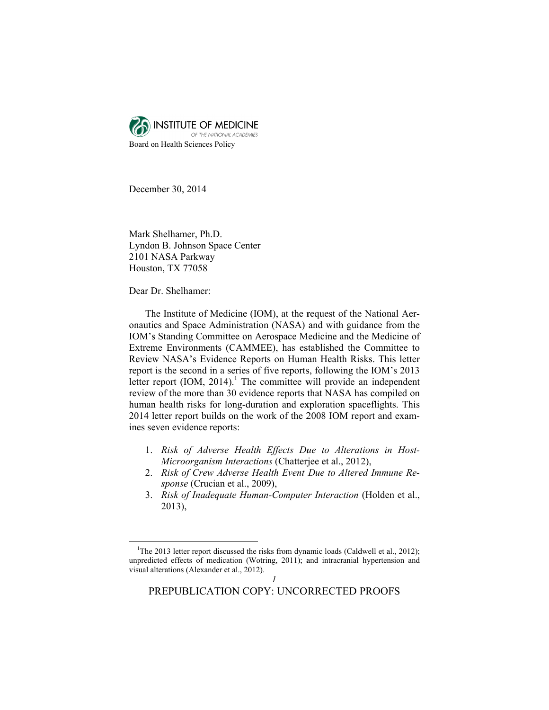| х                                                       | <b>CONTENTS</b> |
|---------------------------------------------------------|-----------------|
| <b>REFERENCES</b>                                       |                 |
| <b>APPENDIXES</b>                                       |                 |
| A Meeting Agendas<br><b>Committee Biosketches</b><br>R. | 75              |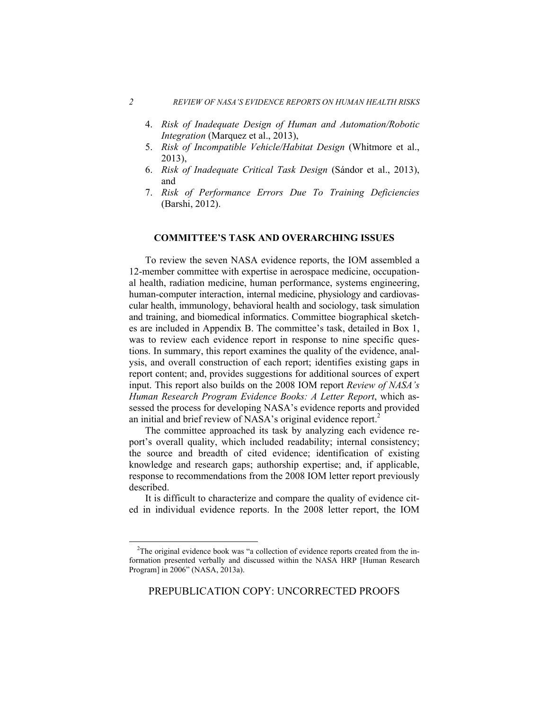

December 30, 2014

December 30, 2014<br>Mark Shelhamer, Ph.D. Lyndon B. Johnson Space Center 2101 N NASA Parkw way Houston, TX 77058 Houston, TX 77058<br>Dear Dr. Shelhamer:

 $\overline{a}$ 

 $\overline{\phantom{a}}$ 

The Institute of Medicine (IOM), at the request of the National Aeronautics and Space Administration (NASA) and with guidance from the IOM's Standing Committee on Aerospace Medicine and the Medicine of Extreme Environments (CAMMEE), has established the Committee to Review NASA's Evidence Reports on Human Health Risks. This letter report is the second in a series of five reports, following the IOM's 2013 letter report  $(IOM, 2014)$ .<sup>1</sup> The committee will provide an independent review of the more than 30 evidence reports that NASA has compiled on human health risks for long-duration and exploration spaceflights. This 2014 letter report builds on the work of the 2008 IOM report and examines seven evidence reports:

- 1. Risk of Adverse Health Effects Due to Alterations in Host-Microorganism Interactions (Chatterjee et al., 2012),
- 2. Risk of Crew Adverse Health Event Due to Altered Immune Response (Crucian et al., 2009),
- 3. Risk of Inadequate Human-Computer Interaction (Holden et al., 2013),

 $\overline{\phantom{a}}$ 

The 2013 letter report discussed the risks from dynamic loads (Caldwell et al., 2012); unpredicted effects of medication (Wotring, 2011); and intracranial hypertension and visual alterations (Alexander et al., 2012).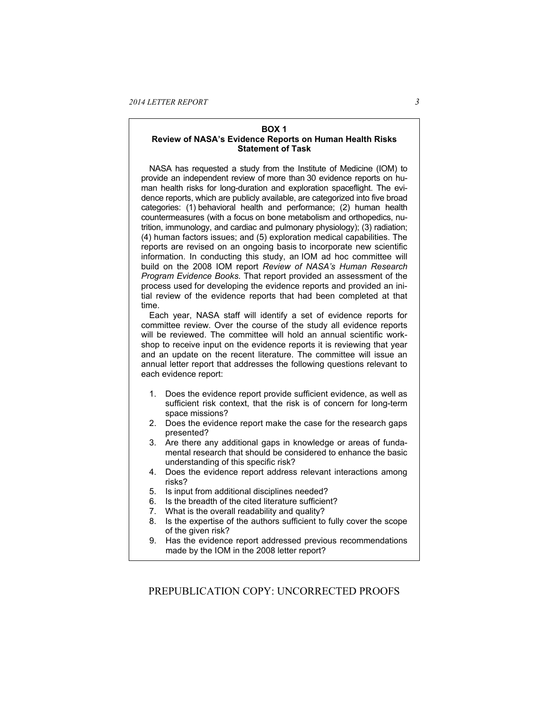- 4. *Risk of Inadequate Design of Human and Automation/Robotic Integration* (Marquez et al., 2013),
- 5. *Risk of Incompatible Vehicle/Habitat Design* (Whitmore et al., 2013),
- 6. *Risk of Inadequate Critical Task Design* (Sándor et al., 2013), and
- 7. *Risk of Performance Errors Due To Training Deficiencies*  (Barshi, 2012).

#### **COMMITTEE'S TASK AND OVERARCHING ISSUES**

To review the seven NASA evidence reports, the IOM assembled a 12-member committee with expertise in aerospace medicine, occupational health, radiation medicine, human performance, systems engineering, human-computer interaction, internal medicine, physiology and cardiovascular health, immunology, behavioral health and sociology, task simulation and training, and biomedical informatics. Committee biographical sketches are included in Appendix B. The committee's task, detailed in Box 1, was to review each evidence report in response to nine specific questions. In summary, this report examines the quality of the evidence, analysis, and overall construction of each report; identifies existing gaps in report content; and, provides suggestions for additional sources of expert input. This report also builds on the 2008 IOM report *Review of NASA's Human Research Program Evidence Books: A Letter Report*, which assessed the process for developing NASA's evidence reports and provided an initial and brief review of NASA's original evidence report.<sup>2</sup>

The committee approached its task by analyzing each evidence report's overall quality, which included readability; internal consistency; the source and breadth of cited evidence; identification of existing knowledge and research gaps; authorship expertise; and, if applicable, response to recommendations from the 2008 IOM letter report previously described.

It is difficult to characterize and compare the quality of evidence cited in individual evidence reports. In the 2008 letter report, the IOM

<sup>&</sup>lt;sup>2</sup>The original evidence book was "a collection of evidence reports created from the information presented verbally and discussed within the NASA HRP [Human Research Program] in 2006" (NASA, 2013a).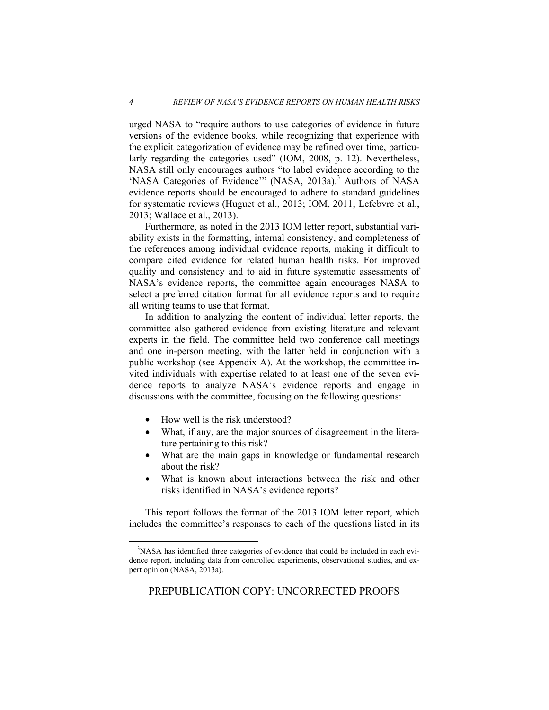#### **BOX 1 Review of NASA's Evidence Reports on Human Health Risks Statement of Task**

NASA has requested a study from the Institute of Medicine (IOM) to provide an independent review of more than 30 evidence reports on human health risks for long-duration and exploration spaceflight. The evidence reports, which are publicly available, are categorized into five broad categories: (1) behavioral health and performance; (2) human health countermeasures (with a focus on bone metabolism and orthopedics, nutrition, immunology, and cardiac and pulmonary physiology); (3) radiation; (4) human factors issues; and (5) exploration medical capabilities. The reports are revised on an ongoing basis to incorporate new scientific information. In conducting this study, an IOM ad hoc committee will build on the 2008 IOM report *Review of NASA's Human Research Program Evidence Books*. That report provided an assessment of the process used for developing the evidence reports and provided an initial review of the evidence reports that had been completed at that time.

Each year, NASA staff will identify a set of evidence reports for committee review. Over the course of the study all evidence reports will be reviewed. The committee will hold an annual scientific workshop to receive input on the evidence reports it is reviewing that year and an update on the recent literature. The committee will issue an annual letter report that addresses the following questions relevant to each evidence report:

- 1. Does the evidence report provide sufficient evidence, as well as sufficient risk context, that the risk is of concern for long-term space missions?
- 2. Does the evidence report make the case for the research gaps presented?
- 3. Are there any additional gaps in knowledge or areas of fundamental research that should be considered to enhance the basic understanding of this specific risk?
- 4. Does the evidence report address relevant interactions among risks?
- 5. Is input from additional disciplines needed?
- 6. Is the breadth of the cited literature sufficient?
- 7. What is the overall readability and quality?
- 8. Is the expertise of the authors sufficient to fully cover the scope of the given risk?
- 9. Has the evidence report addressed previous recommendations made by the IOM in the 2008 letter report?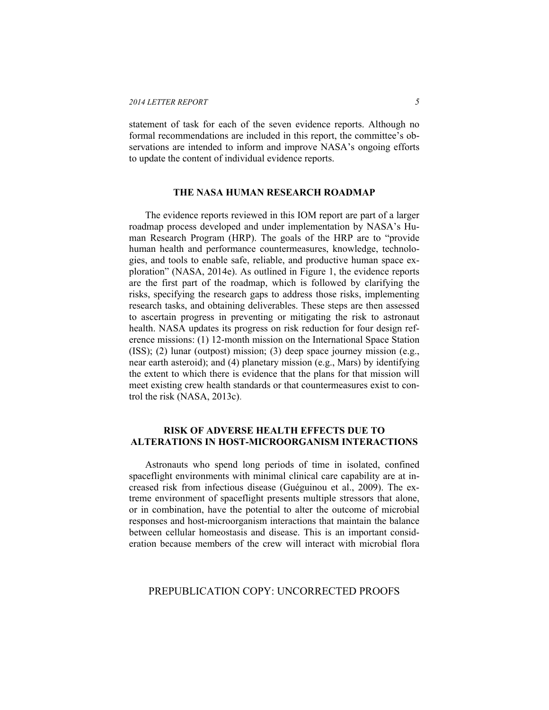urged NASA to "require authors to use categories of evidence in future versions of the evidence books, while recognizing that experience with the explicit categorization of evidence may be refined over time, particularly regarding the categories used" (IOM, 2008, p. 12). Nevertheless, NASA still only encourages authors "to label evidence according to the 'NASA Categories of Evidence'" (NASA, 2013a).<sup>3</sup> Authors of NASA evidence reports should be encouraged to adhere to standard guidelines for systematic reviews (Huguet et al., 2013; IOM, 2011; Lefebvre et al., 2013; Wallace et al., 2013).

Furthermore, as noted in the 2013 IOM letter report, substantial variability exists in the formatting, internal consistency, and completeness of the references among individual evidence reports, making it difficult to compare cited evidence for related human health risks. For improved quality and consistency and to aid in future systematic assessments of NASA's evidence reports, the committee again encourages NASA to select a preferred citation format for all evidence reports and to require all writing teams to use that format.

In addition to analyzing the content of individual letter reports, the committee also gathered evidence from existing literature and relevant experts in the field. The committee held two conference call meetings and one in-person meeting, with the latter held in conjunction with a public workshop (see Appendix A). At the workshop, the committee invited individuals with expertise related to at least one of the seven evidence reports to analyze NASA's evidence reports and engage in discussions with the committee, focusing on the following questions:

- How well is the risk understood?
- What, if any, are the major sources of disagreement in the literature pertaining to this risk?
- What are the main gaps in knowledge or fundamental research about the risk?
- What is known about interactions between the risk and other risks identified in NASA's evidence reports?

This report follows the format of the 2013 IOM letter report, which includes the committee's responses to each of the questions listed in its

 $\overline{\phantom{0}}$ <sup>3</sup>NASA has identified three categories of evidence that could be included in each evidence report, including data from controlled experiments, observational studies, and expert opinion (NASA, 2013a).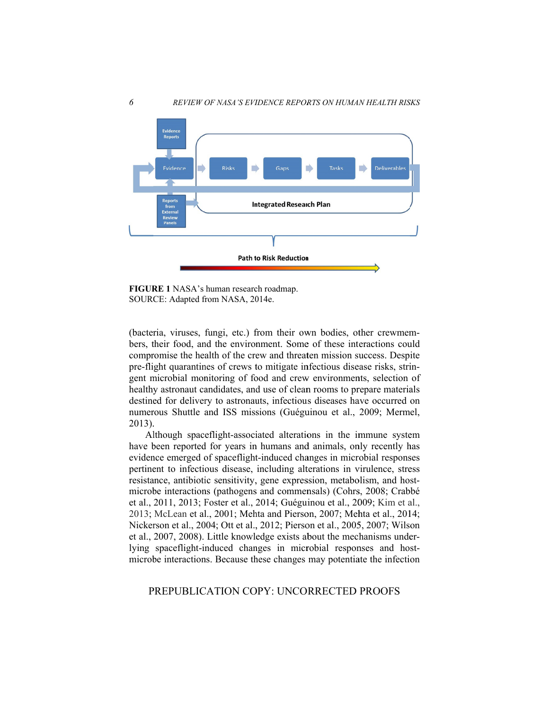statement of task for each of the seven evidence reports. Although no formal recommendations are included in this report, the committee's observations are intended to inform and improve NASA's ongoing efforts to update the content of individual evidence reports.

#### **THE NASA HUMAN RESEARCH ROADMAP**

 The evidence reports reviewed in this IOM report are part of a larger roadmap process developed and under implementation by NASA's Human Research Program (HRP). The goals of the HRP are to "provide human health and performance countermeasures, knowledge, technologies, and tools to enable safe, reliable, and productive human space exploration" (NASA, 2014e). As outlined in Figure 1, the evidence reports are the first part of the roadmap, which is followed by clarifying the risks, specifying the research gaps to address those risks, implementing research tasks, and obtaining deliverables. These steps are then assessed to ascertain progress in preventing or mitigating the risk to astronaut health. NASA updates its progress on risk reduction for four design reference missions: (1) 12-month mission on the International Space Station (ISS); (2) lunar (outpost) mission; (3) deep space journey mission (e.g., near earth asteroid); and (4) planetary mission (e.g., Mars) by identifying the extent to which there is evidence that the plans for that mission will meet existing crew health standards or that countermeasures exist to control the risk (NASA, 2013c).

#### **RISK OF ADVERSE HEALTH EFFECTS DUE TO ALTERATIONS IN HOST-MICROORGANISM INTERACTIONS**

 Astronauts who spend long periods of time in isolated, confined spaceflight environments with minimal clinical care capability are at increased risk from infectious disease (Guéguinou et al., 2009). The extreme environment of spaceflight presents multiple stressors that alone, or in combination, have the potential to alter the outcome of microbial responses and host-microorganism interactions that maintain the balance between cellular homeostasis and disease. This is an important consideration because members of the crew will interact with microbial flora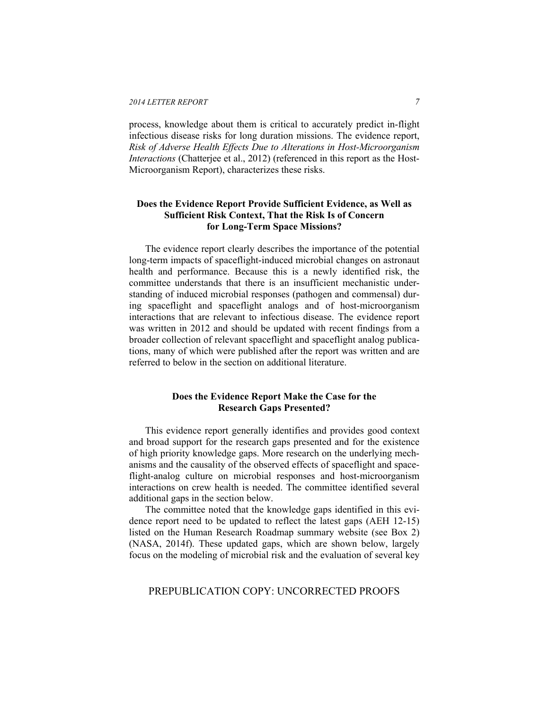

**FIGURE 1** NASA's human research roadmap. SOURCE: Adapted from NASA, 2014e.

(bacteria, viruses, fungi, etc.) from their own bodies, other crewmembers, their food, and the environment. Some of these interactions could compromise the health of the crew and threaten mission success. Despite pre-flight quarantines of crews to mitigate infectious disease risks, stringent microbial monitoring of food and crew environments, selection of healthy astronaut candidates, and use of clean rooms to prepare materials destined for delivery to astronauts, infectious diseases have occurred on numerous Shuttle and ISS missions (Guéguinou et al., 2009; Mermel, 2013).

2013).<br>Although spaceflight-associated alterations in the immune system have been reported for years in humans and animals, only recently has evidence emerged of spaceflight-induced changes in microbial responses pertinent to infectious disease, including alterations in virulence, stress resistance, antibiotic sensitivity, gene expression, metabolism, and hostmicrobe interactions (pathogens and commensals) (Cohrs, 2008; Crabbé et al., 2011, 2013; Foster et al., 2014; Guéguinou et al., 2009; Kim et al., 2013; McLean et al., 2001; Mehta and Pierson, 2007; Mehta et al., 2014; Nickerson et al., 2004; Ott et al., 2012; Pierson et al., 2005, 2007; Wilson et al., 2007, 2008). Little knowledge exists about the mechanisms underlying spaceflight-induced changes in microbial responses and hostmicrobe interactions. Because these changes may potentiate the infection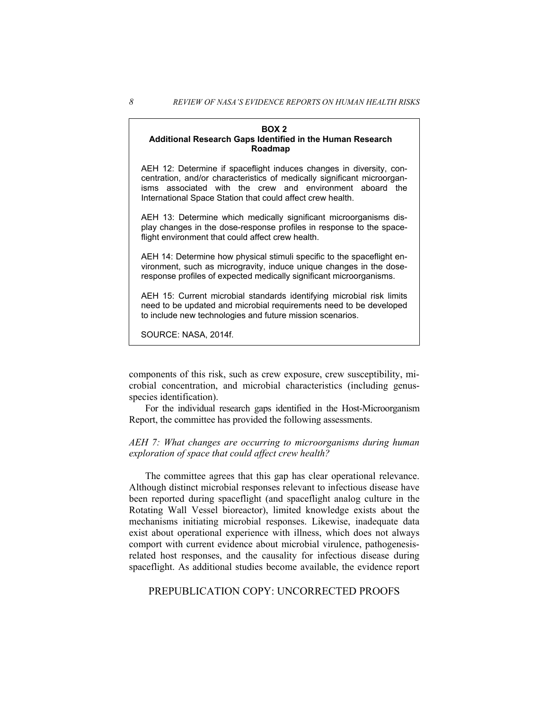process, knowledge about them is critical to accurately predict in-flight infectious disease risks for long duration missions. The evidence report, *Risk of Adverse Health Effects Due to Alterations in Host-Microorganism Interactions* (Chatterjee et al., 2012) (referenced in this report as the Host-Microorganism Report), characterizes these risks.

#### **Does the Evidence Report Provide Sufficient Evidence, as Well as Sufficient Risk Context, That the Risk Is of Concern for Long-Term Space Missions?**

The evidence report clearly describes the importance of the potential long-term impacts of spaceflight-induced microbial changes on astronaut health and performance. Because this is a newly identified risk, the committee understands that there is an insufficient mechanistic understanding of induced microbial responses (pathogen and commensal) during spaceflight and spaceflight analogs and of host-microorganism interactions that are relevant to infectious disease. The evidence report was written in 2012 and should be updated with recent findings from a broader collection of relevant spaceflight and spaceflight analog publications, many of which were published after the report was written and are referred to below in the section on additional literature.

#### **Does the Evidence Report Make the Case for the Research Gaps Presented?**

This evidence report generally identifies and provides good context and broad support for the research gaps presented and for the existence of high priority knowledge gaps. More research on the underlying mechanisms and the causality of the observed effects of spaceflight and spaceflight-analog culture on microbial responses and host-microorganism interactions on crew health is needed. The committee identified several additional gaps in the section below.

The committee noted that the knowledge gaps identified in this evidence report need to be updated to reflect the latest gaps (AEH 12-15) listed on the Human Research Roadmap summary website (see Box 2) (NASA, 2014f). These updated gaps, which are shown below, largely focus on the modeling of microbial risk and the evaluation of several key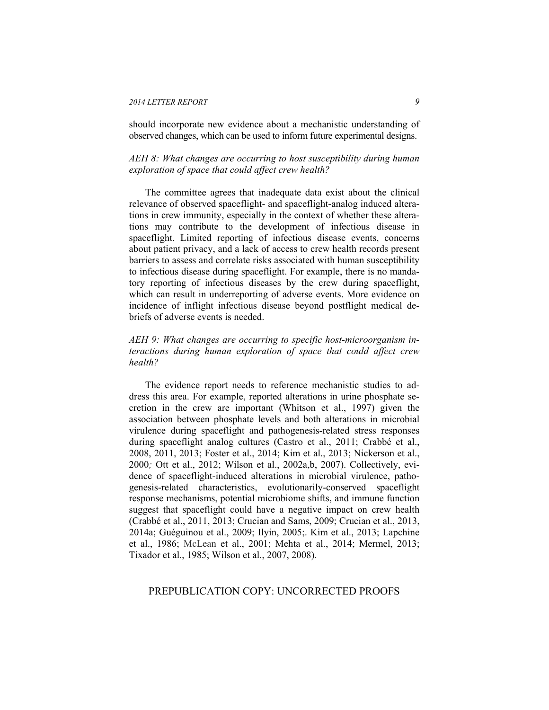#### **BOX 2 Additional Research Gaps Identified in the Human Research Roadmap**

AEH 12: Determine if spaceflight induces changes in diversity, concentration, and/or characteristics of medically significant microorganisms associated with the crew and environment aboard the International Space Station that could affect crew health.

AEH 13: Determine which medically significant microorganisms display changes in the dose-response profiles in response to the spaceflight environment that could affect crew health.

AEH 14: Determine how physical stimuli specific to the spaceflight environment, such as microgravity, induce unique changes in the doseresponse profiles of expected medically significant microorganisms.

AEH 15: Current microbial standards identifying microbial risk limits need to be updated and microbial requirements need to be developed to include new technologies and future mission scenarios.

SOURCE: NASA, 2014f.

components of this risk, such as crew exposure, crew susceptibility, microbial concentration, and microbial characteristics (including genusspecies identification).

For the individual research gaps identified in the Host-Microorganism Report, the committee has provided the following assessments.

#### *AEH 7: What changes are occurring to microorganisms during human exploration of space that could affect crew health?*

 The committee agrees that this gap has clear operational relevance. Although distinct microbial responses relevant to infectious disease have been reported during spaceflight (and spaceflight analog culture in the Rotating Wall Vessel bioreactor), limited knowledge exists about the mechanisms initiating microbial responses. Likewise, inadequate data exist about operational experience with illness, which does not always comport with current evidence about microbial virulence, pathogenesisrelated host responses, and the causality for infectious disease during spaceflight. As additional studies become available, the evidence report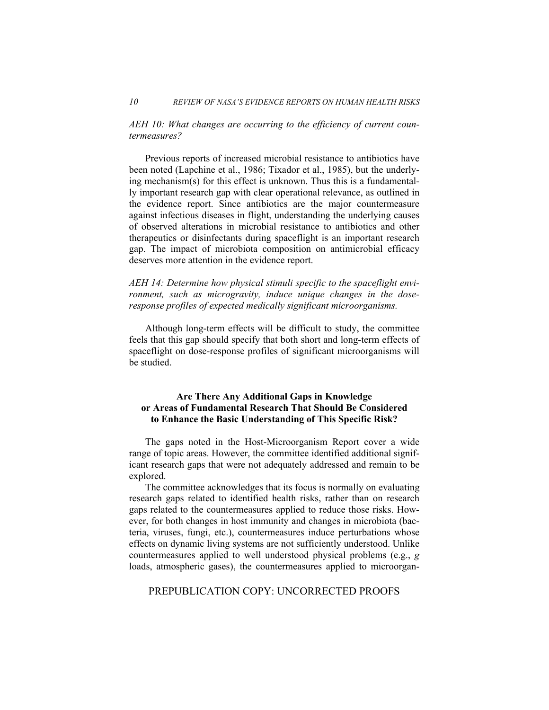should incorporate new evidence about a mechanistic understanding of observed changes, which can be used to inform future experimental designs.

#### *AEH 8: What changes are occurring to host susceptibility during human exploration of space that could affect crew health?*

 The committee agrees that inadequate data exist about the clinical relevance of observed spaceflight- and spaceflight-analog induced alterations in crew immunity, especially in the context of whether these alterations may contribute to the development of infectious disease in spaceflight. Limited reporting of infectious disease events, concerns about patient privacy, and a lack of access to crew health records present barriers to assess and correlate risks associated with human susceptibility to infectious disease during spaceflight. For example, there is no mandatory reporting of infectious diseases by the crew during spaceflight, which can result in underreporting of adverse events. More evidence on incidence of inflight infectious disease beyond postflight medical debriefs of adverse events is needed.

#### *AEH 9: What changes are occurring to specific host-microorganism interactions during human exploration of space that could affect crew health?*

 The evidence report needs to reference mechanistic studies to address this area. For example, reported alterations in urine phosphate secretion in the crew are important (Whitson et al., 1997) given the association between phosphate levels and both alterations in microbial virulence during spaceflight and pathogenesis-related stress responses during spaceflight analog cultures (Castro et al., 2011; Crabbé et al., 2008, 2011, 2013; Foster et al., 2014; Kim et al., 2013; Nickerson et al., 2000*;* Ott et al., 2012; Wilson et al., 2002a,b, 2007). Collectively, evidence of spaceflight-induced alterations in microbial virulence, pathogenesis-related characteristics, evolutionarily-conserved spaceflight response mechanisms, potential microbiome shifts, and immune function suggest that spaceflight could have a negative impact on crew health (Crabbé et al., 2011, 2013; Crucian and Sams, 2009; Crucian et al., 2013, 2014a; Guéguinou et al., 2009; Ilyin, 2005;. Kim et al., 2013; Lapchine et al., 1986; McLean et al., 2001; Mehta et al., 2014; Mermel, 2013; Tixador et al., 1985; Wilson et al., 2007, 2008).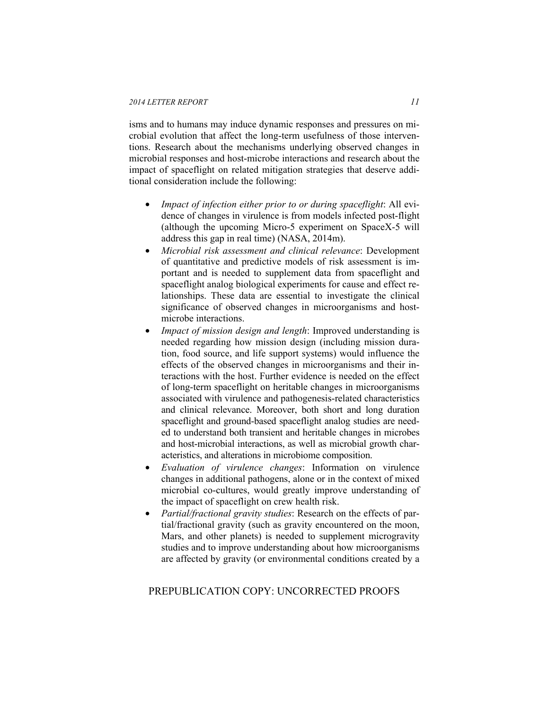*AEH 10: What changes are occurring to the efficiency of current countermeasures?* 

 Previous reports of increased microbial resistance to antibiotics have been noted (Lapchine et al., 1986; Tixador et al., 1985), but the underlying mechanism(s) for this effect is unknown. Thus this is a fundamentally important research gap with clear operational relevance, as outlined in the evidence report. Since antibiotics are the major countermeasure against infectious diseases in flight, understanding the underlying causes of observed alterations in microbial resistance to antibiotics and other therapeutics or disinfectants during spaceflight is an important research gap. The impact of microbiota composition on antimicrobial efficacy deserves more attention in the evidence report.

*AEH 14: Determine how physical stimuli specific to the spaceflight environment, such as microgravity, induce unique changes in the doseresponse profiles of expected medically significant microorganisms.* 

 Although long-term effects will be difficult to study, the committee feels that this gap should specify that both short and long-term effects of spaceflight on dose-response profiles of significant microorganisms will be studied.

#### **Are There Any Additional Gaps in Knowledge or Areas of Fundamental Research That Should Be Considered to Enhance the Basic Understanding of This Specific Risk?**

The gaps noted in the Host-Microorganism Report cover a wide range of topic areas. However, the committee identified additional significant research gaps that were not adequately addressed and remain to be explored.

The committee acknowledges that its focus is normally on evaluating research gaps related to identified health risks, rather than on research gaps related to the countermeasures applied to reduce those risks. However, for both changes in host immunity and changes in microbiota (bacteria, viruses, fungi, etc.), countermeasures induce perturbations whose effects on dynamic living systems are not sufficiently understood. Unlike countermeasures applied to well understood physical problems (e.g., *g* loads, atmospheric gases), the countermeasures applied to microorgan-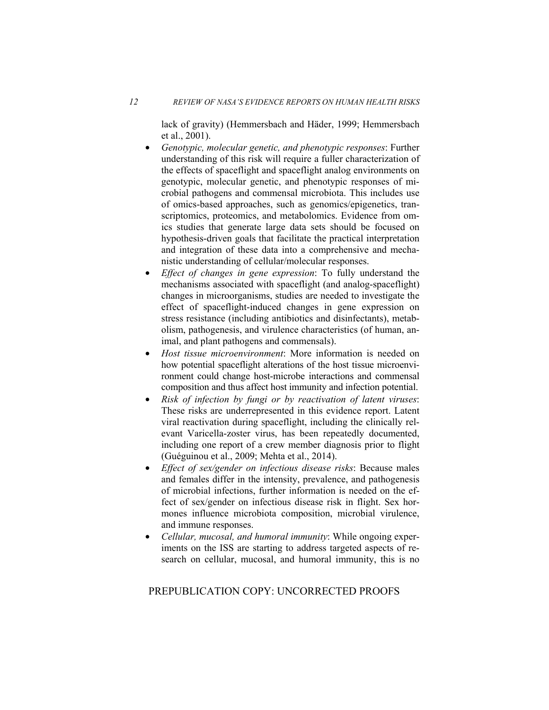isms and to humans may induce dynamic responses and pressures on microbial evolution that affect the long-term usefulness of those interventions. Research about the mechanisms underlying observed changes in microbial responses and host-microbe interactions and research about the impact of spaceflight on related mitigation strategies that deserve additional consideration include the following:

- *Impact of infection either prior to or during spaceflight*: All evidence of changes in virulence is from models infected post-flight (although the upcoming Micro-5 experiment on SpaceX-5 will address this gap in real time) (NASA, 2014m).
- *Microbial risk assessment and clinical relevance*: Development of quantitative and predictive models of risk assessment is important and is needed to supplement data from spaceflight and spaceflight analog biological experiments for cause and effect relationships. These data are essential to investigate the clinical significance of observed changes in microorganisms and hostmicrobe interactions.
- *Impact of mission design and length*: Improved understanding is needed regarding how mission design (including mission duration, food source, and life support systems) would influence the effects of the observed changes in microorganisms and their interactions with the host. Further evidence is needed on the effect of long-term spaceflight on heritable changes in microorganisms associated with virulence and pathogenesis-related characteristics and clinical relevance. Moreover, both short and long duration spaceflight and ground-based spaceflight analog studies are needed to understand both transient and heritable changes in microbes and host-microbial interactions, as well as microbial growth characteristics, and alterations in microbiome composition.
- *Evaluation of virulence changes*: Information on virulence changes in additional pathogens, alone or in the context of mixed microbial co-cultures, would greatly improve understanding of the impact of spaceflight on crew health risk.
- *Partial/fractional gravity studies*: Research on the effects of partial/fractional gravity (such as gravity encountered on the moon, Mars, and other planets) is needed to supplement microgravity studies and to improve understanding about how microorganisms are affected by gravity (or environmental conditions created by a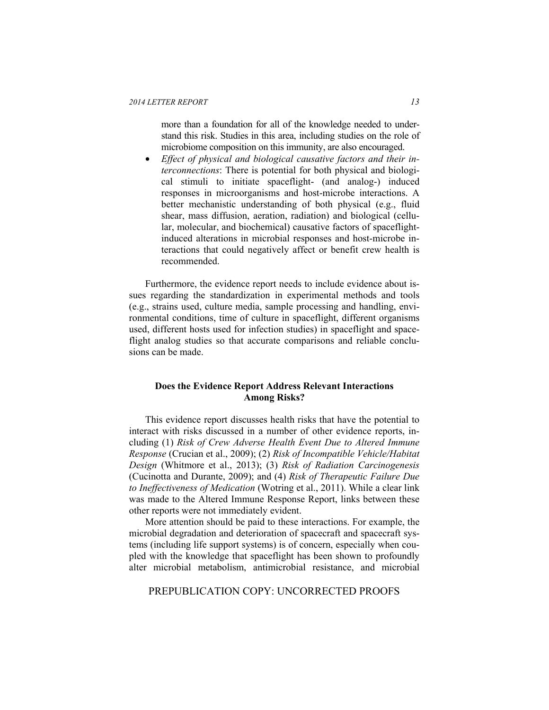lack of gravity) (Hemmersbach and Häder, 1999; Hemmersbach et al., 2001).

- *Genotypic, molecular genetic, and phenotypic responses*: Further understanding of this risk will require a fuller characterization of the effects of spaceflight and spaceflight analog environments on genotypic, molecular genetic, and phenotypic responses of microbial pathogens and commensal microbiota. This includes use of omics-based approaches, such as genomics/epigenetics, transcriptomics, proteomics, and metabolomics. Evidence from omics studies that generate large data sets should be focused on hypothesis-driven goals that facilitate the practical interpretation and integration of these data into a comprehensive and mechanistic understanding of cellular/molecular responses.
- *Effect of changes in gene expression*: To fully understand the mechanisms associated with spaceflight (and analog-spaceflight) changes in microorganisms, studies are needed to investigate the effect of spaceflight-induced changes in gene expression on stress resistance (including antibiotics and disinfectants), metabolism, pathogenesis, and virulence characteristics (of human, animal, and plant pathogens and commensals).
- *Host tissue microenvironment*: More information is needed on how potential spaceflight alterations of the host tissue microenvironment could change host-microbe interactions and commensal composition and thus affect host immunity and infection potential.
- *Risk of infection by fungi or by reactivation of latent viruses*: These risks are underrepresented in this evidence report. Latent viral reactivation during spaceflight, including the clinically relevant Varicella-zoster virus, has been repeatedly documented, including one report of a crew member diagnosis prior to flight (Guéguinou et al., 2009; Mehta et al., 2014).
- *Effect of sex/gender on infectious disease risks*: Because males and females differ in the intensity, prevalence, and pathogenesis of microbial infections, further information is needed on the effect of sex/gender on infectious disease risk in flight. Sex hormones influence microbiota composition, microbial virulence, and immune responses.
- *Cellular, mucosal, and humoral immunity*: While ongoing experiments on the ISS are starting to address targeted aspects of research on cellular, mucosal, and humoral immunity, this is no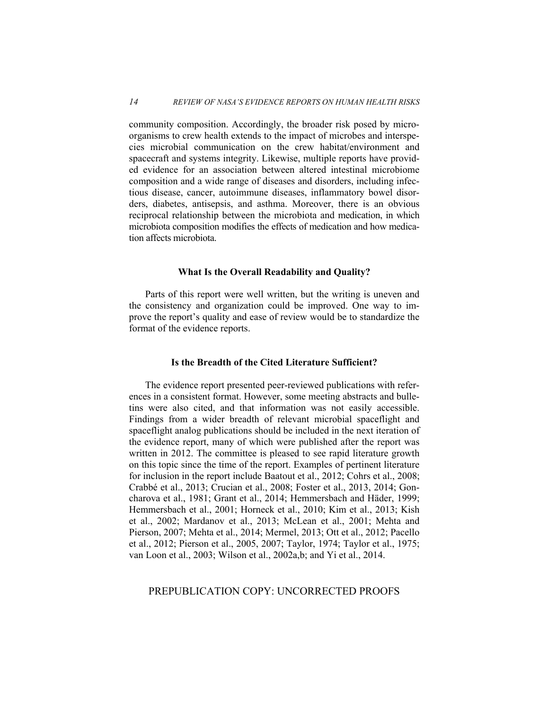more than a foundation for all of the knowledge needed to understand this risk. Studies in this area, including studies on the role of microbiome composition on this immunity, are also encouraged.

• *Effect of physical and biological causative factors and their interconnections*: There is potential for both physical and biological stimuli to initiate spaceflight- (and analog-) induced responses in microorganisms and host-microbe interactions. A better mechanistic understanding of both physical (e.g., fluid shear, mass diffusion, aeration, radiation) and biological (cellular, molecular, and biochemical) causative factors of spaceflightinduced alterations in microbial responses and host-microbe interactions that could negatively affect or benefit crew health is recommended.

Furthermore, the evidence report needs to include evidence about issues regarding the standardization in experimental methods and tools (e.g., strains used, culture media, sample processing and handling, environmental conditions, time of culture in spaceflight, different organisms used, different hosts used for infection studies) in spaceflight and spaceflight analog studies so that accurate comparisons and reliable conclusions can be made.

#### **Does the Evidence Report Address Relevant Interactions Among Risks?**

This evidence report discusses health risks that have the potential to interact with risks discussed in a number of other evidence reports, including (1) *Risk of Crew Adverse Health Event Due to Altered Immune Response* (Crucian et al., 2009); (2) *Risk of Incompatible Vehicle/Habitat Design* (Whitmore et al., 2013); (3) *Risk of Radiation Carcinogenesis* (Cucinotta and Durante, 2009); and (4) *Risk of Therapeutic Failure Due to Ineffectiveness of Medication* (Wotring et al., 2011). While a clear link was made to the Altered Immune Response Report, links between these other reports were not immediately evident.

More attention should be paid to these interactions. For example, the microbial degradation and deterioration of spacecraft and spacecraft systems (including life support systems) is of concern, especially when coupled with the knowledge that spaceflight has been shown to profoundly alter microbial metabolism, antimicrobial resistance, and microbial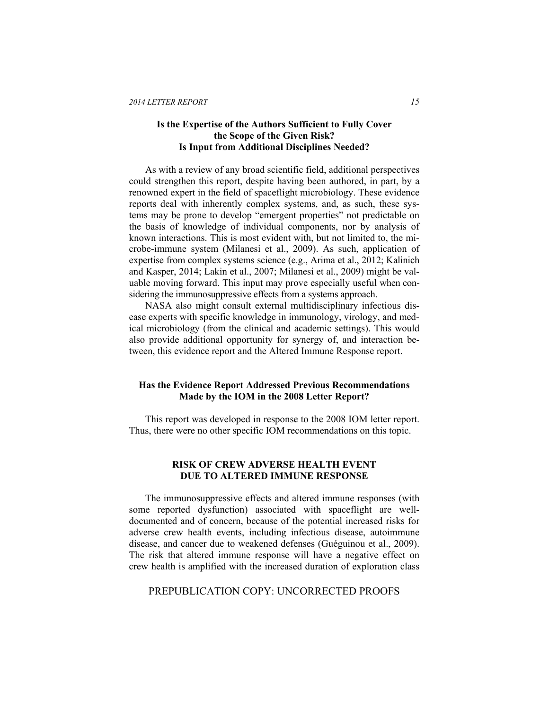community composition. Accordingly, the broader risk posed by microorganisms to crew health extends to the impact of microbes and interspecies microbial communication on the crew habitat/environment and spacecraft and systems integrity. Likewise, multiple reports have provided evidence for an association between altered intestinal microbiome composition and a wide range of diseases and disorders, including infectious disease, cancer, autoimmune diseases, inflammatory bowel disorders, diabetes, antisepsis, and asthma. Moreover, there is an obvious reciprocal relationship between the microbiota and medication, in which microbiota composition modifies the effects of medication and how medication affects microbiota.

#### **What Is the Overall Readability and Quality?**

Parts of this report were well written, but the writing is uneven and the consistency and organization could be improved. One way to improve the report's quality and ease of review would be to standardize the format of the evidence reports.

#### **Is the Breadth of the Cited Literature Sufficient?**

The evidence report presented peer-reviewed publications with references in a consistent format. However, some meeting abstracts and bulletins were also cited, and that information was not easily accessible. Findings from a wider breadth of relevant microbial spaceflight and spaceflight analog publications should be included in the next iteration of the evidence report, many of which were published after the report was written in 2012. The committee is pleased to see rapid literature growth on this topic since the time of the report. Examples of pertinent literature for inclusion in the report include Baatout et al., 2012; Cohrs et al., 2008; Crabbé et al., 2013; Crucian et al., 2008; Foster et al., 2013, 2014; Goncharova et al., 1981; Grant et al., 2014; Hemmersbach and Häder, 1999; Hemmersbach et al., 2001; Horneck et al., 2010; Kim et al., 2013; Kish et al., 2002; Mardanov et al., 2013; McLean et al., 2001; Mehta and Pierson, 2007; Mehta et al., 2014; Mermel, 2013; Ott et al., 2012; Pacello et al., 2012; Pierson et al., 2005, 2007; Taylor, 1974; Taylor et al., 1975; van Loon et al., 2003; Wilson et al., 2002a,b; and Yi et al., 2014.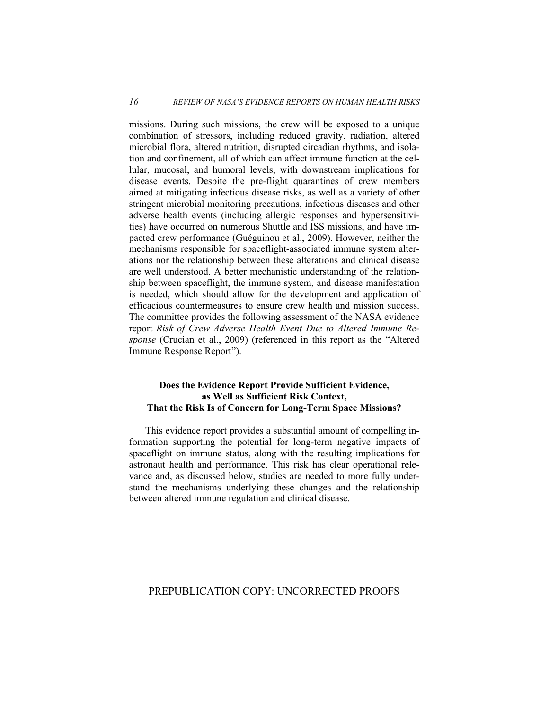#### **Is the Expertise of the Authors Sufficient to Fully Cover the Scope of the Given Risk? Is Input from Additional Disciplines Needed?**

As with a review of any broad scientific field, additional perspectives could strengthen this report, despite having been authored, in part, by a renowned expert in the field of spaceflight microbiology. These evidence reports deal with inherently complex systems, and, as such, these systems may be prone to develop "emergent properties" not predictable on the basis of knowledge of individual components, nor by analysis of known interactions. This is most evident with, but not limited to, the microbe-immune system (Milanesi et al., 2009). As such, application of expertise from complex systems science (e.g., Arima et al., 2012; Kalinich and Kasper, 2014; Lakin et al., 2007; Milanesi et al., 2009) might be valuable moving forward. This input may prove especially useful when considering the immunosuppressive effects from a systems approach.

NASA also might consult external multidisciplinary infectious disease experts with specific knowledge in immunology, virology, and medical microbiology (from the clinical and academic settings). This would also provide additional opportunity for synergy of, and interaction between, this evidence report and the Altered Immune Response report.

#### **Has the Evidence Report Addressed Previous Recommendations Made by the IOM in the 2008 Letter Report?**

This report was developed in response to the 2008 IOM letter report. Thus, there were no other specific IOM recommendations on this topic.

#### **RISK OF CREW ADVERSE HEALTH EVENT DUE TO ALTERED IMMUNE RESPONSE**

The immunosuppressive effects and altered immune responses (with some reported dysfunction) associated with spaceflight are welldocumented and of concern, because of the potential increased risks for adverse crew health events, including infectious disease, autoimmune disease, and cancer due to weakened defenses (Guéguinou et al., 2009). The risk that altered immune response will have a negative effect on crew health is amplified with the increased duration of exploration class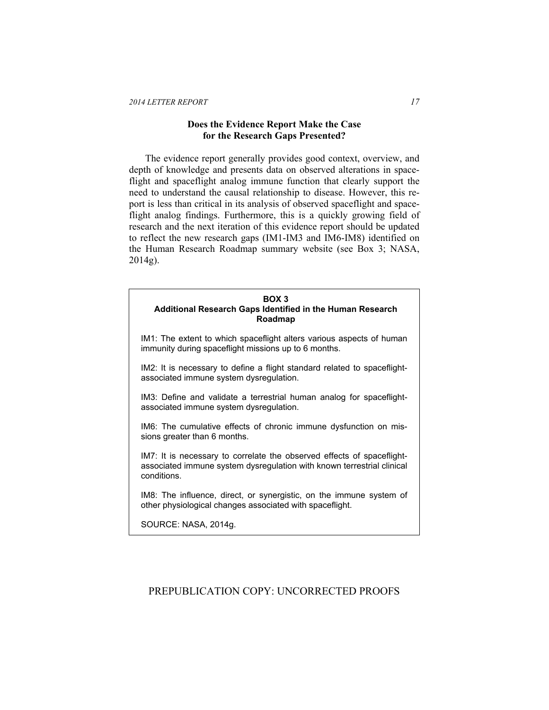missions. During such missions, the crew will be exposed to a unique combination of stressors, including reduced gravity, radiation, altered microbial flora, altered nutrition, disrupted circadian rhythms, and isolation and confinement, all of which can affect immune function at the cellular, mucosal, and humoral levels, with downstream implications for disease events. Despite the pre-flight quarantines of crew members aimed at mitigating infectious disease risks, as well as a variety of other stringent microbial monitoring precautions, infectious diseases and other adverse health events (including allergic responses and hypersensitivities) have occurred on numerous Shuttle and ISS missions, and have impacted crew performance (Guéguinou et al., 2009). However, neither the mechanisms responsible for spaceflight-associated immune system alterations nor the relationship between these alterations and clinical disease are well understood. A better mechanistic understanding of the relationship between spaceflight, the immune system, and disease manifestation is needed, which should allow for the development and application of efficacious countermeasures to ensure crew health and mission success. The committee provides the following assessment of the NASA evidence report *Risk of Crew Adverse Health Event Due to Altered Immune Response* (Crucian et al., 2009) (referenced in this report as the "Altered Immune Response Report").

#### **Does the Evidence Report Provide Sufficient Evidence, as Well as Sufficient Risk Context, That the Risk Is of Concern for Long-Term Space Missions?**

This evidence report provides a substantial amount of compelling information supporting the potential for long-term negative impacts of spaceflight on immune status, along with the resulting implications for astronaut health and performance. This risk has clear operational relevance and, as discussed below, studies are needed to more fully understand the mechanisms underlying these changes and the relationship between altered immune regulation and clinical disease.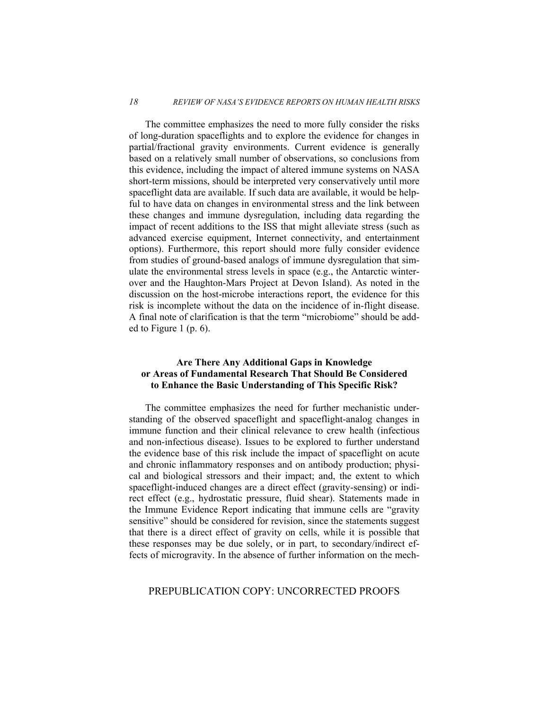#### **Does the Evidence Report Make the Case for the Research Gaps Presented?**

The evidence report generally provides good context, overview, and depth of knowledge and presents data on observed alterations in spaceflight and spaceflight analog immune function that clearly support the need to understand the causal relationship to disease. However, this report is less than critical in its analysis of observed spaceflight and spaceflight analog findings. Furthermore, this is a quickly growing field of research and the next iteration of this evidence report should be updated to reflect the new research gaps (IM1-IM3 and IM6-IM8) identified on the Human Research Roadmap summary website (see Box 3; NASA, 2014g).

| BOX <sub>3</sub>                                          |
|-----------------------------------------------------------|
| Additional Research Gaps Identified in the Human Research |
| Roadmap                                                   |

IM1: The extent to which spaceflight alters various aspects of human immunity during spaceflight missions up to 6 months.

IM2: It is necessary to define a flight standard related to spaceflightassociated immune system dysregulation.

IM3: Define and validate a terrestrial human analog for spaceflightassociated immune system dysregulation.

IM6: The cumulative effects of chronic immune dysfunction on missions greater than 6 months.

IM7: It is necessary to correlate the observed effects of spaceflightassociated immune system dysregulation with known terrestrial clinical conditions.

IM8: The influence, direct, or synergistic, on the immune system of other physiological changes associated with spaceflight.

SOURCE: NASA, 2014g.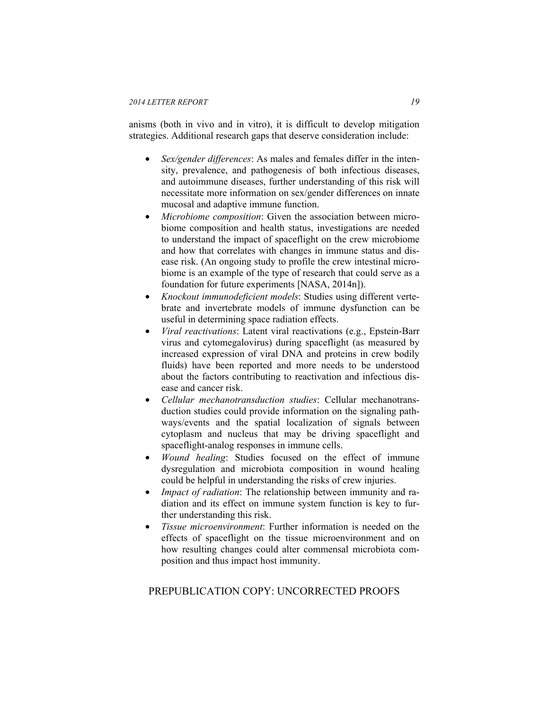The committee emphasizes the need to more fully consider the risks of long-duration spaceflights and to explore the evidence for changes in partial/fractional gravity environments. Current evidence is generally based on a relatively small number of observations, so conclusions from this evidence, including the impact of altered immune systems on NASA short-term missions, should be interpreted very conservatively until more spaceflight data are available. If such data are available, it would be helpful to have data on changes in environmental stress and the link between these changes and immune dysregulation, including data regarding the impact of recent additions to the ISS that might alleviate stress (such as advanced exercise equipment, Internet connectivity, and entertainment options). Furthermore, this report should more fully consider evidence from studies of ground-based analogs of immune dysregulation that simulate the environmental stress levels in space (e.g., the Antarctic winterover and the Haughton-Mars Project at Devon Island). As noted in the discussion on the host-microbe interactions report, the evidence for this risk is incomplete without the data on the incidence of in-flight disease. A final note of clarification is that the term "microbiome" should be added to Figure 1 (p.  $6$ ).

#### **Are There Any Additional Gaps in Knowledge or Areas of Fundamental Research That Should Be Considered to Enhance the Basic Understanding of This Specific Risk?**

The committee emphasizes the need for further mechanistic understanding of the observed spaceflight and spaceflight-analog changes in immune function and their clinical relevance to crew health (infectious and non-infectious disease). Issues to be explored to further understand the evidence base of this risk include the impact of spaceflight on acute and chronic inflammatory responses and on antibody production; physical and biological stressors and their impact; and, the extent to which spaceflight-induced changes are a direct effect (gravity-sensing) or indirect effect (e.g., hydrostatic pressure, fluid shear). Statements made in the Immune Evidence Report indicating that immune cells are "gravity sensitive" should be considered for revision, since the statements suggest that there is a direct effect of gravity on cells, while it is possible that these responses may be due solely, or in part, to secondary/indirect effects of microgravity. In the absence of further information on the mech-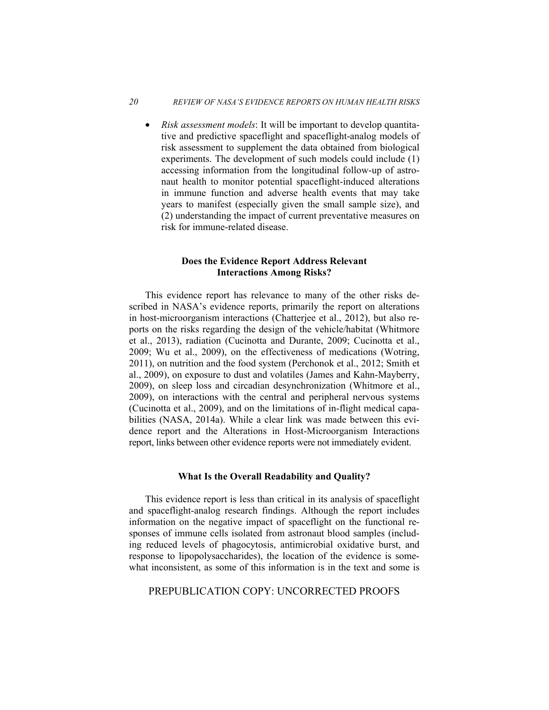anisms (both in vivo and in vitro), it is difficult to develop mitigation strategies. Additional research gaps that deserve consideration include:

- *Sex/gender differences*: As males and females differ in the intensity, prevalence, and pathogenesis of both infectious diseases, and autoimmune diseases, further understanding of this risk will necessitate more information on sex/gender differences on innate mucosal and adaptive immune function.
- *Microbiome composition*: Given the association between microbiome composition and health status, investigations are needed to understand the impact of spaceflight on the crew microbiome and how that correlates with changes in immune status and disease risk. (An ongoing study to profile the crew intestinal microbiome is an example of the type of research that could serve as a foundation for future experiments [NASA, 2014n]).
- *Knockout immunodeficient models*: Studies using different vertebrate and invertebrate models of immune dysfunction can be useful in determining space radiation effects.
- *Viral reactivations*: Latent viral reactivations (e.g., Epstein-Barr virus and cytomegalovirus) during spaceflight (as measured by increased expression of viral DNA and proteins in crew bodily fluids) have been reported and more needs to be understood about the factors contributing to reactivation and infectious disease and cancer risk.
- *Cellular mechanotransduction studies*: Cellular mechanotransduction studies could provide information on the signaling pathways/events and the spatial localization of signals between cytoplasm and nucleus that may be driving spaceflight and spaceflight-analog responses in immune cells.
- *Wound healing*: Studies focused on the effect of immune dysregulation and microbiota composition in wound healing could be helpful in understanding the risks of crew injuries.
- *Impact of radiation*: The relationship between immunity and radiation and its effect on immune system function is key to further understanding this risk.
- *Tissue microenvironment*: Further information is needed on the effects of spaceflight on the tissue microenvironment and on how resulting changes could alter commensal microbiota composition and thus impact host immunity.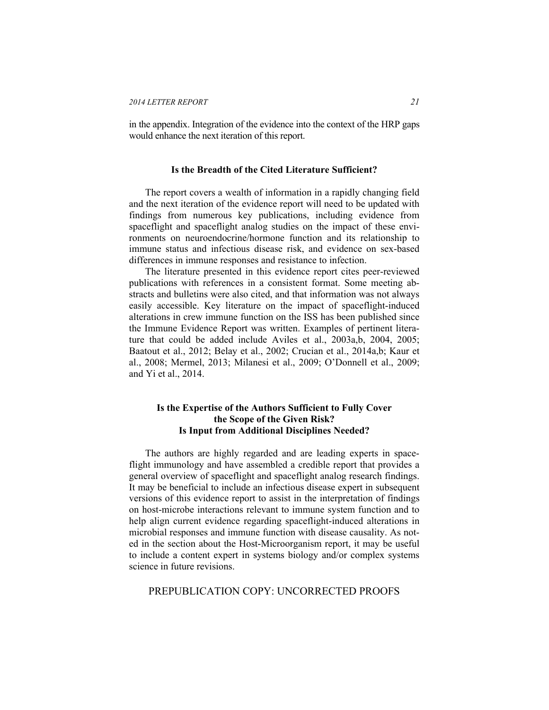• *Risk assessment models*: It will be important to develop quantitative and predictive spaceflight and spaceflight-analog models of risk assessment to supplement the data obtained from biological experiments. The development of such models could include (1) accessing information from the longitudinal follow-up of astronaut health to monitor potential spaceflight-induced alterations in immune function and adverse health events that may take years to manifest (especially given the small sample size), and (2) understanding the impact of current preventative measures on risk for immune-related disease.

#### **Does the Evidence Report Address Relevant Interactions Among Risks?**

This evidence report has relevance to many of the other risks described in NASA's evidence reports, primarily the report on alterations in host-microorganism interactions (Chatterjee et al., 2012), but also reports on the risks regarding the design of the vehicle/habitat (Whitmore et al., 2013), radiation (Cucinotta and Durante, 2009; Cucinotta et al., 2009; Wu et al., 2009), on the effectiveness of medications (Wotring, 2011), on nutrition and the food system (Perchonok et al., 2012; Smith et al., 2009), on exposure to dust and volatiles (James and Kahn-Mayberry, 2009), on sleep loss and circadian desynchronization (Whitmore et al., 2009), on interactions with the central and peripheral nervous systems (Cucinotta et al., 2009), and on the limitations of in-flight medical capabilities (NASA, 2014a). While a clear link was made between this evidence report and the Alterations in Host-Microorganism Interactions report, links between other evidence reports were not immediately evident.

#### **What Is the Overall Readability and Quality?**

This evidence report is less than critical in its analysis of spaceflight and spaceflight-analog research findings. Although the report includes information on the negative impact of spaceflight on the functional responses of immune cells isolated from astronaut blood samples (including reduced levels of phagocytosis, antimicrobial oxidative burst, and response to lipopolysaccharides), the location of the evidence is somewhat inconsistent, as some of this information is in the text and some is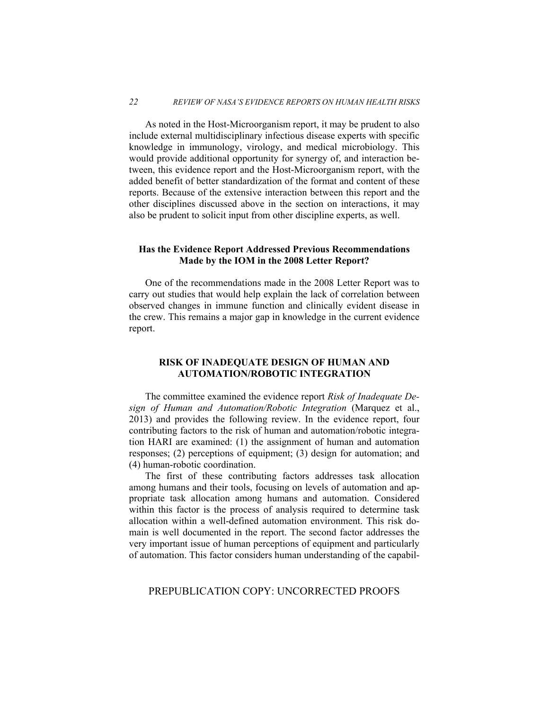in the appendix. Integration of the evidence into the context of the HRP gaps would enhance the next iteration of this report.

#### **Is the Breadth of the Cited Literature Sufficient?**

The report covers a wealth of information in a rapidly changing field and the next iteration of the evidence report will need to be updated with findings from numerous key publications, including evidence from spaceflight and spaceflight analog studies on the impact of these environments on neuroendocrine/hormone function and its relationship to immune status and infectious disease risk, and evidence on sex-based differences in immune responses and resistance to infection.

The literature presented in this evidence report cites peer-reviewed publications with references in a consistent format. Some meeting abstracts and bulletins were also cited, and that information was not always easily accessible. Key literature on the impact of spaceflight-induced alterations in crew immune function on the ISS has been published since the Immune Evidence Report was written. Examples of pertinent literature that could be added include Aviles et al., 2003a,b, 2004, 2005; Baatout et al., 2012; Belay et al., 2002; Crucian et al., 2014a,b; Kaur et al., 2008; Mermel, 2013; Milanesi et al., 2009; O'Donnell et al., 2009; and Yi et al., 2014.

#### **Is the Expertise of the Authors Sufficient to Fully Cover the Scope of the Given Risk? Is Input from Additional Disciplines Needed?**

The authors are highly regarded and are leading experts in spaceflight immunology and have assembled a credible report that provides a general overview of spaceflight and spaceflight analog research findings. It may be beneficial to include an infectious disease expert in subsequent versions of this evidence report to assist in the interpretation of findings on host-microbe interactions relevant to immune system function and to help align current evidence regarding spaceflight-induced alterations in microbial responses and immune function with disease causality. As noted in the section about the Host-Microorganism report, it may be useful to include a content expert in systems biology and/or complex systems science in future revisions.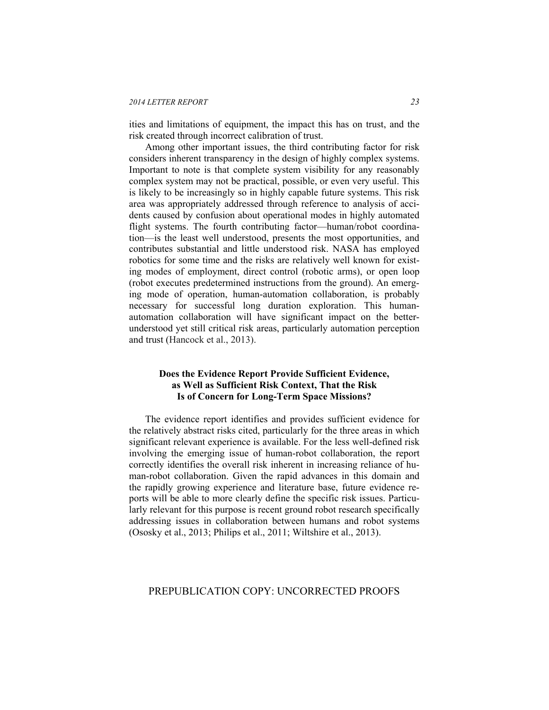As noted in the Host-Microorganism report, it may be prudent to also include external multidisciplinary infectious disease experts with specific knowledge in immunology, virology, and medical microbiology. This would provide additional opportunity for synergy of, and interaction between, this evidence report and the Host-Microorganism report, with the added benefit of better standardization of the format and content of these reports. Because of the extensive interaction between this report and the other disciplines discussed above in the section on interactions, it may also be prudent to solicit input from other discipline experts, as well.

#### **Has the Evidence Report Addressed Previous Recommendations Made by the IOM in the 2008 Letter Report?**

One of the recommendations made in the 2008 Letter Report was to carry out studies that would help explain the lack of correlation between observed changes in immune function and clinically evident disease in the crew. This remains a major gap in knowledge in the current evidence report.

#### **RISK OF INADEQUATE DESIGN OF HUMAN AND AUTOMATION/ROBOTIC INTEGRATION**

 The committee examined the evidence report *Risk of Inadequate Design of Human and Automation/Robotic Integration* (Marquez et al., 2013) and provides the following review. In the evidence report, four contributing factors to the risk of human and automation/robotic integration HARI are examined: (1) the assignment of human and automation responses; (2) perceptions of equipment; (3) design for automation; and (4) human-robotic coordination.

 The first of these contributing factors addresses task allocation among humans and their tools, focusing on levels of automation and appropriate task allocation among humans and automation. Considered within this factor is the process of analysis required to determine task allocation within a well-defined automation environment. This risk domain is well documented in the report. The second factor addresses the very important issue of human perceptions of equipment and particularly of automation. This factor considers human understanding of the capabil-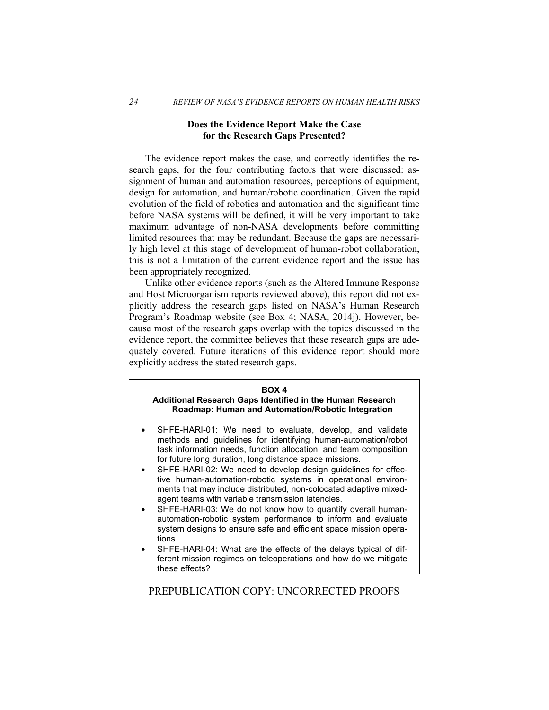ities and limitations of equipment, the impact this has on trust, and the risk created through incorrect calibration of trust.

 Among other important issues, the third contributing factor for risk considers inherent transparency in the design of highly complex systems. Important to note is that complete system visibility for any reasonably complex system may not be practical, possible, or even very useful. This is likely to be increasingly so in highly capable future systems. This risk area was appropriately addressed through reference to analysis of accidents caused by confusion about operational modes in highly automated flight systems. The fourth contributing factor—human/robot coordination—is the least well understood, presents the most opportunities, and contributes substantial and little understood risk. NASA has employed robotics for some time and the risks are relatively well known for existing modes of employment, direct control (robotic arms), or open loop (robot executes predetermined instructions from the ground). An emerging mode of operation, human-automation collaboration, is probably necessary for successful long duration exploration. This humanautomation collaboration will have significant impact on the betterunderstood yet still critical risk areas, particularly automation perception and trust (Hancock et al., 2013).

#### **Does the Evidence Report Provide Sufficient Evidence, as Well as Sufficient Risk Context, That the Risk Is of Concern for Long-Term Space Missions?**

The evidence report identifies and provides sufficient evidence for the relatively abstract risks cited, particularly for the three areas in which significant relevant experience is available. For the less well-defined risk involving the emerging issue of human-robot collaboration, the report correctly identifies the overall risk inherent in increasing reliance of human-robot collaboration. Given the rapid advances in this domain and the rapidly growing experience and literature base, future evidence reports will be able to more clearly define the specific risk issues. Particularly relevant for this purpose is recent ground robot research specifically addressing issues in collaboration between humans and robot systems (Ososky et al., 2013; Philips et al., 2011; Wiltshire et al., 2013).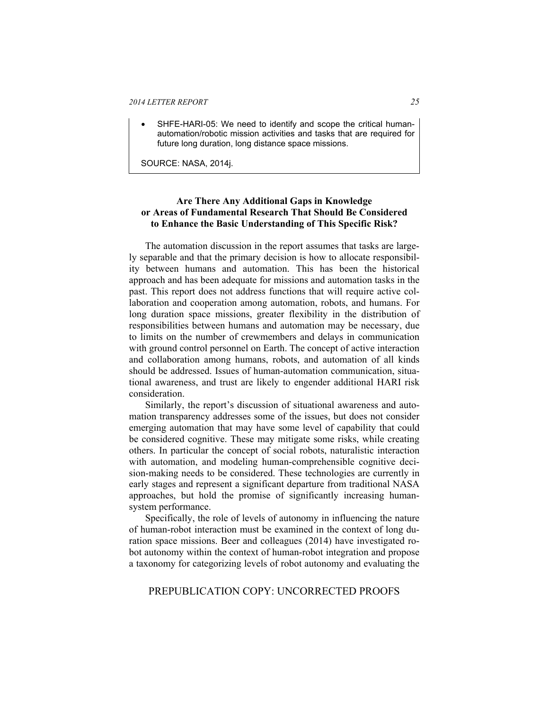#### **Does the Evidence Report Make the Case for the Research Gaps Presented?**

The evidence report makes the case, and correctly identifies the research gaps, for the four contributing factors that were discussed: assignment of human and automation resources, perceptions of equipment, design for automation, and human/robotic coordination. Given the rapid evolution of the field of robotics and automation and the significant time before NASA systems will be defined, it will be very important to take maximum advantage of non-NASA developments before committing limited resources that may be redundant. Because the gaps are necessarily high level at this stage of development of human-robot collaboration, this is not a limitation of the current evidence report and the issue has been appropriately recognized.

Unlike other evidence reports (such as the Altered Immune Response and Host Microorganism reports reviewed above), this report did not explicitly address the research gaps listed on NASA's Human Research Program's Roadmap website (see Box 4; NASA, 2014j). However, because most of the research gaps overlap with the topics discussed in the evidence report, the committee believes that these research gaps are adequately covered. Future iterations of this evidence report should more explicitly address the stated research gaps.

#### **BOX 4**

#### **Additional Research Gaps Identified in the Human Research Roadmap: Human and Automation/Robotic Integration**

- SHFE-HARI-01: We need to evaluate, develop, and validate methods and guidelines for identifying human-automation/robot task information needs, function allocation, and team composition for future long duration, long distance space missions.
- SHFE-HARI-02: We need to develop design guidelines for effective human-automation-robotic systems in operational environments that may include distributed, non-colocated adaptive mixedagent teams with variable transmission latencies.
- SHFE-HARI-03: We do not know how to quantify overall humanautomation-robotic system performance to inform and evaluate system designs to ensure safe and efficient space mission operations.
- SHFE-HARI-04: What are the effects of the delays typical of different mission regimes on teleoperations and how do we mitigate these effects?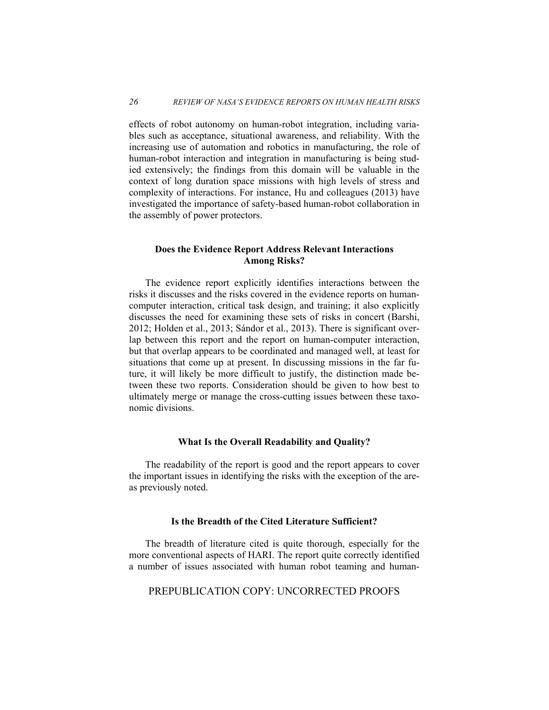#### *2014 LETTER REPORT 25*

SHFE-HARI-05: We need to identify and scope the critical humanautomation/robotic mission activities and tasks that are required for future long duration, long distance space missions.

SOURCE: NASA, 2014j.

#### **Are There Any Additional Gaps in Knowledge or Areas of Fundamental Research That Should Be Considered to Enhance the Basic Understanding of This Specific Risk?**

 The automation discussion in the report assumes that tasks are largely separable and that the primary decision is how to allocate responsibility between humans and automation. This has been the historical approach and has been adequate for missions and automation tasks in the past. This report does not address functions that will require active collaboration and cooperation among automation, robots, and humans. For long duration space missions, greater flexibility in the distribution of responsibilities between humans and automation may be necessary, due to limits on the number of crewmembers and delays in communication with ground control personnel on Earth. The concept of active interaction and collaboration among humans, robots, and automation of all kinds should be addressed. Issues of human-automation communication, situational awareness, and trust are likely to engender additional HARI risk consideration.

 Similarly, the report's discussion of situational awareness and automation transparency addresses some of the issues, but does not consider emerging automation that may have some level of capability that could be considered cognitive. These may mitigate some risks, while creating others. In particular the concept of social robots, naturalistic interaction with automation, and modeling human-comprehensible cognitive decision-making needs to be considered. These technologies are currently in early stages and represent a significant departure from traditional NASA approaches, but hold the promise of significantly increasing humansystem performance.

 Specifically, the role of levels of autonomy in influencing the nature of human-robot interaction must be examined in the context of long duration space missions. Beer and colleagues (2014) have investigated robot autonomy within the context of human-robot integration and propose a taxonomy for categorizing levels of robot autonomy and evaluating the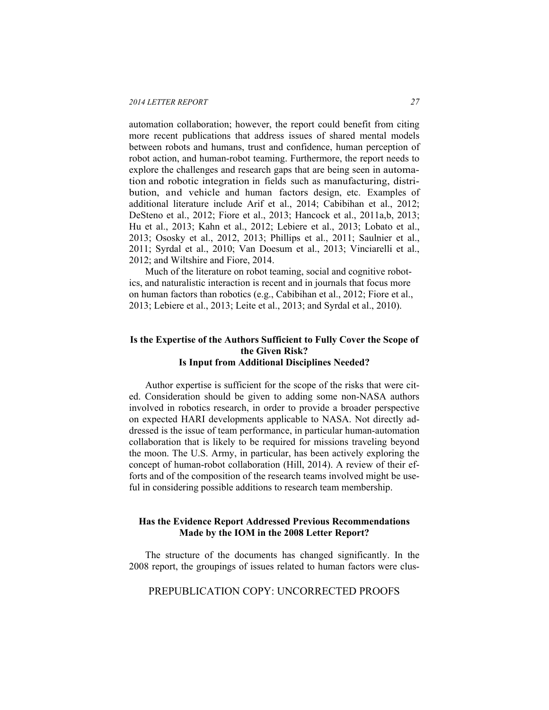effects of robot autonomy on human-robot integration, including variables such as acceptance, situational awareness, and reliability. With the increasing use of automation and robotics in manufacturing, the role of human-robot interaction and integration in manufacturing is being studied extensively; the findings from this domain will be valuable in the context of long duration space missions with high levels of stress and complexity of interactions. For instance, Hu and colleagues (2013) have investigated the importance of safety-based human-robot collaboration in the assembly of power protectors.

#### **Does the Evidence Report Address Relevant Interactions Among Risks?**

The evidence report explicitly identifies interactions between the risks it discusses and the risks covered in the evidence reports on humancomputer interaction, critical task design, and training; it also explicitly discusses the need for examining these sets of risks in concert (Barshi, 2012; Holden et al., 2013; Sándor et al., 2013). There is significant overlap between this report and the report on human-computer interaction, but that overlap appears to be coordinated and managed well, at least for situations that come up at present. In discussing missions in the far future, it will likely be more difficult to justify, the distinction made between these two reports. Consideration should be given to how best to ultimately merge or manage the cross-cutting issues between these taxonomic divisions.

#### **What Is the Overall Readability and Quality?**

The readability of the report is good and the report appears to cover the important issues in identifying the risks with the exception of the areas previously noted.

#### **Is the Breadth of the Cited Literature Sufficient?**

The breadth of literature cited is quite thorough, especially for the more conventional aspects of HARI. The report quite correctly identified a number of issues associated with human robot teaming and human-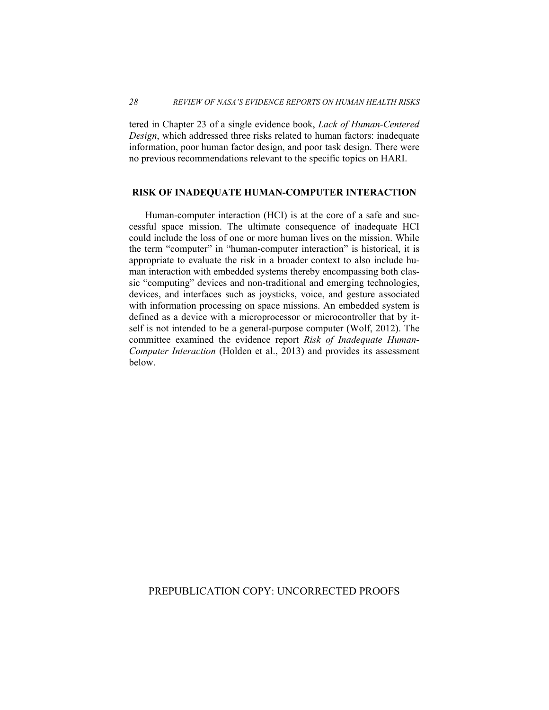automation collaboration; however, the report could benefit from citing more recent publications that address issues of shared mental models between robots and humans, trust and confidence, human perception of robot action, and human-robot teaming. Furthermore, the report needs to explore the challenges and research gaps that are being seen in automation and robotic integration in fields such as manufacturing, distribution, and vehicle and human factors design, etc. Examples of additional literature include Arif et al., 2014; Cabibihan et al., 2012; DeSteno et al., 2012; Fiore et al., 2013; Hancock et al., 2011a,b, 2013; Hu et al., 2013; Kahn et al., 2012; Lebiere et al., 2013; Lobato et al., 2013; Ososky et al., 2012, 2013; Phillips et al., 2011; Saulnier et al., 2011; Syrdal et al., 2010; Van Doesum et al., 2013; Vinciarelli et al., 2012; and Wiltshire and Fiore, 2014.

Much of the literature on robot teaming, social and cognitive robotics, and naturalistic interaction is recent and in journals that focus more on human factors than robotics (e.g., Cabibihan et al., 2012; Fiore et al., 2013; Lebiere et al., 2013; Leite et al., 2013; and Syrdal et al., 2010).

### **Is the Expertise of the Authors Sufficient to Fully Cover the Scope of the Given Risk? Is Input from Additional Disciplines Needed?**

Author expertise is sufficient for the scope of the risks that were cited. Consideration should be given to adding some non-NASA authors involved in robotics research, in order to provide a broader perspective on expected HARI developments applicable to NASA. Not directly addressed is the issue of team performance, in particular human-automation collaboration that is likely to be required for missions traveling beyond the moon. The U.S. Army, in particular, has been actively exploring the concept of human-robot collaboration (Hill, 2014). A review of their efforts and of the composition of the research teams involved might be useful in considering possible additions to research team membership.

### **Has the Evidence Report Addressed Previous Recommendations Made by the IOM in the 2008 Letter Report?**

The structure of the documents has changed significantly. In the 2008 report, the groupings of issues related to human factors were clus-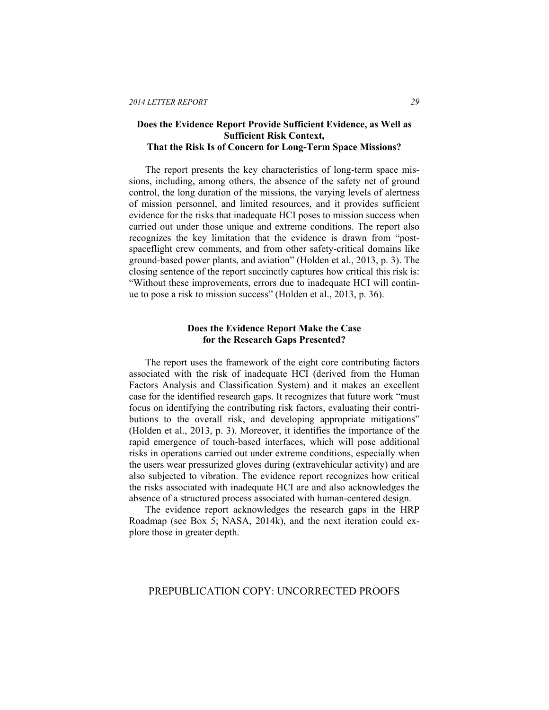tered in Chapter 23 of a single evidence book, *Lack of Human-Centered Design*, which addressed three risks related to human factors: inadequate information, poor human factor design, and poor task design. There were no previous recommendations relevant to the specific topics on HARI.

## **RISK OF INADEQUATE HUMAN-COMPUTER INTERACTION**

Human-computer interaction (HCI) is at the core of a safe and successful space mission. The ultimate consequence of inadequate HCI could include the loss of one or more human lives on the mission. While the term "computer" in "human-computer interaction" is historical, it is appropriate to evaluate the risk in a broader context to also include human interaction with embedded systems thereby encompassing both classic "computing" devices and non-traditional and emerging technologies, devices, and interfaces such as joysticks, voice, and gesture associated with information processing on space missions. An embedded system is defined as a device with a microprocessor or microcontroller that by itself is not intended to be a general-purpose computer (Wolf, 2012). The committee examined the evidence report *Risk of Inadequate Human-Computer Interaction* (Holden et al., 2013) and provides its assessment below.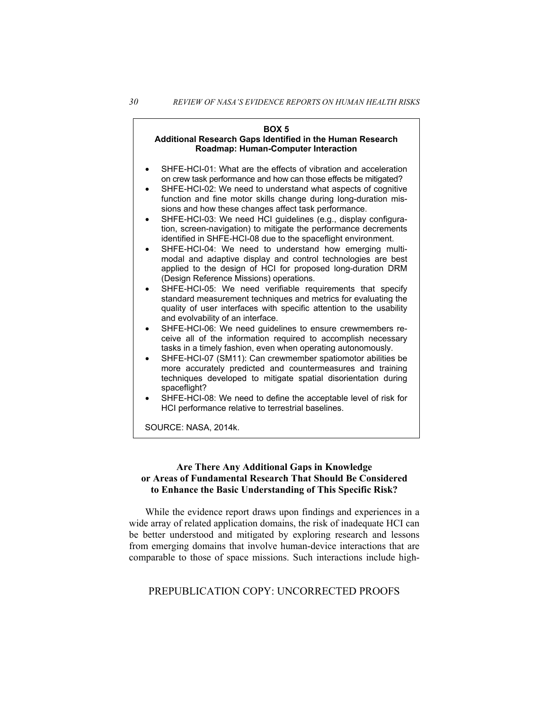## **Does the Evidence Report Provide Sufficient Evidence, as Well as Sufficient Risk Context, That the Risk Is of Concern for Long-Term Space Missions?**

The report presents the key characteristics of long-term space missions, including, among others, the absence of the safety net of ground control, the long duration of the missions, the varying levels of alertness of mission personnel, and limited resources, and it provides sufficient evidence for the risks that inadequate HCI poses to mission success when carried out under those unique and extreme conditions. The report also recognizes the key limitation that the evidence is drawn from "postspaceflight crew comments, and from other safety-critical domains like ground-based power plants, and aviation" (Holden et al., 2013, p. 3). The closing sentence of the report succinctly captures how critical this risk is: "Without these improvements, errors due to inadequate HCI will continue to pose a risk to mission success" (Holden et al., 2013, p. 36).

## **Does the Evidence Report Make the Case for the Research Gaps Presented?**

The report uses the framework of the eight core contributing factors associated with the risk of inadequate HCI (derived from the Human Factors Analysis and Classification System) and it makes an excellent case for the identified research gaps. It recognizes that future work "must focus on identifying the contributing risk factors, evaluating their contributions to the overall risk, and developing appropriate mitigations" (Holden et al., 2013, p. 3). Moreover, it identifies the importance of the rapid emergence of touch-based interfaces, which will pose additional risks in operations carried out under extreme conditions, especially when the users wear pressurized gloves during (extravehicular activity) and are also subjected to vibration. The evidence report recognizes how critical the risks associated with inadequate HCI are and also acknowledges the absence of a structured process associated with human-centered design.

The evidence report acknowledges the research gaps in the HRP Roadmap (see Box 5; NASA, 2014k), and the next iteration could explore those in greater depth.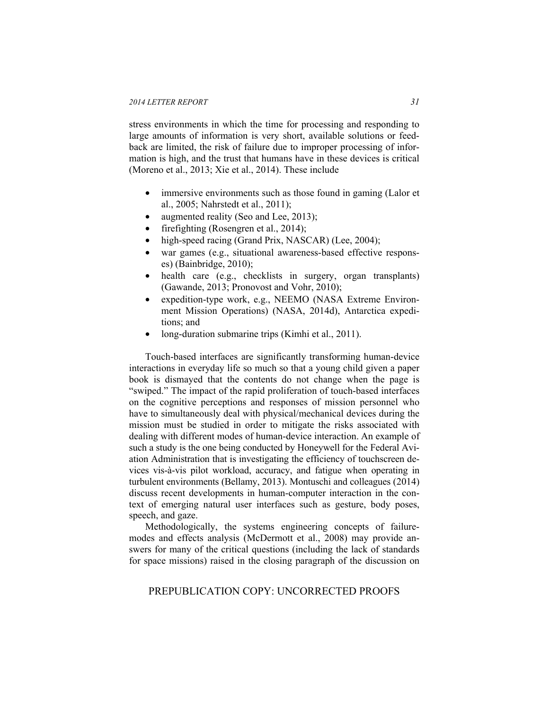### **BOX 5**

#### **Additional Research Gaps Identified in the Human Research Roadmap: Human-Computer Interaction**

- SHFE-HCI-01: What are the effects of vibration and acceleration on crew task performance and how can those effects be mitigated?
- SHFE-HCI-02: We need to understand what aspects of cognitive function and fine motor skills change during long-duration missions and how these changes affect task performance.
- SHFE-HCI-03: We need HCI quidelines (e.g., display configuration, screen-navigation) to mitigate the performance decrements identified in SHFE-HCI-08 due to the spaceflight environment.
- SHFE-HCI-04: We need to understand how emerging multimodal and adaptive display and control technologies are best applied to the design of HCI for proposed long-duration DRM (Design Reference Missions) operations.
- SHFE-HCI-05: We need verifiable requirements that specify standard measurement techniques and metrics for evaluating the quality of user interfaces with specific attention to the usability and evolvability of an interface.
- SHFE-HCI-06: We need guidelines to ensure crewmembers receive all of the information required to accomplish necessary tasks in a timely fashion, even when operating autonomously.
- SHFE-HCI-07 (SM11): Can crewmember spatiomotor abilities be more accurately predicted and countermeasures and training techniques developed to mitigate spatial disorientation during spaceflight?
- SHFE-HCI-08: We need to define the acceptable level of risk for HCI performance relative to terrestrial baselines.

SOURCE: NASA, 2014k.

## **Are There Any Additional Gaps in Knowledge or Areas of Fundamental Research That Should Be Considered to Enhance the Basic Understanding of This Specific Risk?**

While the evidence report draws upon findings and experiences in a wide array of related application domains, the risk of inadequate HCI can be better understood and mitigated by exploring research and lessons from emerging domains that involve human-device interactions that are comparable to those of space missions. Such interactions include high-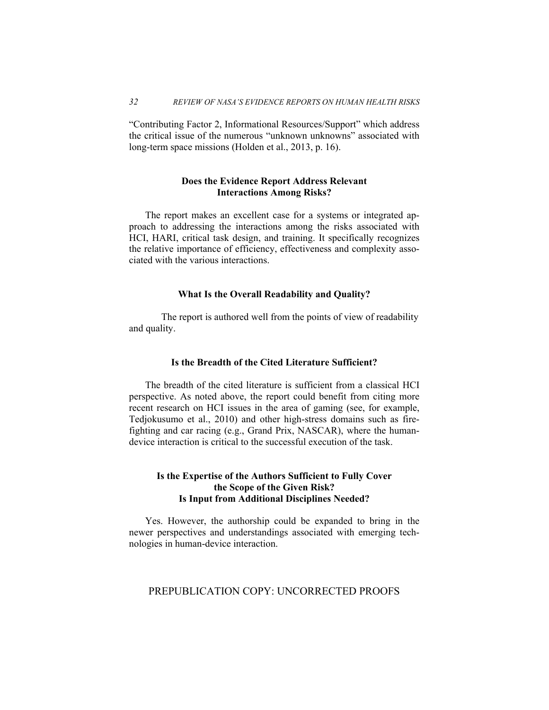stress environments in which the time for processing and responding to large amounts of information is very short, available solutions or feedback are limited, the risk of failure due to improper processing of information is high, and the trust that humans have in these devices is critical (Moreno et al., 2013; Xie et al., 2014). These include

- immersive environments such as those found in gaming (Lalor et al., 2005; Nahrstedt et al., 2011);
- augmented reality (Seo and Lee, 2013);
- firefighting (Rosengren et al., 2014);
- high-speed racing (Grand Prix, NASCAR) (Lee, 2004);
- war games (e.g., situational awareness-based effective responses) (Bainbridge, 2010);
- health care (e.g., checklists in surgery, organ transplants) (Gawande, 2013; Pronovost and Vohr, 2010);
- expedition-type work, e.g., NEEMO (NASA Extreme Environment Mission Operations) (NASA, 2014d), Antarctica expeditions; and
- long-duration submarine trips (Kimhi et al., 2011).

Touch-based interfaces are significantly transforming human-device interactions in everyday life so much so that a young child given a paper book is dismayed that the contents do not change when the page is "swiped." The impact of the rapid proliferation of touch-based interfaces on the cognitive perceptions and responses of mission personnel who have to simultaneously deal with physical/mechanical devices during the mission must be studied in order to mitigate the risks associated with dealing with different modes of human-device interaction. An example of such a study is the one being conducted by Honeywell for the Federal Aviation Administration that is investigating the efficiency of touchscreen devices vis-à-vis pilot workload, accuracy, and fatigue when operating in turbulent environments (Bellamy, 2013). Montuschi and colleagues (2014) discuss recent developments in human-computer interaction in the context of emerging natural user interfaces such as gesture, body poses, speech, and gaze.

Methodologically, the systems engineering concepts of failuremodes and effects analysis (McDermott et al., 2008) may provide answers for many of the critical questions (including the lack of standards for space missions) raised in the closing paragraph of the discussion on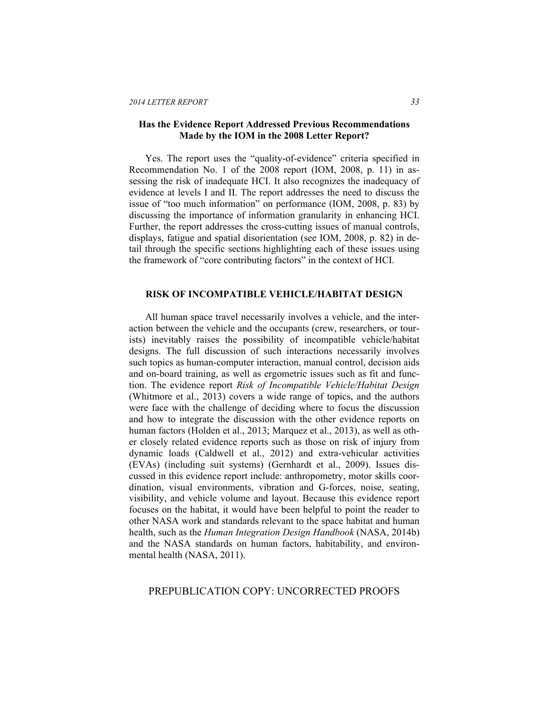"Contributing Factor 2, Informational Resources/Support" which address the critical issue of the numerous "unknown unknowns" associated with long-term space missions (Holden et al., 2013, p. 16).

## **Does the Evidence Report Address Relevant Interactions Among Risks?**

The report makes an excellent case for a systems or integrated approach to addressing the interactions among the risks associated with HCI, HARI, critical task design, and training. It specifically recognizes the relative importance of efficiency, effectiveness and complexity associated with the various interactions.

### **What Is the Overall Readability and Quality?**

The report is authored well from the points of view of readability and quality.

### **Is the Breadth of the Cited Literature Sufficient?**

The breadth of the cited literature is sufficient from a classical HCI perspective. As noted above, the report could benefit from citing more recent research on HCI issues in the area of gaming (see, for example, Tedjokusumo et al., 2010) and other high-stress domains such as firefighting and car racing (e.g., Grand Prix, NASCAR), where the humandevice interaction is critical to the successful execution of the task.

## **Is the Expertise of the Authors Sufficient to Fully Cover the Scope of the Given Risk? Is Input from Additional Disciplines Needed?**

Yes. However, the authorship could be expanded to bring in the newer perspectives and understandings associated with emerging technologies in human-device interaction.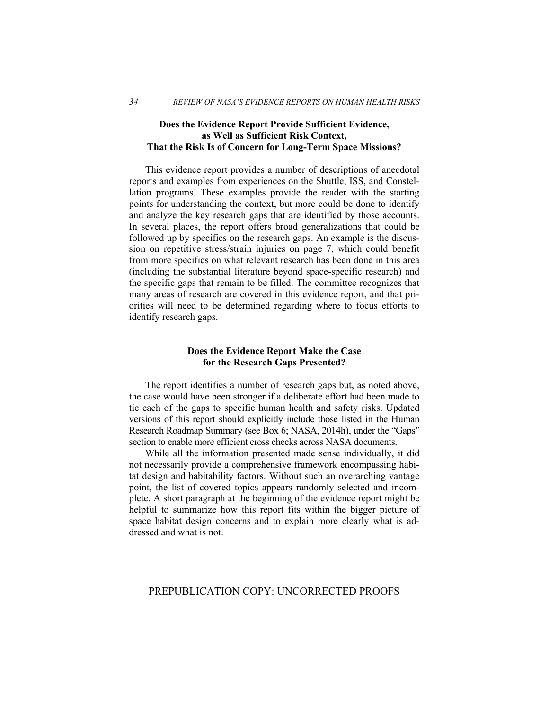### **Has the Evidence Report Addressed Previous Recommendations Made by the IOM in the 2008 Letter Report?**

Yes. The report uses the "quality-of-evidence" criteria specified in Recommendation No. 1 of the 2008 report (IOM, 2008, p. 11) in assessing the risk of inadequate HCI. It also recognizes the inadequacy of evidence at levels I and II. The report addresses the need to discuss the issue of "too much information" on performance (IOM, 2008, p. 83) by discussing the importance of information granularity in enhancing HCI. Further, the report addresses the cross-cutting issues of manual controls, displays, fatigue and spatial disorientation (see IOM, 2008, p. 82) in detail through the specific sections highlighting each of these issues using the framework of "core contributing factors" in the context of HCI.

#### **RISK OF INCOMPATIBLE VEHICLE/HABITAT DESIGN**

All human space travel necessarily involves a vehicle, and the interaction between the vehicle and the occupants (crew, researchers, or tourists) inevitably raises the possibility of incompatible vehicle/habitat designs. The full discussion of such interactions necessarily involves such topics as human-computer interaction, manual control, decision aids and on-board training, as well as ergometric issues such as fit and function. The evidence report *Risk of Incompatible Vehicle/Habitat Design* (Whitmore et al., 2013) covers a wide range of topics, and the authors were face with the challenge of deciding where to focus the discussion and how to integrate the discussion with the other evidence reports on human factors (Holden et al., 2013; Marquez et al., 2013), as well as other closely related evidence reports such as those on risk of injury from dynamic loads (Caldwell et al., 2012) and extra-vehicular activities (EVAs) (including suit systems) (Gernhardt et al., 2009). Issues discussed in this evidence report include: anthropometry, motor skills coordination, visual environments, vibration and G-forces, noise, seating, visibility, and vehicle volume and layout. Because this evidence report focuses on the habitat, it would have been helpful to point the reader to other NASA work and standards relevant to the space habitat and human health, such as the *Human Integration Design Handbook* (NASA, 2014b) and the NASA standards on human factors, habitability, and environmental health (NASA, 2011).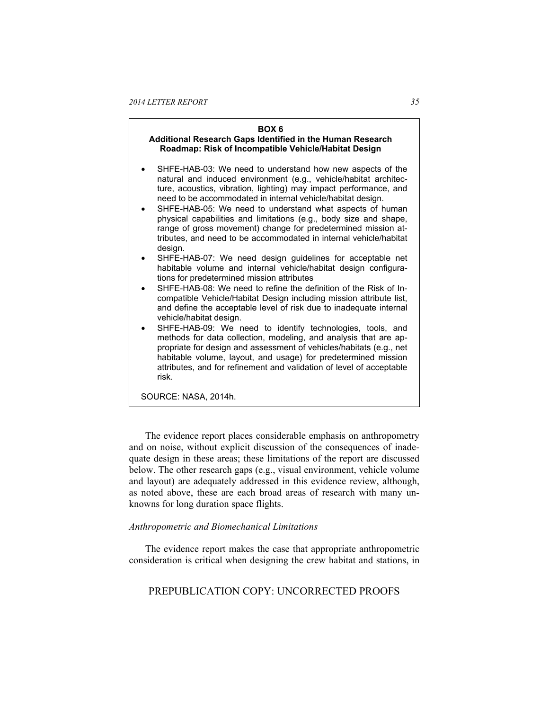## **Does the Evidence Report Provide Sufficient Evidence, as Well as Sufficient Risk Context, That the Risk Is of Concern for Long-Term Space Missions?**

 This evidence report provides a number of descriptions of anecdotal reports and examples from experiences on the Shuttle, ISS, and Constellation programs. These examples provide the reader with the starting points for understanding the context, but more could be done to identify and analyze the key research gaps that are identified by those accounts. In several places, the report offers broad generalizations that could be followed up by specifics on the research gaps. An example is the discussion on repetitive stress/strain injuries on page 7, which could benefit from more specifics on what relevant research has been done in this area (including the substantial literature beyond space-specific research) and the specific gaps that remain to be filled. The committee recognizes that many areas of research are covered in this evidence report, and that priorities will need to be determined regarding where to focus efforts to identify research gaps.

### **Does the Evidence Report Make the Case for the Research Gaps Presented?**

 The report identifies a number of research gaps but, as noted above, the case would have been stronger if a deliberate effort had been made to tie each of the gaps to specific human health and safety risks. Updated versions of this report should explicitly include those listed in the Human Research Roadmap Summary (see Box 6; NASA, 2014h), under the "Gaps" section to enable more efficient cross checks across NASA documents.

While all the information presented made sense individually, it did not necessarily provide a comprehensive framework encompassing habitat design and habitability factors. Without such an overarching vantage point, the list of covered topics appears randomly selected and incomplete. A short paragraph at the beginning of the evidence report might be helpful to summarize how this report fits within the bigger picture of space habitat design concerns and to explain more clearly what is addressed and what is not.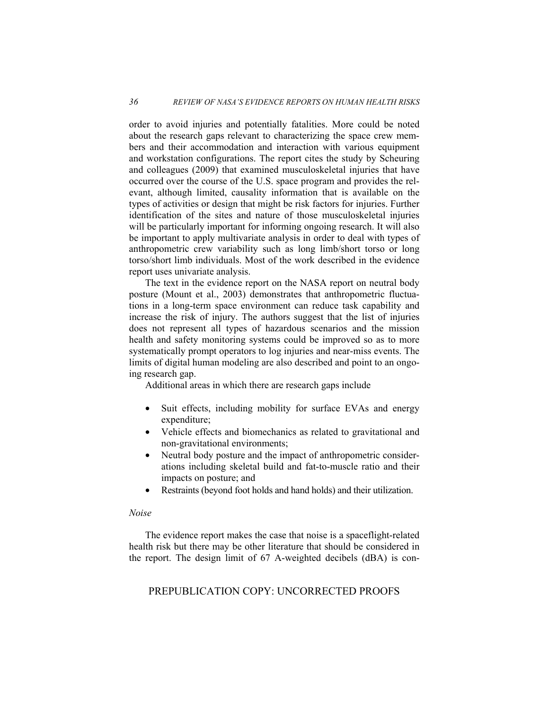### **BOX 6**

### **Additional Research Gaps Identified in the Human Research Roadmap: Risk of Incompatible Vehicle/Habitat Design**

- SHFE-HAB-03: We need to understand how new aspects of the natural and induced environment (e.g., vehicle/habitat architecture, acoustics, vibration, lighting) may impact performance, and need to be accommodated in internal vehicle/habitat design.
- SHFE-HAB-05: We need to understand what aspects of human physical capabilities and limitations (e.g., body size and shape, range of gross movement) change for predetermined mission attributes, and need to be accommodated in internal vehicle/habitat design.
- SHFE-HAB-07: We need design guidelines for acceptable net habitable volume and internal vehicle/habitat design configurations for predetermined mission attributes
- SHFE-HAB-08: We need to refine the definition of the Risk of Incompatible Vehicle/Habitat Design including mission attribute list, and define the acceptable level of risk due to inadequate internal vehicle/habitat design.
- SHFE-HAB-09: We need to identify technologies, tools, and methods for data collection, modeling, and analysis that are appropriate for design and assessment of vehicles/habitats (e.g., net habitable volume, layout, and usage) for predetermined mission attributes, and for refinement and validation of level of acceptable risk.

SOURCE: NASA, 2014h.

The evidence report places considerable emphasis on anthropometry and on noise, without explicit discussion of the consequences of inadequate design in these areas; these limitations of the report are discussed below. The other research gaps (e.g., visual environment, vehicle volume and layout) are adequately addressed in this evidence review, although, as noted above, these are each broad areas of research with many unknowns for long duration space flights.

#### *Anthropometric and Biomechanical Limitations*

The evidence report makes the case that appropriate anthropometric consideration is critical when designing the crew habitat and stations, in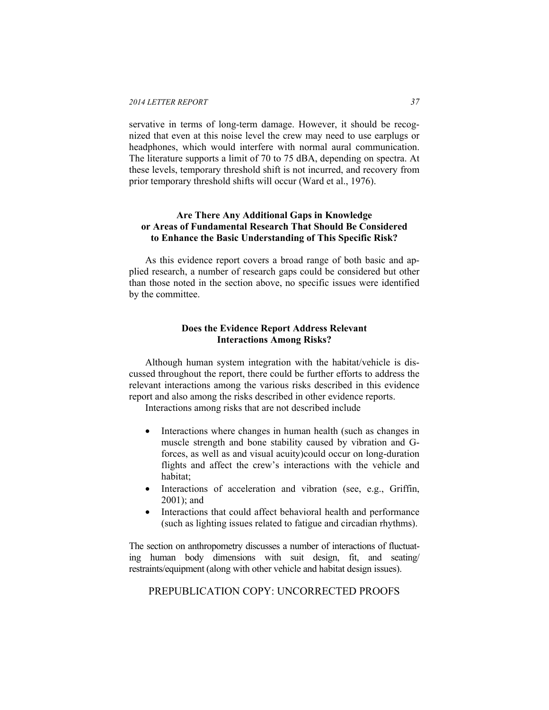order to avoid injuries and potentially fatalities. More could be noted about the research gaps relevant to characterizing the space crew members and their accommodation and interaction with various equipment and workstation configurations. The report cites the study by Scheuring and colleagues (2009) that examined musculoskeletal injuries that have occurred over the course of the U.S. space program and provides the relevant, although limited, causality information that is available on the types of activities or design that might be risk factors for injuries. Further identification of the sites and nature of those musculoskeletal injuries will be particularly important for informing ongoing research. It will also be important to apply multivariate analysis in order to deal with types of anthropometric crew variability such as long limb/short torso or long torso/short limb individuals. Most of the work described in the evidence report uses univariate analysis.

The text in the evidence report on the NASA report on neutral body posture (Mount et al., 2003) demonstrates that anthropometric fluctuations in a long-term space environment can reduce task capability and increase the risk of injury. The authors suggest that the list of injuries does not represent all types of hazardous scenarios and the mission health and safety monitoring systems could be improved so as to more systematically prompt operators to log injuries and near-miss events. The limits of digital human modeling are also described and point to an ongoing research gap.

Additional areas in which there are research gaps include

- Suit effects, including mobility for surface EVAs and energy expenditure;
- Vehicle effects and biomechanics as related to gravitational and non-gravitational environments;
- Neutral body posture and the impact of anthropometric considerations including skeletal build and fat-to-muscle ratio and their impacts on posture; and
- Restraints (beyond foot holds and hand holds) and their utilization.

### *Noise*

The evidence report makes the case that noise is a spaceflight-related health risk but there may be other literature that should be considered in the report. The design limit of 67 A-weighted decibels (dBA) is con-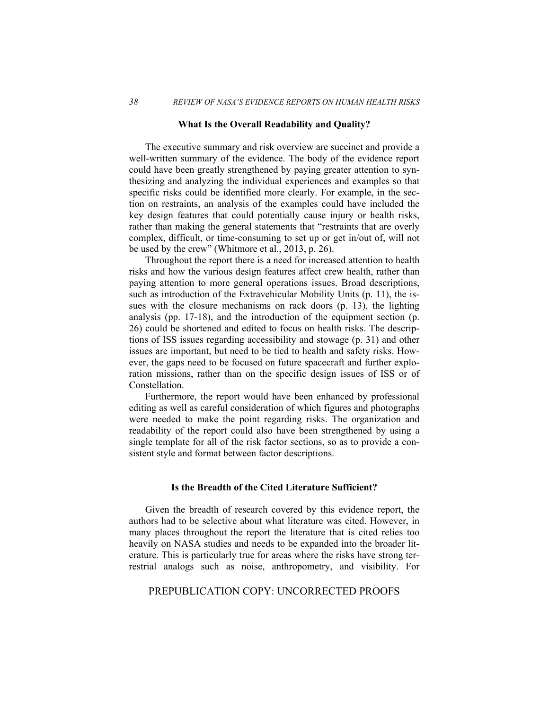servative in terms of long-term damage. However, it should be recognized that even at this noise level the crew may need to use earplugs or headphones, which would interfere with normal aural communication. The literature supports a limit of 70 to 75 dBA, depending on spectra. At these levels, temporary threshold shift is not incurred, and recovery from prior temporary threshold shifts will occur (Ward et al., 1976).

## **Are There Any Additional Gaps in Knowledge or Areas of Fundamental Research That Should Be Considered to Enhance the Basic Understanding of This Specific Risk?**

As this evidence report covers a broad range of both basic and applied research, a number of research gaps could be considered but other than those noted in the section above, no specific issues were identified by the committee.

## **Does the Evidence Report Address Relevant Interactions Among Risks?**

Although human system integration with the habitat/vehicle is discussed throughout the report, there could be further efforts to address the relevant interactions among the various risks described in this evidence report and also among the risks described in other evidence reports.

Interactions among risks that are not described include

- Interactions where changes in human health (such as changes in muscle strength and bone stability caused by vibration and Gforces, as well as and visual acuity)could occur on long-duration flights and affect the crew's interactions with the vehicle and habitat;
- Interactions of acceleration and vibration (see, e.g., Griffin, 2001); and
- Interactions that could affect behavioral health and performance (such as lighting issues related to fatigue and circadian rhythms).

The section on anthropometry discusses a number of interactions of fluctuating human body dimensions with suit design, fit, and seating/ restraints/equipment (along with other vehicle and habitat design issues).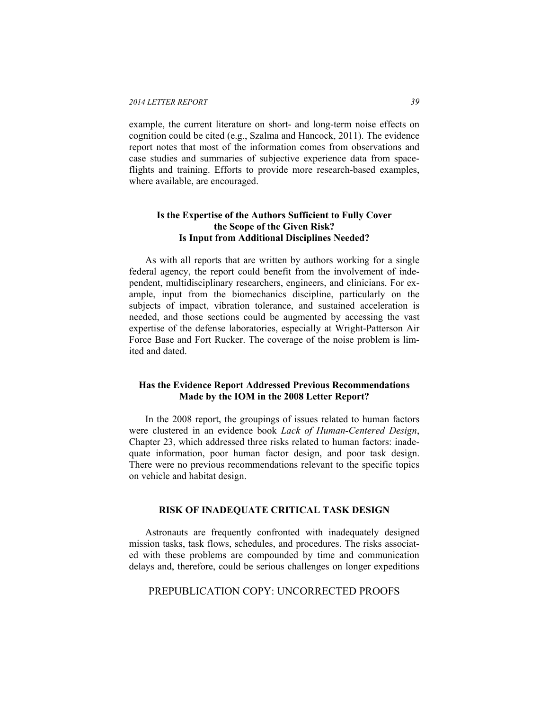#### **What Is the Overall Readability and Quality?**

The executive summary and risk overview are succinct and provide a well-written summary of the evidence. The body of the evidence report could have been greatly strengthened by paying greater attention to synthesizing and analyzing the individual experiences and examples so that specific risks could be identified more clearly. For example, in the section on restraints, an analysis of the examples could have included the key design features that could potentially cause injury or health risks, rather than making the general statements that "restraints that are overly complex, difficult, or time-consuming to set up or get in/out of, will not be used by the crew" (Whitmore et al., 2013, p. 26).

Throughout the report there is a need for increased attention to health risks and how the various design features affect crew health, rather than paying attention to more general operations issues. Broad descriptions, such as introduction of the Extravehicular Mobility Units (p. 11), the issues with the closure mechanisms on rack doors (p. 13), the lighting analysis (pp. 17-18), and the introduction of the equipment section (p. 26) could be shortened and edited to focus on health risks. The descriptions of ISS issues regarding accessibility and stowage (p. 31) and other issues are important, but need to be tied to health and safety risks. However, the gaps need to be focused on future spacecraft and further exploration missions, rather than on the specific design issues of ISS or of Constellation.

Furthermore, the report would have been enhanced by professional editing as well as careful consideration of which figures and photographs were needed to make the point regarding risks. The organization and readability of the report could also have been strengthened by using a single template for all of the risk factor sections, so as to provide a consistent style and format between factor descriptions.

### **Is the Breadth of the Cited Literature Sufficient?**

Given the breadth of research covered by this evidence report, the authors had to be selective about what literature was cited. However, in many places throughout the report the literature that is cited relies too heavily on NASA studies and needs to be expanded into the broader literature. This is particularly true for areas where the risks have strong terrestrial analogs such as noise, anthropometry, and visibility. For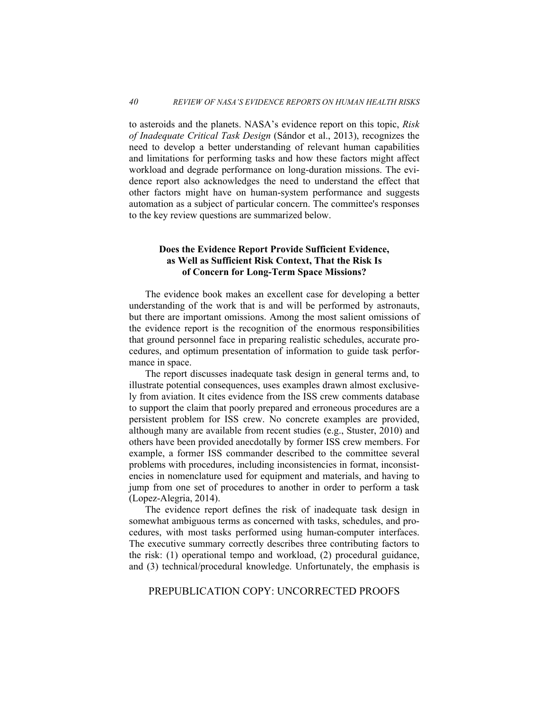example, the current literature on short- and long-term noise effects on cognition could be cited (e.g., Szalma and Hancock, 2011). The evidence report notes that most of the information comes from observations and case studies and summaries of subjective experience data from spaceflights and training. Efforts to provide more research-based examples, where available, are encouraged.

### **Is the Expertise of the Authors Sufficient to Fully Cover the Scope of the Given Risk? Is Input from Additional Disciplines Needed?**

As with all reports that are written by authors working for a single federal agency, the report could benefit from the involvement of independent, multidisciplinary researchers, engineers, and clinicians. For example, input from the biomechanics discipline, particularly on the subjects of impact, vibration tolerance, and sustained acceleration is needed, and those sections could be augmented by accessing the vast expertise of the defense laboratories, especially at Wright-Patterson Air Force Base and Fort Rucker. The coverage of the noise problem is limited and dated.

## **Has the Evidence Report Addressed Previous Recommendations Made by the IOM in the 2008 Letter Report?**

In the 2008 report, the groupings of issues related to human factors were clustered in an evidence book *Lack of Human-Centered Design*, Chapter 23, which addressed three risks related to human factors: inadequate information, poor human factor design, and poor task design. There were no previous recommendations relevant to the specific topics on vehicle and habitat design.

### **RISK OF INADEQUATE CRITICAL TASK DESIGN**

 Astronauts are frequently confronted with inadequately designed mission tasks, task flows, schedules, and procedures. The risks associated with these problems are compounded by time and communication delays and, therefore, could be serious challenges on longer expeditions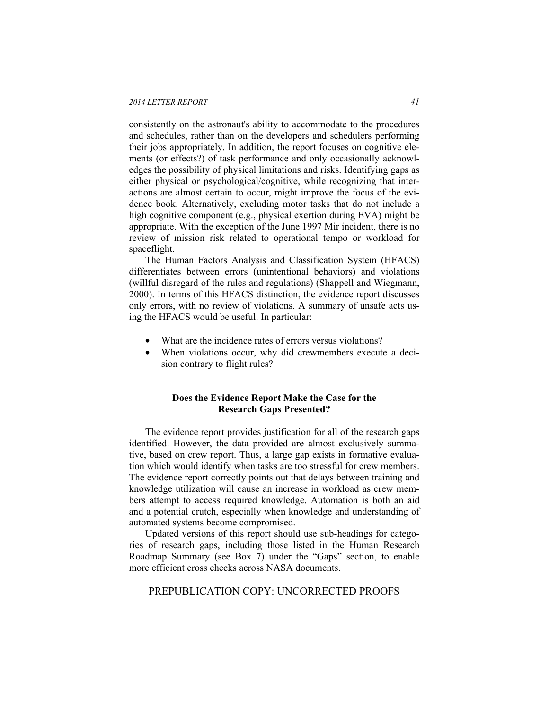to asteroids and the planets. NASA's evidence report on this topic, *Risk of Inadequate Critical Task Design* (Sándor et al., 2013), recognizes the need to develop a better understanding of relevant human capabilities and limitations for performing tasks and how these factors might affect workload and degrade performance on long-duration missions. The evidence report also acknowledges the need to understand the effect that other factors might have on human-system performance and suggests automation as a subject of particular concern. The committee's responses to the key review questions are summarized below.

## **Does the Evidence Report Provide Sufficient Evidence, as Well as Sufficient Risk Context, That the Risk Is of Concern for Long-Term Space Missions?**

 The evidence book makes an excellent case for developing a better understanding of the work that is and will be performed by astronauts, but there are important omissions. Among the most salient omissions of the evidence report is the recognition of the enormous responsibilities that ground personnel face in preparing realistic schedules, accurate procedures, and optimum presentation of information to guide task performance in space.

The report discusses inadequate task design in general terms and, to illustrate potential consequences, uses examples drawn almost exclusively from aviation. It cites evidence from the ISS crew comments database to support the claim that poorly prepared and erroneous procedures are a persistent problem for ISS crew. No concrete examples are provided, although many are available from recent studies (e.g., Stuster, 2010) and others have been provided anecdotally by former ISS crew members. For example, a former ISS commander described to the committee several problems with procedures, including inconsistencies in format, inconsistencies in nomenclature used for equipment and materials, and having to jump from one set of procedures to another in order to perform a task (Lopez-Alegria, 2014).

 The evidence report defines the risk of inadequate task design in somewhat ambiguous terms as concerned with tasks, schedules, and procedures, with most tasks performed using human-computer interfaces. The executive summary correctly describes three contributing factors to the risk: (1) operational tempo and workload, (2) procedural guidance, and (3) technical/procedural knowledge. Unfortunately, the emphasis is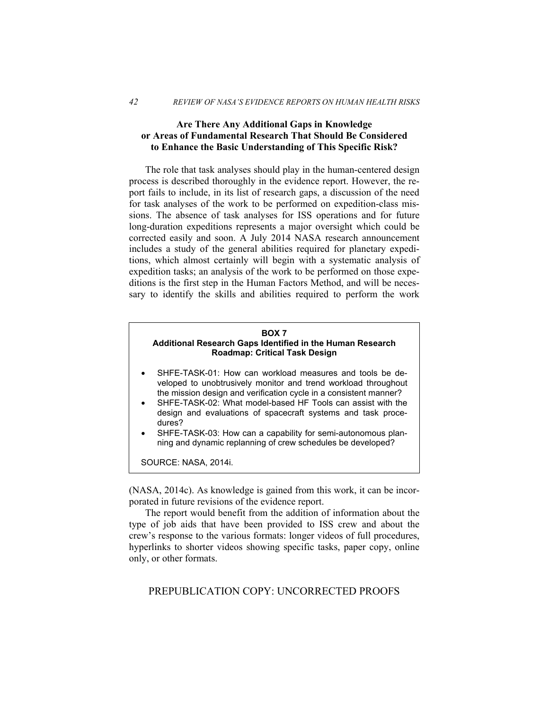consistently on the astronaut's ability to accommodate to the procedures and schedules, rather than on the developers and schedulers performing their jobs appropriately. In addition, the report focuses on cognitive elements (or effects?) of task performance and only occasionally acknowledges the possibility of physical limitations and risks. Identifying gaps as either physical or psychological/cognitive, while recognizing that interactions are almost certain to occur, might improve the focus of the evidence book. Alternatively, excluding motor tasks that do not include a high cognitive component (e.g., physical exertion during EVA) might be appropriate. With the exception of the June 1997 Mir incident, there is no review of mission risk related to operational tempo or workload for spaceflight.

The Human Factors Analysis and Classification System (HFACS) differentiates between errors (unintentional behaviors) and violations (willful disregard of the rules and regulations) (Shappell and Wiegmann, 2000). In terms of this HFACS distinction, the evidence report discusses only errors, with no review of violations. A summary of unsafe acts using the HFACS would be useful. In particular:

- What are the incidence rates of errors versus violations?
- When violations occur, why did crewmembers execute a decision contrary to flight rules?

## **Does the Evidence Report Make the Case for the Research Gaps Presented?**

 The evidence report provides justification for all of the research gaps identified. However, the data provided are almost exclusively summative, based on crew report. Thus, a large gap exists in formative evaluation which would identify when tasks are too stressful for crew members. The evidence report correctly points out that delays between training and knowledge utilization will cause an increase in workload as crew members attempt to access required knowledge. Automation is both an aid and a potential crutch, especially when knowledge and understanding of automated systems become compromised.

 Updated versions of this report should use sub-headings for categories of research gaps, including those listed in the Human Research Roadmap Summary (see Box 7) under the "Gaps" section, to enable more efficient cross checks across NASA documents.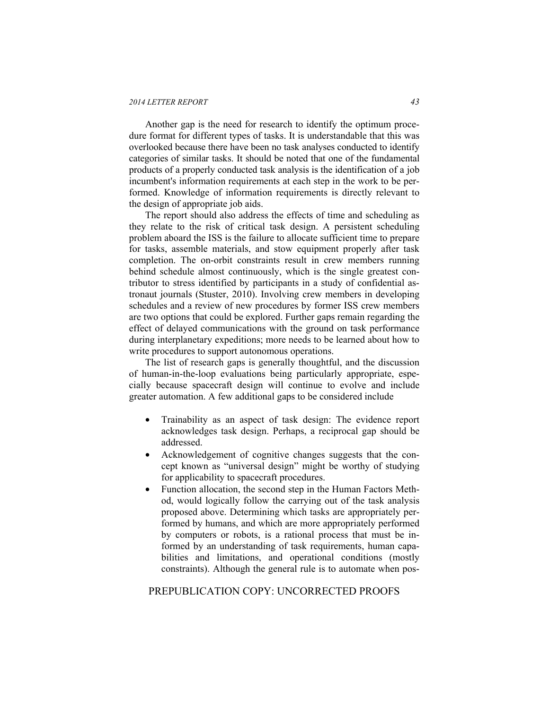## **Are There Any Additional Gaps in Knowledge or Areas of Fundamental Research That Should Be Considered to Enhance the Basic Understanding of This Specific Risk?**

 The role that task analyses should play in the human-centered design process is described thoroughly in the evidence report. However, the report fails to include, in its list of research gaps, a discussion of the need for task analyses of the work to be performed on expedition-class missions. The absence of task analyses for ISS operations and for future long-duration expeditions represents a major oversight which could be corrected easily and soon. A July 2014 NASA research announcement includes a study of the general abilities required for planetary expeditions, which almost certainly will begin with a systematic analysis of expedition tasks; an analysis of the work to be performed on those expeditions is the first step in the Human Factors Method, and will be necessary to identify the skills and abilities required to perform the work

#### **BOX 7**

#### **Additional Research Gaps Identified in the Human Research Roadmap: Critical Task Design**

- SHFE-TASK-01: How can workload measures and tools be developed to unobtrusively monitor and trend workload throughout the mission design and verification cycle in a consistent manner?
- SHFE-TASK-02: What model-based HF Tools can assist with the design and evaluations of spacecraft systems and task procedures?
- SHFE-TASK-03: How can a capability for semi-autonomous planning and dynamic replanning of crew schedules be developed?

SOURCE: NASA, 2014i.

(NASA, 2014c). As knowledge is gained from this work, it can be incorporated in future revisions of the evidence report.

The report would benefit from the addition of information about the type of job aids that have been provided to ISS crew and about the crew's response to the various formats: longer videos of full procedures, hyperlinks to shorter videos showing specific tasks, paper copy, online only, or other formats.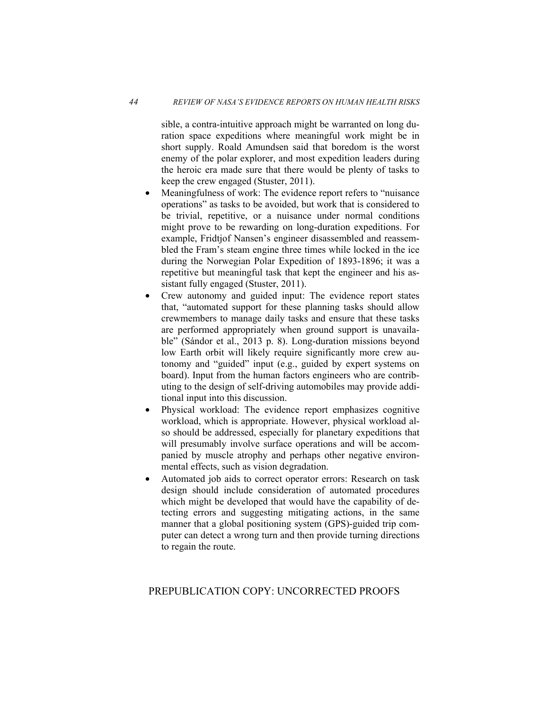Another gap is the need for research to identify the optimum procedure format for different types of tasks. It is understandable that this was overlooked because there have been no task analyses conducted to identify categories of similar tasks. It should be noted that one of the fundamental products of a properly conducted task analysis is the identification of a job incumbent's information requirements at each step in the work to be performed. Knowledge of information requirements is directly relevant to the design of appropriate job aids.

The report should also address the effects of time and scheduling as they relate to the risk of critical task design. A persistent scheduling problem aboard the ISS is the failure to allocate sufficient time to prepare for tasks, assemble materials, and stow equipment properly after task completion. The on-orbit constraints result in crew members running behind schedule almost continuously, which is the single greatest contributor to stress identified by participants in a study of confidential astronaut journals (Stuster, 2010). Involving crew members in developing schedules and a review of new procedures by former ISS crew members are two options that could be explored. Further gaps remain regarding the effect of delayed communications with the ground on task performance during interplanetary expeditions; more needs to be learned about how to write procedures to support autonomous operations.

The list of research gaps is generally thoughtful, and the discussion of human-in-the-loop evaluations being particularly appropriate, especially because spacecraft design will continue to evolve and include greater automation. A few additional gaps to be considered include

- Trainability as an aspect of task design: The evidence report acknowledges task design. Perhaps, a reciprocal gap should be addressed.
- Acknowledgement of cognitive changes suggests that the concept known as "universal design" might be worthy of studying for applicability to spacecraft procedures.
- Function allocation, the second step in the Human Factors Method, would logically follow the carrying out of the task analysis proposed above. Determining which tasks are appropriately performed by humans, and which are more appropriately performed by computers or robots, is a rational process that must be informed by an understanding of task requirements, human capabilities and limitations, and operational conditions (mostly constraints). Although the general rule is to automate when pos-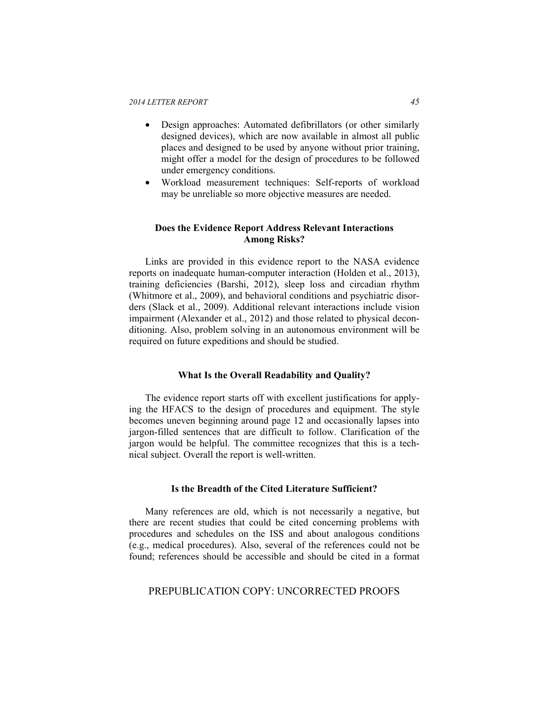sible, a contra-intuitive approach might be warranted on long duration space expeditions where meaningful work might be in short supply. Roald Amundsen said that boredom is the worst enemy of the polar explorer, and most expedition leaders during the heroic era made sure that there would be plenty of tasks to keep the crew engaged (Stuster, 2011).

- Meaningfulness of work: The evidence report refers to "nuisance" operations" as tasks to be avoided, but work that is considered to be trivial, repetitive, or a nuisance under normal conditions might prove to be rewarding on long-duration expeditions. For example, Fridtjof Nansen's engineer disassembled and reassembled the Fram's steam engine three times while locked in the ice during the Norwegian Polar Expedition of 1893-1896; it was a repetitive but meaningful task that kept the engineer and his assistant fully engaged (Stuster, 2011).
- Crew autonomy and guided input: The evidence report states that, "automated support for these planning tasks should allow crewmembers to manage daily tasks and ensure that these tasks are performed appropriately when ground support is unavailable" (Sándor et al., 2013 p. 8). Long-duration missions beyond low Earth orbit will likely require significantly more crew autonomy and "guided" input (e.g., guided by expert systems on board). Input from the human factors engineers who are contributing to the design of self-driving automobiles may provide additional input into this discussion.
- Physical workload: The evidence report emphasizes cognitive workload, which is appropriate. However, physical workload also should be addressed, especially for planetary expeditions that will presumably involve surface operations and will be accompanied by muscle atrophy and perhaps other negative environmental effects, such as vision degradation.
- Automated job aids to correct operator errors: Research on task design should include consideration of automated procedures which might be developed that would have the capability of detecting errors and suggesting mitigating actions, in the same manner that a global positioning system (GPS)-guided trip computer can detect a wrong turn and then provide turning directions to regain the route.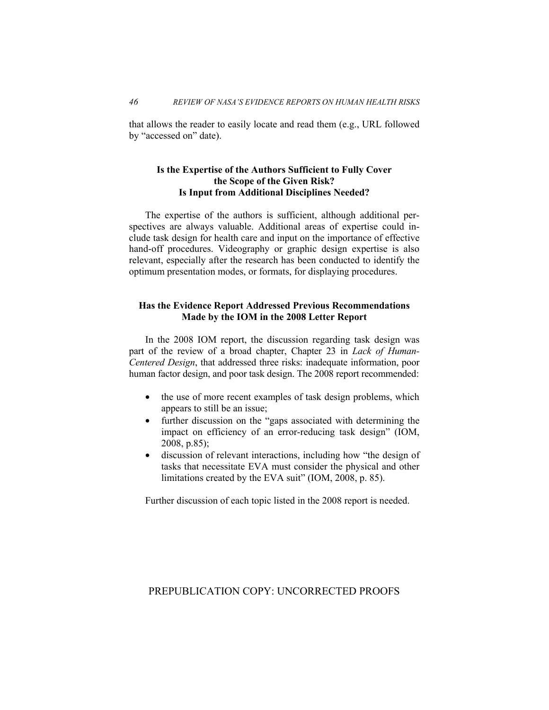- Design approaches: Automated defibrillators (or other similarly designed devices), which are now available in almost all public places and designed to be used by anyone without prior training, might offer a model for the design of procedures to be followed under emergency conditions.
- Workload measurement techniques: Self-reports of workload may be unreliable so more objective measures are needed.

## **Does the Evidence Report Address Relevant Interactions Among Risks?**

 Links are provided in this evidence report to the NASA evidence reports on inadequate human-computer interaction (Holden et al., 2013), training deficiencies (Barshi, 2012), sleep loss and circadian rhythm (Whitmore et al., 2009), and behavioral conditions and psychiatric disorders (Slack et al., 2009). Additional relevant interactions include vision impairment (Alexander et al., 2012) and those related to physical deconditioning. Also, problem solving in an autonomous environment will be required on future expeditions and should be studied.

### **What Is the Overall Readability and Quality?**

 The evidence report starts off with excellent justifications for applying the HFACS to the design of procedures and equipment. The style becomes uneven beginning around page 12 and occasionally lapses into jargon-filled sentences that are difficult to follow. Clarification of the jargon would be helpful. The committee recognizes that this is a technical subject. Overall the report is well-written.

### **Is the Breadth of the Cited Literature Sufficient?**

 Many references are old, which is not necessarily a negative, but there are recent studies that could be cited concerning problems with procedures and schedules on the ISS and about analogous conditions (e.g., medical procedures). Also, several of the references could not be found; references should be accessible and should be cited in a format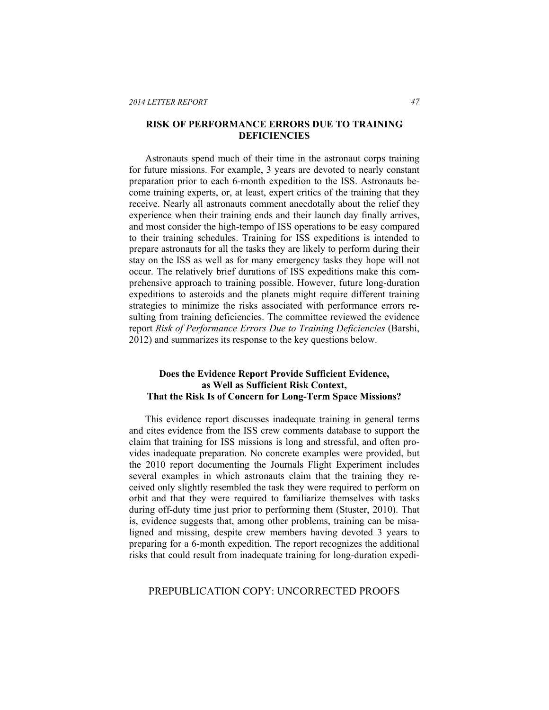that allows the reader to easily locate and read them (e.g., URL followed by "accessed on" date).

## **Is the Expertise of the Authors Sufficient to Fully Cover the Scope of the Given Risk? Is Input from Additional Disciplines Needed?**

 The expertise of the authors is sufficient, although additional perspectives are always valuable. Additional areas of expertise could include task design for health care and input on the importance of effective hand-off procedures. Videography or graphic design expertise is also relevant, especially after the research has been conducted to identify the optimum presentation modes, or formats, for displaying procedures.

## **Has the Evidence Report Addressed Previous Recommendations Made by the IOM in the 2008 Letter Report**

In the 2008 IOM report, the discussion regarding task design was part of the review of a broad chapter, Chapter 23 in *Lack of Human-Centered Design*, that addressed three risks: inadequate information, poor human factor design, and poor task design. The 2008 report recommended:

- the use of more recent examples of task design problems, which appears to still be an issue;
- further discussion on the "gaps associated with determining the impact on efficiency of an error-reducing task design" (IOM, 2008, p.85);
- discussion of relevant interactions, including how "the design of tasks that necessitate EVA must consider the physical and other limitations created by the EVA suit" (IOM, 2008, p. 85).

Further discussion of each topic listed in the 2008 report is needed.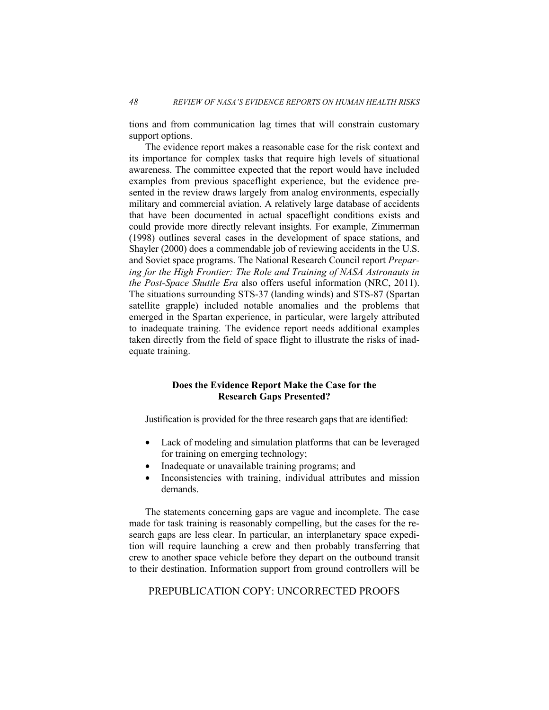## **RISK OF PERFORMANCE ERRORS DUE TO TRAINING DEFICIENCIES**

 Astronauts spend much of their time in the astronaut corps training for future missions. For example, 3 years are devoted to nearly constant preparation prior to each 6-month expedition to the ISS. Astronauts become training experts, or, at least, expert critics of the training that they receive. Nearly all astronauts comment anecdotally about the relief they experience when their training ends and their launch day finally arrives, and most consider the high-tempo of ISS operations to be easy compared to their training schedules. Training for ISS expeditions is intended to prepare astronauts for all the tasks they are likely to perform during their stay on the ISS as well as for many emergency tasks they hope will not occur. The relatively brief durations of ISS expeditions make this comprehensive approach to training possible. However, future long-duration expeditions to asteroids and the planets might require different training strategies to minimize the risks associated with performance errors resulting from training deficiencies. The committee reviewed the evidence report *Risk of Performance Errors Due to Training Deficiencies* (Barshi, 2012) and summarizes its response to the key questions below.

### **Does the Evidence Report Provide Sufficient Evidence, as Well as Sufficient Risk Context, That the Risk Is of Concern for Long-Term Space Missions?**

 This evidence report discusses inadequate training in general terms and cites evidence from the ISS crew comments database to support the claim that training for ISS missions is long and stressful, and often provides inadequate preparation. No concrete examples were provided, but the 2010 report documenting the Journals Flight Experiment includes several examples in which astronauts claim that the training they received only slightly resembled the task they were required to perform on orbit and that they were required to familiarize themselves with tasks during off-duty time just prior to performing them (Stuster, 2010). That is, evidence suggests that, among other problems, training can be misaligned and missing, despite crew members having devoted 3 years to preparing for a 6-month expedition. The report recognizes the additional risks that could result from inadequate training for long-duration expedi-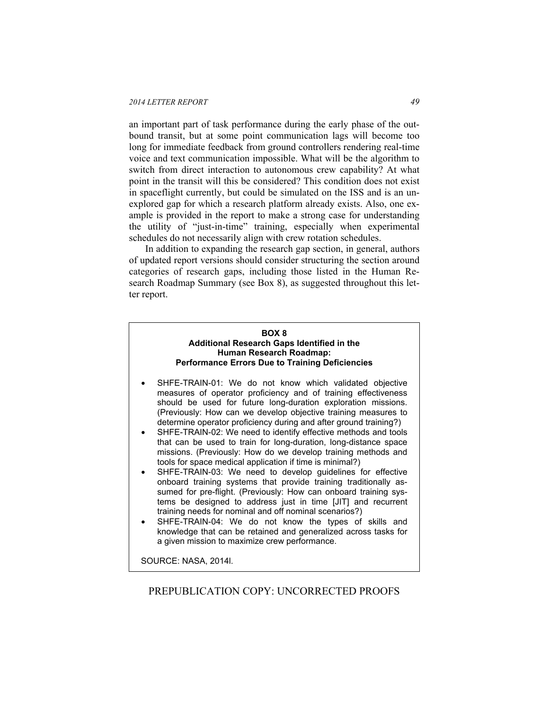tions and from communication lag times that will constrain customary support options.

 The evidence report makes a reasonable case for the risk context and its importance for complex tasks that require high levels of situational awareness. The committee expected that the report would have included examples from previous spaceflight experience, but the evidence presented in the review draws largely from analog environments, especially military and commercial aviation. A relatively large database of accidents that have been documented in actual spaceflight conditions exists and could provide more directly relevant insights. For example, Zimmerman (1998) outlines several cases in the development of space stations, and Shayler (2000) does a commendable job of reviewing accidents in the U.S. and Soviet space programs. The National Research Council report *Preparing for the High Frontier: The Role and Training of NASA Astronauts in the Post-Space Shuttle Era* also offers useful information (NRC, 2011). The situations surrounding STS-37 (landing winds) and STS-87 (Spartan satellite grapple) included notable anomalies and the problems that emerged in the Spartan experience, in particular, were largely attributed to inadequate training. The evidence report needs additional examples taken directly from the field of space flight to illustrate the risks of inadequate training.

## **Does the Evidence Report Make the Case for the Research Gaps Presented?**

Justification is provided for the three research gaps that are identified:

- Lack of modeling and simulation platforms that can be leveraged for training on emerging technology;
- Inadequate or unavailable training programs; and
- Inconsistencies with training, individual attributes and mission demands.

 The statements concerning gaps are vague and incomplete. The case made for task training is reasonably compelling, but the cases for the research gaps are less clear. In particular, an interplanetary space expedition will require launching a crew and then probably transferring that crew to another space vehicle before they depart on the outbound transit to their destination. Information support from ground controllers will be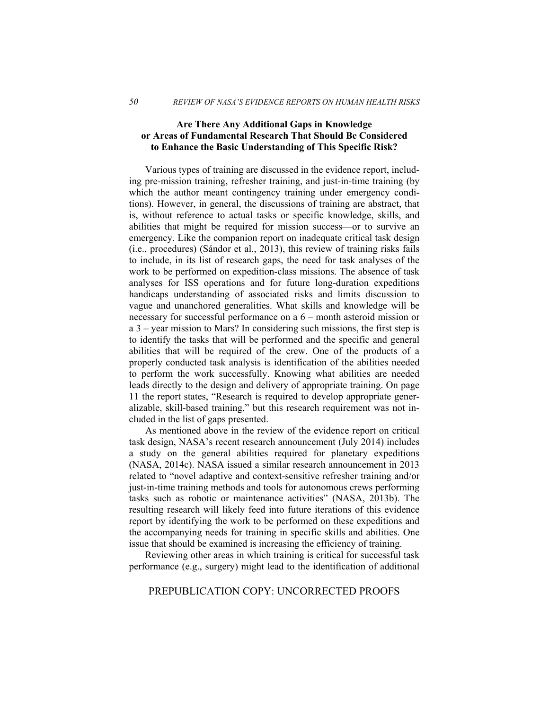an important part of task performance during the early phase of the outbound transit, but at some point communication lags will become too long for immediate feedback from ground controllers rendering real-time voice and text communication impossible. What will be the algorithm to switch from direct interaction to autonomous crew capability? At what point in the transit will this be considered? This condition does not exist in spaceflight currently, but could be simulated on the ISS and is an unexplored gap for which a research platform already exists. Also, one example is provided in the report to make a strong case for understanding the utility of "just-in-time" training, especially when experimental schedules do not necessarily align with crew rotation schedules.

 In addition to expanding the research gap section, in general, authors of updated report versions should consider structuring the section around categories of research gaps, including those listed in the Human Research Roadmap Summary (see Box 8), as suggested throughout this letter report.

#### **BOX 8 Additional Research Gaps Identified in the Human Research Roadmap: Performance Errors Due to Training Deficiencies**

- SHFE-TRAIN-01: We do not know which validated objective measures of operator proficiency and of training effectiveness should be used for future long-duration exploration missions. (Previously: How can we develop objective training measures to determine operator proficiency during and after ground training?)
- SHFE-TRAIN-02: We need to identify effective methods and tools that can be used to train for long-duration, long-distance space missions. (Previously: How do we develop training methods and tools for space medical application if time is minimal?)
- SHFE-TRAIN-03: We need to develop guidelines for effective onboard training systems that provide training traditionally assumed for pre-flight. (Previously: How can onboard training systems be designed to address just in time [JIT] and recurrent training needs for nominal and off nominal scenarios?)
- SHFE-TRAIN-04: We do not know the types of skills and knowledge that can be retained and generalized across tasks for a given mission to maximize crew performance.

SOURCE: NASA, 2014l.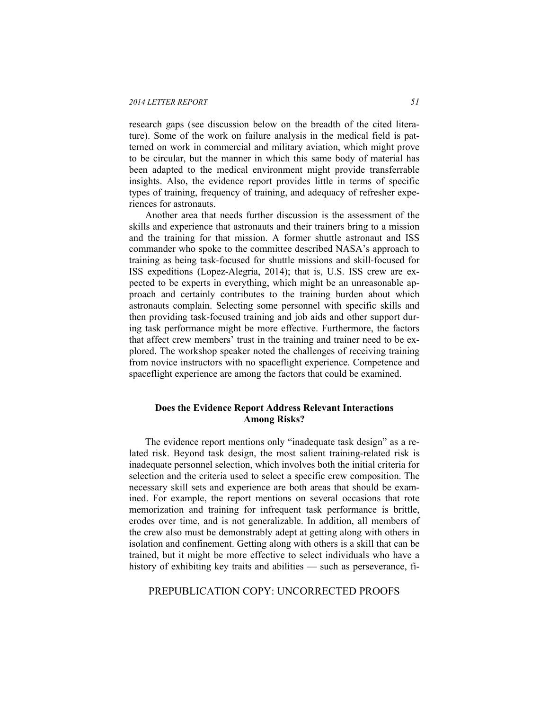## **Are There Any Additional Gaps in Knowledge or Areas of Fundamental Research That Should Be Considered to Enhance the Basic Understanding of This Specific Risk?**

 Various types of training are discussed in the evidence report, including pre-mission training, refresher training, and just-in-time training (by which the author meant contingency training under emergency conditions). However, in general, the discussions of training are abstract, that is, without reference to actual tasks or specific knowledge, skills, and abilities that might be required for mission success—or to survive an emergency. Like the companion report on inadequate critical task design (i.e., procedures) (Sándor et al., 2013), this review of training risks fails to include, in its list of research gaps, the need for task analyses of the work to be performed on expedition-class missions. The absence of task analyses for ISS operations and for future long-duration expeditions handicaps understanding of associated risks and limits discussion to vague and unanchored generalities. What skills and knowledge will be necessary for successful performance on a 6 – month asteroid mission or a 3 – year mission to Mars? In considering such missions, the first step is to identify the tasks that will be performed and the specific and general abilities that will be required of the crew. One of the products of a properly conducted task analysis is identification of the abilities needed to perform the work successfully. Knowing what abilities are needed leads directly to the design and delivery of appropriate training. On page 11 the report states, "Research is required to develop appropriate generalizable, skill-based training," but this research requirement was not included in the list of gaps presented.

As mentioned above in the review of the evidence report on critical task design, NASA's recent research announcement (July 2014) includes a study on the general abilities required for planetary expeditions (NASA, 2014c). NASA issued a similar research announcement in 2013 related to "novel adaptive and context-sensitive refresher training and/or just-in-time training methods and tools for autonomous crews performing tasks such as robotic or maintenance activities" (NASA, 2013b). The resulting research will likely feed into future iterations of this evidence report by identifying the work to be performed on these expeditions and the accompanying needs for training in specific skills and abilities. One issue that should be examined is increasing the efficiency of training.

Reviewing other areas in which training is critical for successful task performance (e.g., surgery) might lead to the identification of additional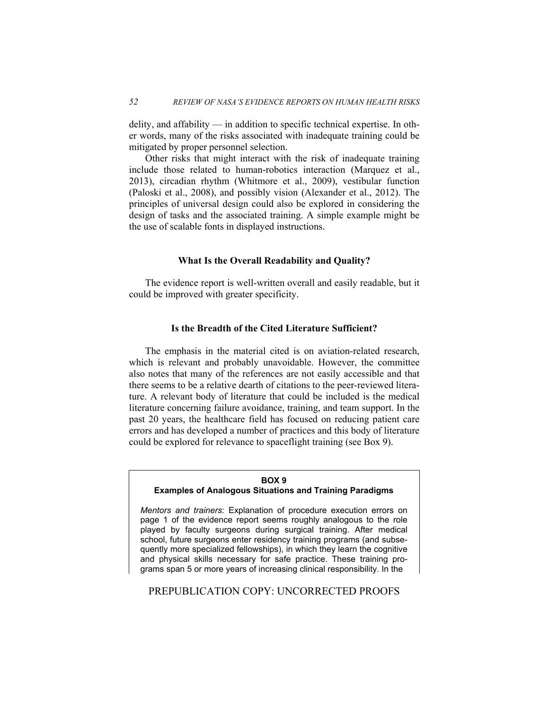research gaps (see discussion below on the breadth of the cited literature). Some of the work on failure analysis in the medical field is patterned on work in commercial and military aviation, which might prove to be circular, but the manner in which this same body of material has been adapted to the medical environment might provide transferrable insights. Also, the evidence report provides little in terms of specific types of training, frequency of training, and adequacy of refresher experiences for astronauts.

Another area that needs further discussion is the assessment of the skills and experience that astronauts and their trainers bring to a mission and the training for that mission. A former shuttle astronaut and ISS commander who spoke to the committee described NASA's approach to training as being task-focused for shuttle missions and skill-focused for ISS expeditions (Lopez-Alegria, 2014); that is, U.S. ISS crew are expected to be experts in everything, which might be an unreasonable approach and certainly contributes to the training burden about which astronauts complain. Selecting some personnel with specific skills and then providing task-focused training and job aids and other support during task performance might be more effective. Furthermore, the factors that affect crew members' trust in the training and trainer need to be explored. The workshop speaker noted the challenges of receiving training from novice instructors with no spaceflight experience. Competence and spaceflight experience are among the factors that could be examined.

## **Does the Evidence Report Address Relevant Interactions Among Risks?**

 The evidence report mentions only "inadequate task design" as a related risk. Beyond task design, the most salient training-related risk is inadequate personnel selection, which involves both the initial criteria for selection and the criteria used to select a specific crew composition. The necessary skill sets and experience are both areas that should be examined. For example, the report mentions on several occasions that rote memorization and training for infrequent task performance is brittle, erodes over time, and is not generalizable. In addition, all members of the crew also must be demonstrably adept at getting along with others in isolation and confinement. Getting along with others is a skill that can be trained, but it might be more effective to select individuals who have a history of exhibiting key traits and abilities — such as perseverance, fi-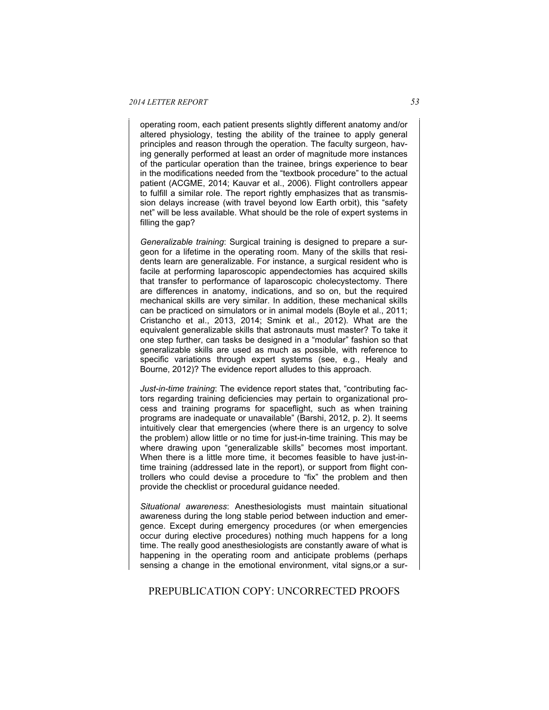delity, and affability — in addition to specific technical expertise. In other words, many of the risks associated with inadequate training could be mitigated by proper personnel selection.

 Other risks that might interact with the risk of inadequate training include those related to human-robotics interaction (Marquez et al., 2013), circadian rhythm (Whitmore et al., 2009), vestibular function (Paloski et al., 2008), and possibly vision (Alexander et al., 2012). The principles of universal design could also be explored in considering the design of tasks and the associated training. A simple example might be the use of scalable fonts in displayed instructions.

### **What Is the Overall Readability and Quality?**

 The evidence report is well-written overall and easily readable, but it could be improved with greater specificity.

### **Is the Breadth of the Cited Literature Sufficient?**

The emphasis in the material cited is on aviation-related research, which is relevant and probably unavoidable. However, the committee also notes that many of the references are not easily accessible and that there seems to be a relative dearth of citations to the peer-reviewed literature. A relevant body of literature that could be included is the medical literature concerning failure avoidance, training, and team support. In the past 20 years, the healthcare field has focused on reducing patient care errors and has developed a number of practices and this body of literature could be explored for relevance to spaceflight training (see Box 9).

#### **BOX 9**

#### **Examples of Analogous Situations and Training Paradigms**

*Mentors and trainers*: Explanation of procedure execution errors on page 1 of the evidence report seems roughly analogous to the role played by faculty surgeons during surgical training. After medical school, future surgeons enter residency training programs (and subsequently more specialized fellowships), in which they learn the cognitive and physical skills necessary for safe practice. These training programs span 5 or more years of increasing clinical responsibility. In the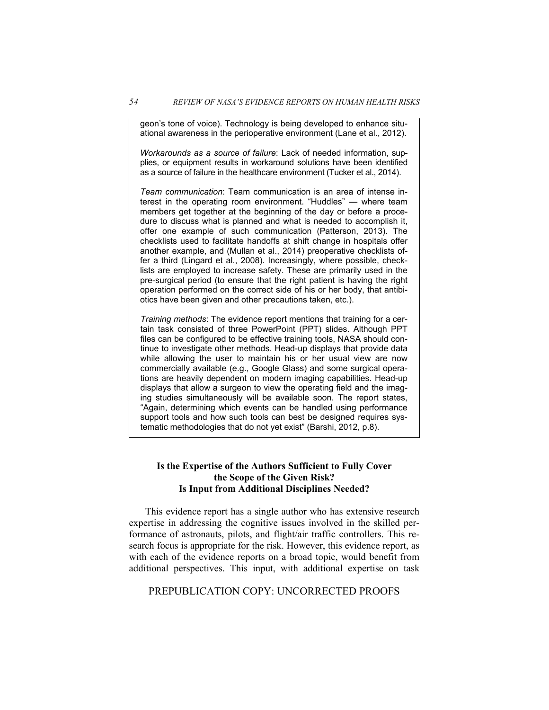operating room, each patient presents slightly different anatomy and/or altered physiology, testing the ability of the trainee to apply general principles and reason through the operation. The faculty surgeon, having generally performed at least an order of magnitude more instances of the particular operation than the trainee, brings experience to bear in the modifications needed from the "textbook procedure" to the actual patient (ACGME, 2014; Kauvar et al., 2006). Flight controllers appear to fulfill a similar role. The report rightly emphasizes that as transmission delays increase (with travel beyond low Earth orbit), this "safety net" will be less available. What should be the role of expert systems in filling the gap?

*Generalizable training*: Surgical training is designed to prepare a surgeon for a lifetime in the operating room. Many of the skills that residents learn are generalizable. For instance, a surgical resident who is facile at performing laparoscopic appendectomies has acquired skills that transfer to performance of laparoscopic cholecystectomy. There are differences in anatomy, indications, and so on, but the required mechanical skills are very similar. In addition, these mechanical skills can be practiced on simulators or in animal models (Boyle et al., 2011; Cristancho et al., 2013, 2014; Smink et al., 2012). What are the equivalent generalizable skills that astronauts must master? To take it one step further, can tasks be designed in a "modular" fashion so that generalizable skills are used as much as possible, with reference to specific variations through expert systems (see, e.g., Healy and Bourne, 2012)? The evidence report alludes to this approach.

*Just-in-time training*: The evidence report states that, "contributing factors regarding training deficiencies may pertain to organizational process and training programs for spaceflight, such as when training programs are inadequate or unavailable" (Barshi, 2012, p. 2). It seems intuitively clear that emergencies (where there is an urgency to solve the problem) allow little or no time for just-in-time training. This may be where drawing upon "generalizable skills" becomes most important. When there is a little more time, it becomes feasible to have just-intime training (addressed late in the report), or support from flight controllers who could devise a procedure to "fix" the problem and then provide the checklist or procedural guidance needed.

*Situational awareness*: Anesthesiologists must maintain situational awareness during the long stable period between induction and emergence. Except during emergency procedures (or when emergencies occur during elective procedures) nothing much happens for a long time. The really good anesthesiologists are constantly aware of what is happening in the operating room and anticipate problems (perhaps sensing a change in the emotional environment, vital signs,or a sur-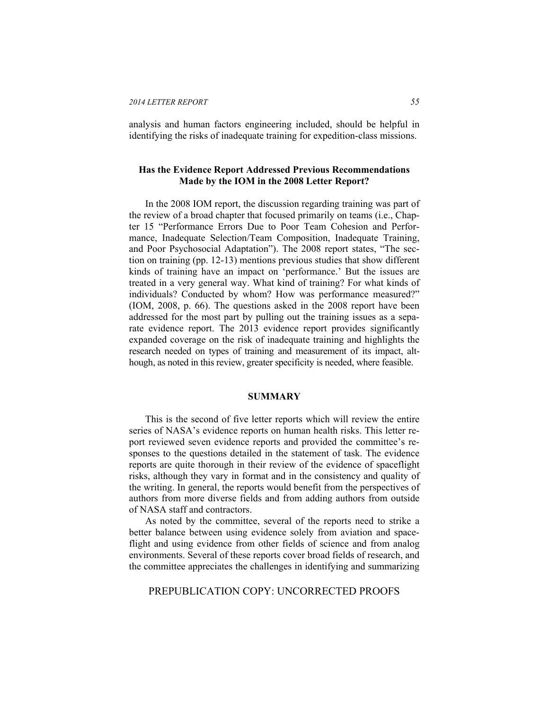geon's tone of voice). Technology is being developed to enhance situational awareness in the perioperative environment (Lane et al., 2012).

*Workarounds as a source of failure*: Lack of needed information, supplies, or equipment results in workaround solutions have been identified as a source of failure in the healthcare environment (Tucker et al., 2014).

*Team communication*: Team communication is an area of intense interest in the operating room environment. "Huddles" — where team members get together at the beginning of the day or before a procedure to discuss what is planned and what is needed to accomplish it, offer one example of such communication (Patterson, 2013). The checklists used to facilitate handoffs at shift change in hospitals offer another example, and (Mullan et al., 2014) preoperative checklists offer a third (Lingard et al., 2008). Increasingly, where possible, checklists are employed to increase safety. These are primarily used in the pre-surgical period (to ensure that the right patient is having the right operation performed on the correct side of his or her body, that antibiotics have been given and other precautions taken, etc.).

*Training methods*: The evidence report mentions that training for a certain task consisted of three PowerPoint (PPT) slides. Although PPT files can be configured to be effective training tools, NASA should continue to investigate other methods. Head-up displays that provide data while allowing the user to maintain his or her usual view are now commercially available (e.g., Google Glass) and some surgical operations are heavily dependent on modern imaging capabilities. Head-up displays that allow a surgeon to view the operating field and the imaging studies simultaneously will be available soon. The report states, "Again, determining which events can be handled using performance support tools and how such tools can best be designed requires systematic methodologies that do not yet exist" (Barshi, 2012, p.8).

### **Is the Expertise of the Authors Sufficient to Fully Cover the Scope of the Given Risk? Is Input from Additional Disciplines Needed?**

 This evidence report has a single author who has extensive research expertise in addressing the cognitive issues involved in the skilled performance of astronauts, pilots, and flight/air traffic controllers. This research focus is appropriate for the risk. However, this evidence report, as with each of the evidence reports on a broad topic, would benefit from additional perspectives. This input, with additional expertise on task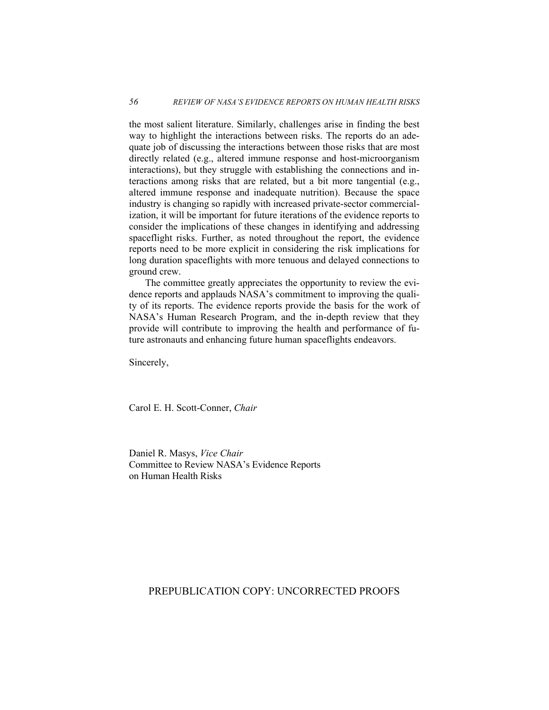analysis and human factors engineering included, should be helpful in identifying the risks of inadequate training for expedition-class missions.

### **Has the Evidence Report Addressed Previous Recommendations Made by the IOM in the 2008 Letter Report?**

 In the 2008 IOM report, the discussion regarding training was part of the review of a broad chapter that focused primarily on teams (i.e., Chapter 15 "Performance Errors Due to Poor Team Cohesion and Performance, Inadequate Selection/Team Composition, Inadequate Training, and Poor Psychosocial Adaptation"). The 2008 report states, "The section on training (pp. 12-13) mentions previous studies that show different kinds of training have an impact on 'performance.' But the issues are treated in a very general way. What kind of training? For what kinds of individuals? Conducted by whom? How was performance measured?" (IOM, 2008, p. 66). The questions asked in the 2008 report have been addressed for the most part by pulling out the training issues as a separate evidence report. The 2013 evidence report provides significantly expanded coverage on the risk of inadequate training and highlights the research needed on types of training and measurement of its impact, although, as noted in this review, greater specificity is needed, where feasible.

#### **SUMMARY**

This is the second of five letter reports which will review the entire series of NASA's evidence reports on human health risks. This letter report reviewed seven evidence reports and provided the committee's responses to the questions detailed in the statement of task. The evidence reports are quite thorough in their review of the evidence of spaceflight risks, although they vary in format and in the consistency and quality of the writing. In general, the reports would benefit from the perspectives of authors from more diverse fields and from adding authors from outside of NASA staff and contractors.

As noted by the committee, several of the reports need to strike a better balance between using evidence solely from aviation and spaceflight and using evidence from other fields of science and from analog environments. Several of these reports cover broad fields of research, and the committee appreciates the challenges in identifying and summarizing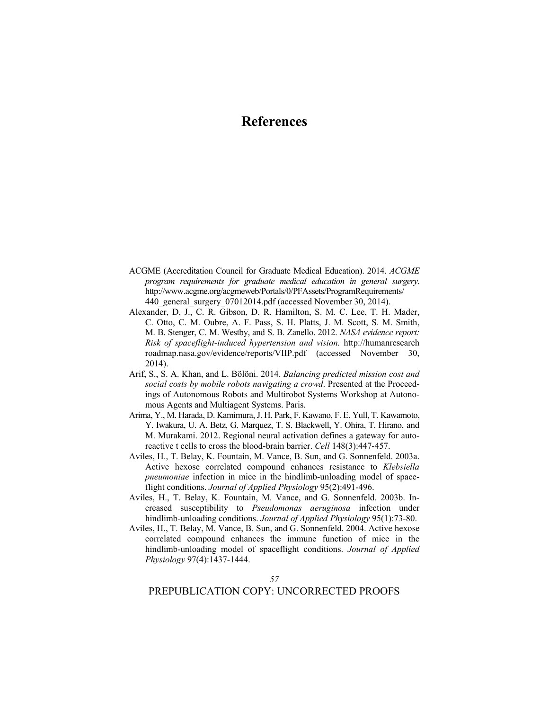the most salient literature. Similarly, challenges arise in finding the best way to highlight the interactions between risks. The reports do an adequate job of discussing the interactions between those risks that are most directly related (e.g., altered immune response and host-microorganism interactions), but they struggle with establishing the connections and interactions among risks that are related, but a bit more tangential (e.g., altered immune response and inadequate nutrition). Because the space industry is changing so rapidly with increased private-sector commercialization, it will be important for future iterations of the evidence reports to consider the implications of these changes in identifying and addressing spaceflight risks. Further, as noted throughout the report, the evidence reports need to be more explicit in considering the risk implications for long duration spaceflights with more tenuous and delayed connections to ground crew.

The committee greatly appreciates the opportunity to review the evidence reports and applauds NASA's commitment to improving the quality of its reports. The evidence reports provide the basis for the work of NASA's Human Research Program, and the in-depth review that they provide will contribute to improving the health and performance of future astronauts and enhancing future human spaceflights endeavors.

Sincerely,

Carol E. H. Scott-Conner, *Chair* 

Daniel R. Masys, *Vice Chair* Committee to Review NASA's Evidence Reports on Human Health Risks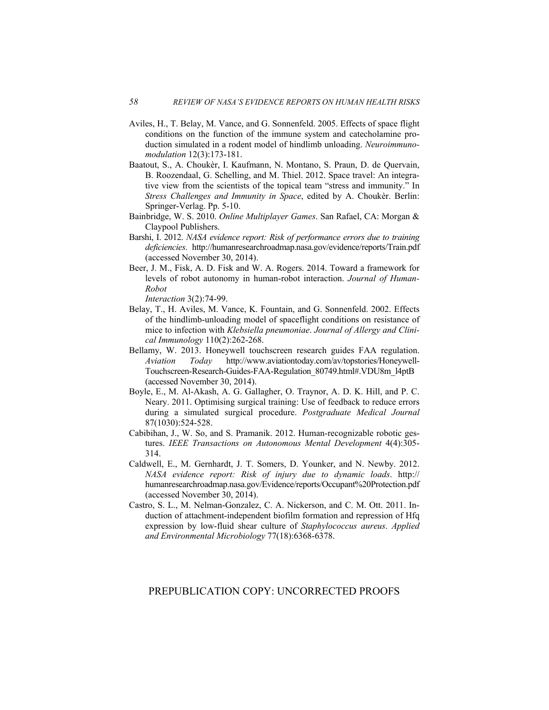# **References**

- ACGME (Accreditation Council for Graduate Medical Education). 2014. *ACGME program requirements for graduate medical education in general surgery*. http://www.acgme.org/acgmeweb/Portals/0/PFAssets/ProgramRequirements/ 440\_general\_surgery\_07012014.pdf (accessed November 30, 2014).
- Alexander, D. J., C. R. Gibson, D. R. Hamilton, S. M. C. Lee, T. H. Mader, C. Otto, C. M. Oubre, A. F. Pass, S. H. Platts, J. M. Scott, S. M. Smith, M. B. Stenger, C. M. Westby, and S. B. Zanello. 2012. *NASA evidence report: Risk of spaceflight-induced hypertension and vision.* http://humanresearch roadmap.nasa.gov/evidence/reports/VIIP.pdf (accessed November 30, 2014).
- Arif, S., S. A. Khan, and L. Bölöni. 2014. *Balancing predicted mission cost and social costs by mobile robots navigating a crowd*. Presented at the Proceedings of Autonomous Robots and Multirobot Systems Workshop at Autonomous Agents and Multiagent Systems. Paris.
- Arima, Y., M. Harada, D. Kamimura, J. H. Park, F. Kawano, F. E. Yull, T. Kawamoto, Y. Iwakura, U. A. Betz, G. Marquez, T. S. Blackwell, Y. Ohira, T. Hirano, and M. Murakami. 2012. Regional neural activation defines a gateway for autoreactive t cells to cross the blood-brain barrier. *Cell* 148(3):447-457.
- Aviles, H., T. Belay, K. Fountain, M. Vance, B. Sun, and G. Sonnenfeld. 2003a. Active hexose correlated compound enhances resistance to *Klebsiella pneumoniae* infection in mice in the hindlimb-unloading model of spaceflight conditions. *Journal of Applied Physiology* 95(2):491-496.
- Aviles, H., T. Belay, K. Fountain, M. Vance, and G. Sonnenfeld. 2003b. Increased susceptibility to *Pseudomonas aeruginosa* infection under hindlimb-unloading conditions. *Journal of Applied Physiology* 95(1):73-80.
- Aviles, H., T. Belay, M. Vance, B. Sun, and G. Sonnenfeld. 2004. Active hexose correlated compound enhances the immune function of mice in the hindlimb-unloading model of spaceflight conditions. *Journal of Applied Physiology* 97(4):1437-1444.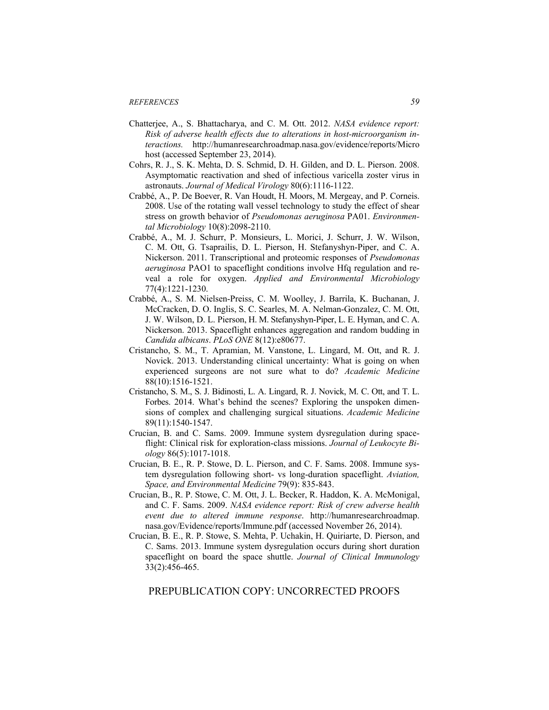- Aviles, H., T. Belay, M. Vance, and G. Sonnenfeld. 2005. Effects of space flight conditions on the function of the immune system and catecholamine production simulated in a rodent model of hindlimb unloading. *Neuroimmunomodulation* 12(3):173-181.
- Baatout, S., A. Choukèr, I. Kaufmann, N. Montano, S. Praun, D. de Quervain, B. Roozendaal, G. Schelling, and M. Thiel. 2012. Space travel: An integrative view from the scientists of the topical team "stress and immunity." In *Stress Challenges and Immunity in Space*, edited by A. Choukèr. Berlin: Springer-Verlag. Pp. 5-10.
- Bainbridge, W. S. 2010. *Online Multiplayer Games*. San Rafael, CA: Morgan & Claypool Publishers.
- Barshi, I. 2012. *NASA evidence report: Risk of performance errors due to training deficiencies*. http://humanresearchroadmap.nasa.gov/evidence/reports/Train.pdf (accessed November 30, 2014).
- Beer, J. M., Fisk, A. D. Fisk and W. A. Rogers. 2014. Toward a framework for levels of robot autonomy in human-robot interaction. *Journal of Human-Robot*

*Interaction* 3(2):74-99.

- Belay, T., H. Aviles, M. Vance, K. Fountain, and G. Sonnenfeld. 2002. Effects of the hindlimb-unloading model of spaceflight conditions on resistance of mice to infection with *Klebsiella pneumoniae*. *Journal of Allergy and Clinical Immunology* 110(2):262-268.
- Bellamy, W. 2013. Honeywell touchscreen research guides FAA regulation. *Aviation Today* http://www.aviationtoday.com/av/topstories/Honeywell-Touchscreen-Research-Guides-FAA-Regulation\_80749.html#.VDU8m\_l4ptB (accessed November 30, 2014).
- Boyle, E., M. Al-Akash, A. G. Gallagher, O. Traynor, A. D. K. Hill, and P. C. Neary. 2011. Optimising surgical training: Use of feedback to reduce errors during a simulated surgical procedure. *Postgraduate Medical Journal* 87(1030):524-528.
- Cabibihan, J., W. So, and S. Pramanik. 2012. Human-recognizable robotic gestures. *IEEE Transactions on Autonomous Mental Development* 4(4):305- 314.
- Caldwell, E., M. Gernhardt, J. T. Somers, D. Younker, and N. Newby. 2012. *NASA evidence report: Risk of injury due to dynamic loads*. http:// humanresearchroadmap.nasa.gov/Evidence/reports/Occupant%20Protection.pdf (accessed November 30, 2014).
- Castro, S. L., M. Nelman-Gonzalez, C. A. Nickerson, and C. M. Ott. 2011. Induction of attachment-independent biofilm formation and repression of Hfq expression by low-fluid shear culture of *Staphylococcus aureus*. *Applied and Environmental Microbiology* 77(18):6368-6378.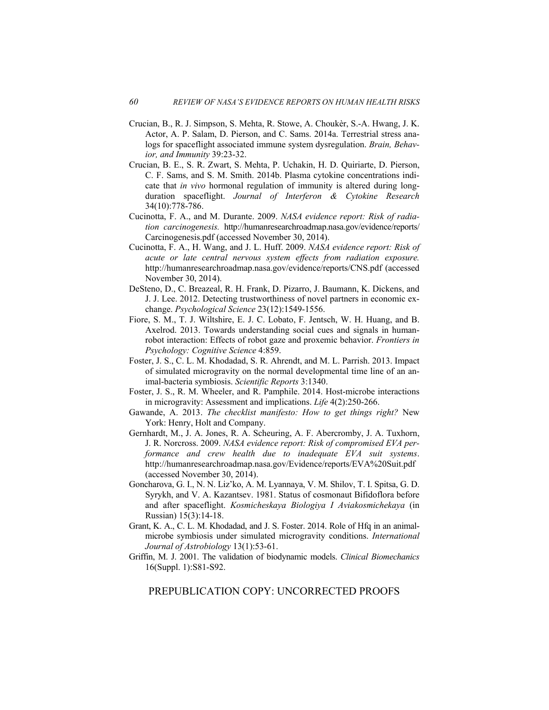#### *REFERENCES 59*

- Chatterjee, A., S. Bhattacharya, and C. M. Ott. 2012. *NASA evidence report: Risk of adverse health effects due to alterations in host-microorganism interactions.* http://humanresearchroadmap.nasa.gov/evidence/reports/Micro host (accessed September 23, 2014).
- Cohrs, R. J., S. K. Mehta, D. S. Schmid, D. H. Gilden, and D. L. Pierson. 2008. Asymptomatic reactivation and shed of infectious varicella zoster virus in astronauts. *Journal of Medical Virology* 80(6):1116-1122.
- Crabbé, A., P. De Boever, R. Van Houdt, H. Moors, M. Mergeay, and P. Corneis. 2008. Use of the rotating wall vessel technology to study the effect of shear stress on growth behavior of *Pseudomonas aeruginosa* PA01. *Environmental Microbiology* 10(8):2098-2110.
- Crabbé, A., M. J. Schurr, P. Monsieurs, L. Morici, J. Schurr, J. W. Wilson, C. M. Ott, G. Tsaprailis, D. L. Pierson, H. Stefanyshyn-Piper, and C. A. Nickerson. 2011. Transcriptional and proteomic responses of *Pseudomonas aeruginosa* PAO1 to spaceflight conditions involve Hfq regulation and reveal a role for oxygen. *Applied and Environmental Microbiology* 77(4):1221-1230.
- Crabbé, A., S. M. Nielsen-Preiss, C. M. Woolley, J. Barrila, K. Buchanan, J. McCracken, D. O. Inglis, S. C. Searles, M. A. Nelman-Gonzalez, C. M. Ott, J. W. Wilson, D. L. Pierson, H. M. Stefanyshyn-Piper, L. E. Hyman, and C. A. Nickerson. 2013. Spaceflight enhances aggregation and random budding in *Candida albicans*. *PLoS ONE* 8(12):e80677.
- Cristancho, S. M., T. Apramian, M. Vanstone, L. Lingard, M. Ott, and R. J. Novick. 2013. Understanding clinical uncertainty: What is going on when experienced surgeons are not sure what to do? *Academic Medicine* 88(10):1516-1521.
- Cristancho, S. M., S. J. Bidinosti, L. A. Lingard, R. J. Novick, M. C. Ott, and T. L. Forbes. 2014. What's behind the scenes? Exploring the unspoken dimensions of complex and challenging surgical situations. *Academic Medicine*  89(11):1540-1547.
- Crucian, B. and C. Sams. 2009. Immune system dysregulation during spaceflight: Clinical risk for exploration-class missions. *Journal of Leukocyte Biology* 86(5):1017-1018.
- Crucian, B. E., R. P. Stowe, D. L. Pierson, and C. F. Sams. 2008. Immune system dysregulation following short- vs long-duration spaceflight. *Aviation, Space, and Environmental Medicine* 79(9): 835-843.
- Crucian, B., R. P. Stowe, C. M. Ott, J. L. Becker, R. Haddon, K. A. McMonigal, and C. F. Sams. 2009. *NASA evidence report: Risk of crew adverse health event due to altered immune response*. http://humanresearchroadmap. nasa.gov/Evidence/reports/Immune.pdf (accessed November 26, 2014).
- Crucian, B. E., R. P. Stowe, S. Mehta, P. Uchakin, H. Quiriarte, D. Pierson, and C. Sams. 2013. Immune system dysregulation occurs during short duration spaceflight on board the space shuttle. *Journal of Clinical Immunology* 33(2):456-465.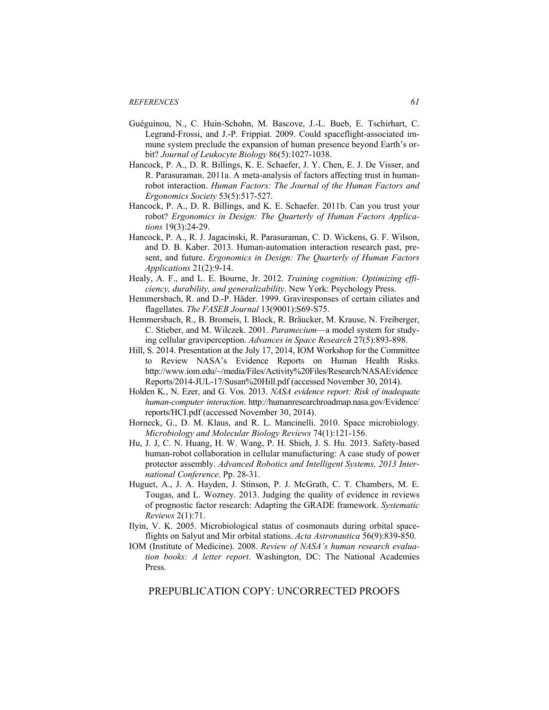- Crucian, B., R. J. Simpson, S. Mehta, R. Stowe, A. Choukèr, S.-A. Hwang, J. K. Actor, A. P. Salam, D. Pierson, and C. Sams. 2014a. Terrestrial stress analogs for spaceflight associated immune system dysregulation. *Brain, Behavior, and Immunity* 39:23-32.
- Crucian, B. E., S. R. Zwart, S. Mehta, P. Uchakin, H. D. Quiriarte, D. Pierson, C. F. Sams, and S. M. Smith. 2014b. Plasma cytokine concentrations indicate that *in vivo* hormonal regulation of immunity is altered during longduration spaceflight. *Journal of Interferon & Cytokine Research*  34(10):778-786.
- Cucinotta, F. A., and M. Durante. 2009. *NASA evidence report: Risk of radiation carcinogenesis.* http://humanresearchroadmap.nasa.gov/evidence/reports/ Carcinogenesis.pdf (accessed November 30, 2014).
- Cucinotta, F. A., H. Wang, and J. L. Huff. 2009. *NASA evidence report: Risk of acute or late central nervous system effects from radiation exposure.* http://humanresearchroadmap.nasa.gov/evidence/reports/CNS.pdf (accessed November 30, 2014).
- DeSteno, D., C. Breazeal, R. H. Frank, D. Pizarro, J. Baumann, K. Dickens, and J. J. Lee. 2012. Detecting trustworthiness of novel partners in economic exchange. *Psychological Science* 23(12):1549-1556.
- Fiore, S. M., T. J. Wiltshire, E. J. C. Lobato, F. Jentsch, W. H. Huang, and B. Axelrod. 2013. Towards understanding social cues and signals in humanrobot interaction: Effects of robot gaze and proxemic behavior. *Frontiers in Psychology: Cognitive Science* 4:859.
- Foster, J. S., C. L. M. Khodadad, S. R. Ahrendt, and M. L. Parrish. 2013. Impact of simulated microgravity on the normal developmental time line of an animal-bacteria symbiosis. *Scientific Reports* 3:1340.
- Foster, J. S., R. M. Wheeler, and R. Pamphile. 2014. Host-microbe interactions in microgravity: Assessment and implications. *Life* 4(2):250-266.
- Gawande, A. 2013. *The checklist manifesto: How to get things right?* New York: Henry, Holt and Company.
- Gernhardt, M., J. A. Jones, R. A. Scheuring, A. F. Abercromby, J. A. Tuxhorn, J. R. Norcross. 2009. *NASA evidence report: Risk of compromised EVA performance and crew health due to inadequate EVA suit systems*. http://humanresearchroadmap.nasa.gov/Evidence/reports/EVA%20Suit.pdf (accessed November 30, 2014).
- Goncharova, G. I., N. N. Liz'ko, A. M. Lyannaya, V. M. Shilov, T. I. Spitsa, G. D. Syrykh, and V. A. Kazantsev. 1981. Status of cosmonaut Bifidoflora before and after spaceflight. *Kosmicheskaya Biologiya I Aviakosmichekaya* (in Russian) 15(3):14-18.
- Grant, K. A., C. L. M. Khodadad, and J. S. Foster. 2014. Role of Hfq in an animalmicrobe symbiosis under simulated microgravity conditions. *International Journal of Astrobiology* 13(1):53-61.
- Griffin, M. J. 2001. The validation of biodynamic models. *Clinical Biomechanics* 16(Suppl. 1):S81-S92.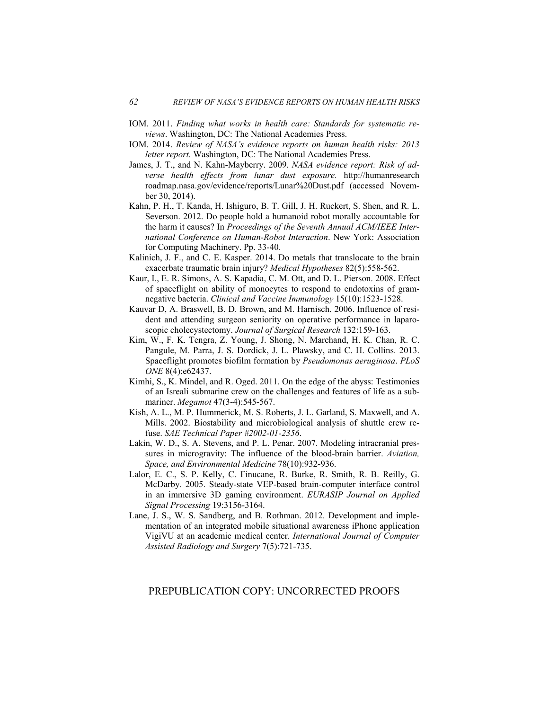- Guéguinou, N., C. Huin-Schohn, M. Bascove, J.-L. Bueb, E. Tschirhart, C. Legrand-Frossi, and J.-P. Frippiat. 2009. Could spaceflight-associated immune system preclude the expansion of human presence beyond Earth's orbit? *Journal of Leukocyte Biology* 86(5):1027-1038.
- Hancock, P. A., D. R. Billings, K. E. Schaefer, J. Y. Chen, E. J. De Visser, and R. Parasuraman. 2011a. A meta-analysis of factors affecting trust in humanrobot interaction. *Human Factors: The Journal of the Human Factors and Ergonomics Society* 53(5):517-527.
- Hancock, P. A., D. R. Billings, and K. E. Schaefer. 2011b. Can you trust your robot? *Ergonomics in Design: The Quarterly of Human Factors Applications* 19(3):24-29.
- Hancock, P. A., R. J. Jagacinski, R. Parasuraman, C. D. Wickens, G. F. Wilson, and D. B. Kaber. 2013. Human-automation interaction research past, present, and future. *Ergonomics in Design: The Quarterly of Human Factors Applications* 21(2):9-14.
- Healy, A. F., and L. E. Bourne, Jr. 2012. *Training cognition: Optimizing efficiency, durability, and generalizability*. New York: Psychology Press.
- Hemmersbach, R. and D.-P. Häder. 1999. Graviresponses of certain ciliates and flagellates. *The FASEB Journal* 13(9001):S69-S75.
- Hemmersbach, R., B. Bromeis, I. Block, R. Bräucker, M. Krause, N. Freiberger, C. Stieber, and M. Wilczek. 2001. *Paramecium*—a model system for studying cellular graviperception. *Advances in Space Research* 27(5):893-898.
- Hill, S. 2014. Presentation at the July 17, 2014, IOM Workshop for the Committee to Review NASA's Evidence Reports on Human Health Risks. http://www.iom.edu/~/media/Files/Activity%20Files/Research/NASAEvidence Reports/2014-JUL-17/Susan%20Hill.pdf (accessed November 30, 2014).
- Holden K., N. Ezer, and G. Vos. 2013. *NASA evidence report: Risk of inadequate human-computer interaction*. http://humanresearchroadmap.nasa.gov/Evidence/ reports/HCI.pdf (accessed November 30, 2014).
- Horneck, G., D. M. Klaus, and R. L. Mancinelli. 2010. Space microbiology. *Microbiology and Molecular Biology Reviews* 74(1):121-156.
- Hu, J. J, C. N. Huang, H. W. Wang, P. H. Shieh, J. S. Hu. 2013. Safety-based human-robot collaboration in cellular manufacturing: A case study of power protector assembly. *Advanced Robotics and Intelligent Systems, 2013 International Conference*. Pp. 28-31.
- Huguet, A., J. A. Hayden, J. Stinson, P. J. McGrath, C. T. Chambers, M. E. Tougas, and L. Wozney. 2013. Judging the quality of evidence in reviews of prognostic factor research: Adapting the GRADE framework. *Systematic Reviews* 2(1):71.
- Ilyin, V. K. 2005. Microbiological status of cosmonauts during orbital spaceflights on Salyut and Mir orbital stations. *Acta Astronautica* 56(9):839-850.
- IOM (Institute of Medicine). 2008. *Review of NASA's human research evaluation books: A letter report*. Washington, DC: The National Academies Press.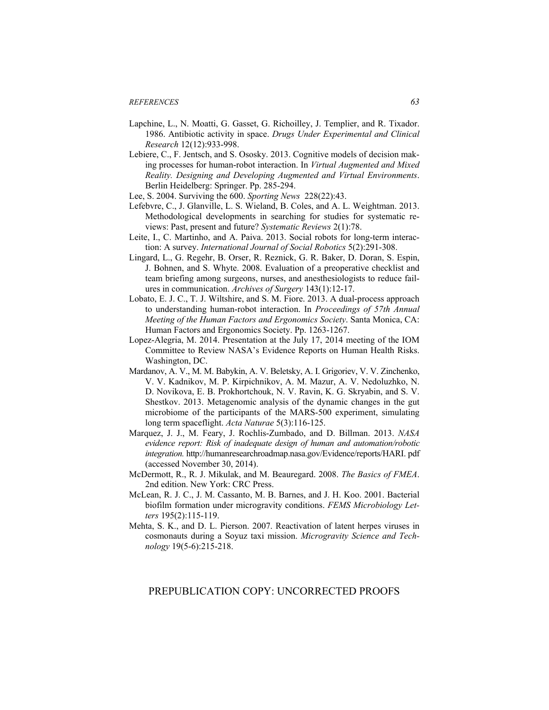- IOM. 2011. *Finding what works in health care: Standards for systematic reviews*. Washington, DC: The National Academies Press.
- IOM. 2014. *Review of NASA's evidence reports on human health risks: 2013 letter report.* Washington, DC: The National Academies Press.
- James, J. T., and N. Kahn-Mayberry. 2009. *NASA evidence report: Risk of adverse health effects from lunar dust exposure.* http://humanresearch roadmap.nasa.gov/evidence/reports/Lunar%20Dust.pdf (accessed November 30, 2014).
- Kahn, P. H., T. Kanda, H. Ishiguro, B. T. Gill, J. H. Ruckert, S. Shen, and R. L. Severson. 2012. Do people hold a humanoid robot morally accountable for the harm it causes? In *Proceedings of the Seventh Annual ACM/IEEE International Conference on Human-Robot Interaction*. New York: Association for Computing Machinery. Pp. 33-40.
- Kalinich, J. F., and C. E. Kasper. 2014. Do metals that translocate to the brain exacerbate traumatic brain injury? *Medical Hypotheses* 82(5):558-562.
- Kaur, I., E. R. Simons, A. S. Kapadia, C. M. Ott, and D. L. Pierson. 2008. Effect of spaceflight on ability of monocytes to respond to endotoxins of gramnegative bacteria. *Clinical and Vaccine Immunology* 15(10):1523-1528.
- Kauvar D, A. Braswell, B. D. Brown, and M. Harnisch. 2006. Influence of resident and attending surgeon seniority on operative performance in laparoscopic cholecystectomy. *Journal of Surgical Research* 132:159-163.
- Kim, W., F. K. Tengra, Z. Young, J. Shong, N. Marchand, H. K. Chan, R. C. Pangule, M. Parra, J. S. Dordick, J. L. Plawsky, and C. H. Collins. 2013. Spaceflight promotes biofilm formation by *Pseudomonas aeruginosa*. *PLoS ONE* 8(4):e62437.
- Kimhi, S., K. Mindel, and R. Oged. 2011. On the edge of the abyss: Testimonies of an Isreali submarine crew on the challenges and features of life as a submariner. *Megamot* 47(3-4):545-567.
- Kish, A. L., M. P. Hummerick, M. S. Roberts, J. L. Garland, S. Maxwell, and A. Mills. 2002. Biostability and microbiological analysis of shuttle crew refuse. *SAE Technical Paper #2002-01-2356*.
- Lakin, W. D., S. A. Stevens, and P. L. Penar. 2007. Modeling intracranial pressures in microgravity: The influence of the blood-brain barrier. *Aviation, Space, and Environmental Medicine* 78(10):932-936.
- Lalor, E. C., S. P. Kelly, C. Finucane, R. Burke, R. Smith, R. B. Reilly, G. McDarby. 2005. Steady-state VEP-based brain-computer interface control in an immersive 3D gaming environment. *EURASIP Journal on Applied Signal Processing* 19:3156-3164.
- Lane, J. S., W. S. Sandberg, and B. Rothman. 2012. Development and implementation of an integrated mobile situational awareness iPhone application VigiVU at an academic medical center. *International Journal of Computer Assisted Radiology and Surgery* 7(5):721-735.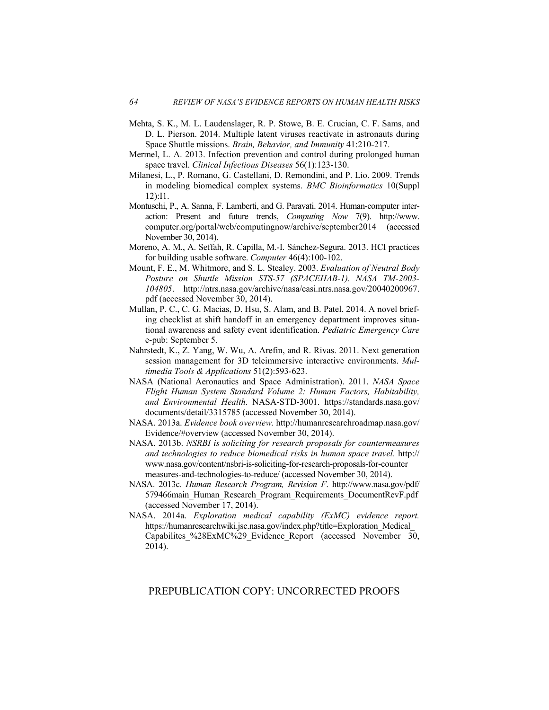#### *REFERENCES 63*

- Lapchine, L., N. Moatti, G. Gasset, G. Richoilley, J. Templier, and R. Tixador. 1986. Antibiotic activity in space. *Drugs Under Experimental and Clinical Research* 12(12):933-998.
- Lebiere, C., F. Jentsch, and S. Ososky. 2013. Cognitive models of decision making processes for human-robot interaction. In *Virtual Augmented and Mixed Reality. Designing and Developing Augmented and Virtual Environments*. Berlin Heidelberg: Springer. Pp. 285-294.
- Lee, S. 2004. Surviving the 600. *Sporting News* 228(22):43.
- Lefebvre, C., J. Glanville, L. S. Wieland, B. Coles, and A. L. Weightman. 2013. Methodological developments in searching for studies for systematic reviews: Past, present and future? *Systematic Reviews* 2(1):78.
- Leite, I., C. Martinho, and A. Paiva. 2013. Social robots for long-term interaction: A survey. *International Journal of Social Robotics* 5(2):291-308.
- Lingard, L., G. Regehr, B. Orser, R. Reznick, G. R. Baker, D. Doran, S. Espin, J. Bohnen, and S. Whyte. 2008. Evaluation of a preoperative checklist and team briefing among surgeons, nurses, and anesthesiologists to reduce failures in communication. *Archives of Surgery* 143(1):12-17.
- Lobato, E. J. C., T. J. Wiltshire, and S. M. Fiore. 2013. A dual-process approach to understanding human-robot interaction. In *Proceedings of 57th Annual Meeting of the Human Factors and Ergonomics Society*. Santa Monica, CA: Human Factors and Ergonomics Society. Pp. 1263-1267.
- Lopez-Alegria, M. 2014. Presentation at the July 17, 2014 meeting of the IOM Committee to Review NASA's Evidence Reports on Human Health Risks. Washington, DC.
- Mardanov, A. V., M. M. Babykin, A. V. Beletsky, A. I. Grigoriev, V. V. Zinchenko, V. V. Kadnikov, M. P. Kirpichnikov, A. M. Mazur, A. V. Nedoluzhko, N. D. Novikova, E. B. Prokhortchouk, N. V. Ravin, K. G. Skryabin, and S. V. Shestkov. 2013. Metagenomic analysis of the dynamic changes in the gut microbiome of the participants of the MARS-500 experiment, simulating long term spaceflight. *Acta Naturae* 5(3):116-125.
- Marquez, J. J., M. Feary, J. Rochlis-Zumbado, and D. Billman. 2013. *NASA evidence report: Risk of inadequate design of human and automation/robotic integration.* http://humanresearchroadmap.nasa.gov/Evidence/reports/HARI. pdf (accessed November 30, 2014).
- McDermott, R., R. J. Mikulak, and M. Beauregard. 2008. *The Basics of FMEA*. 2nd edition. New York: CRC Press.
- McLean, R. J. C., J. M. Cassanto, M. B. Barnes, and J. H. Koo. 2001. Bacterial biofilm formation under microgravity conditions. *FEMS Microbiology Letters* 195(2):115-119.
- Mehta, S. K., and D. L. Pierson. 2007. Reactivation of latent herpes viruses in cosmonauts during a Soyuz taxi mission. *Microgravity Science and Technology* 19(5-6):215-218.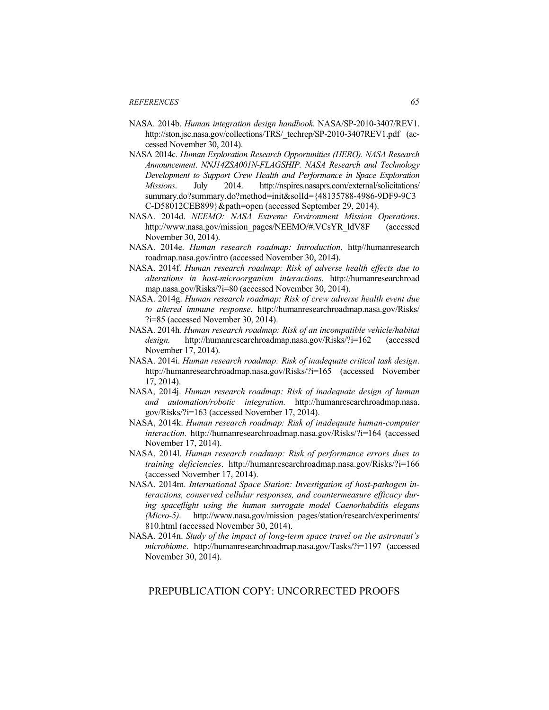- Mehta, S. K., M. L. Laudenslager, R. P. Stowe, B. E. Crucian, C. F. Sams, and D. L. Pierson. 2014. Multiple latent viruses reactivate in astronauts during Space Shuttle missions. *Brain, Behavior, and Immunity* 41:210-217.
- Mermel, L. A. 2013. Infection prevention and control during prolonged human space travel. *Clinical Infectious Diseases* 56(1):123-130.
- Milanesi, L., P. Romano, G. Castellani, D. Remondini, and P. Lio. 2009. Trends in modeling biomedical complex systems. *BMC Bioinformatics* 10(Suppl 12):I1.
- Montuschi, P., A. Sanna, F. Lamberti, and G. Paravati. 2014. Human-computer interaction: Present and future trends, *Computing Now* 7(9). http://www. computer.org/portal/web/computingnow/archive/september2014 (accessed November 30, 2014).
- Moreno, A. M., A. Seffah, R. Capilla, M.-I. Sánchez-Segura. 2013. HCI practices for building usable software. *Computer* 46(4):100-102.
- Mount, F. E., M. Whitmore, and S. L. Stealey. 2003. *Evaluation of Neutral Body Posture on Shuttle Mission STS-57 (SPACEHAB-1). NASA TM-2003- 104805*. http://ntrs.nasa.gov/archive/nasa/casi.ntrs.nasa.gov/20040200967. pdf (accessed November 30, 2014).
- Mullan, P. C., C. G. Macias, D. Hsu, S. Alam, and B. Patel. 2014. A novel briefing checklist at shift handoff in an emergency department improves situational awareness and safety event identification. *Pediatric Emergency Care* e-pub: September 5.
- Nahrstedt, K., Z. Yang, W. Wu, A. Arefin, and R. Rivas. 2011. Next generation session management for 3D teleimmersive interactive environments. *Multimedia Tools & Applications* 51(2):593-623.
- NASA (National Aeronautics and Space Administration). 2011. *NASA Space Flight Human System Standard Volume 2: Human Factors, Habitability, and Environmental Health*. NASA-STD-3001. https://standards.nasa.gov/ documents/detail/3315785 (accessed November 30, 2014).
- NASA. 2013a. *Evidence book overview.* http://humanresearchroadmap.nasa.gov/ Evidence/#overview (accessed November 30, 2014).
- NASA. 2013b. *NSRBI is soliciting for research proposals for countermeasures and technologies to reduce biomedical risks in human space travel*. http:// www.nasa.gov/content/nsbri-is-soliciting-for-research-proposals-for-counter measures-and-technologies-to-reduce/ (accessed November 30, 2014).
- NASA. 2013c. *Human Research Program, Revision F*. http://www.nasa.gov/pdf/ 579466main\_Human\_Research\_Program\_Requirements\_DocumentRevF.pdf (accessed November 17, 2014).
- NASA. 2014a. *Exploration medical capability (ExMC) evidence report.*  https://humanresearchwiki.jsc.nasa.gov/index.php?title=Exploration\_Medical\_ Capabilites\_%28ExMC%29\_Evidence\_Report (accessed November 30, 2014).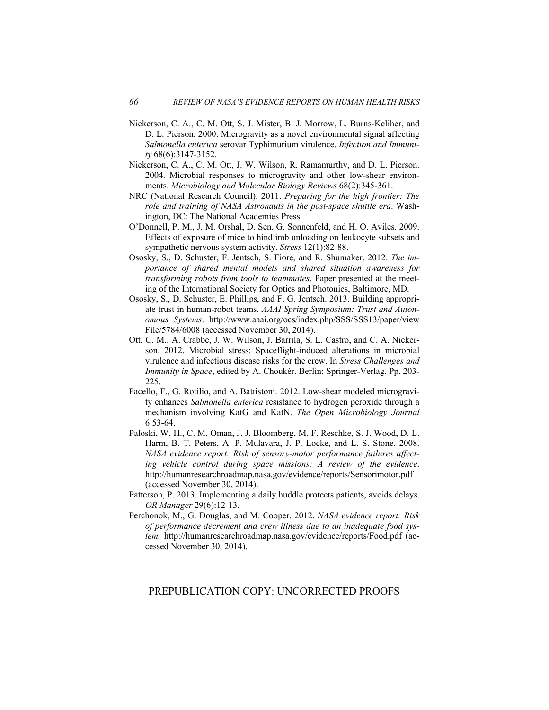- NASA. 2014b. *Human integration design handbook*. NASA/SP-2010-3407/REV1. http://ston.jsc.nasa.gov/collections/TRS/\_techrep/SP-2010-3407REV1.pdf (accessed November 30, 2014).
- NASA 2014c. *Human Exploration Research Opportunities (HERO). NASA Research Announcement*. *NNJ14ZSA001N-FLAGSHIP. NASA Research and Technology Development to Support Crew Health and Performance in Space Exploration Missions*. July 2014. http://nspires.nasaprs.com/external/solicitations/ summary.do?summary.do?method=init&solId={48135788-4986-9DF9-9C3 C-D58012CEB899}&path=open (accessed September 29, 2014).
- NASA. 2014d. *NEEMO: NASA Extreme Environment Mission Operations*. http://www.nasa.gov/mission\_pages/NEEMO/#.VCsYR\_ldV8F (accessed November 30, 2014).
- NASA. 2014e. *Human research roadmap: Introduction*. http//humanresearch roadmap.nasa.gov/intro (accessed November 30, 2014).
- NASA. 2014f. *Human research roadmap: Risk of adverse health effects due to alterations in host-microorganism interactions*. http://humanresearchroad map.nasa.gov/Risks/?i=80 (accessed November 30, 2014).
- NASA. 2014g. *Human research roadmap: Risk of crew adverse health event due to altered immune response*. http://humanresearchroadmap.nasa.gov/Risks/ ?i=85 (accessed November 30, 2014).
- NASA. 2014h*. Human research roadmap: Risk of an incompatible vehicle/habitat design.* http://humanresearchroadmap.nasa.gov/Risks/?i=162 (accessed November 17, 2014).
- NASA. 2014i. *Human research roadmap: Risk of inadequate critical task design*. http://humanresearchroadmap.nasa.gov/Risks/?i=165 (accessed November 17, 2014).
- NASA, 2014j. *Human research roadmap: Risk of inadequate design of human and automation/robotic integration.* http://humanresearchroadmap.nasa. gov/Risks/?i=163 (accessed November 17, 2014).
- NASA, 2014k. *Human research roadmap: Risk of inadequate human-computer interaction.* http://humanresearchroadmap.nasa.gov/Risks/?i=164 (accessed November 17, 2014).
- NASA. 2014l. *Human research roadmap: Risk of performance errors dues to training deficiencies*. http://humanresearchroadmap.nasa.gov/Risks/?i=166 (accessed November 17, 2014).
- NASA. 2014m. *International Space Station: Investigation of host-pathogen interactions, conserved cellular responses, and countermeasure efficacy during spaceflight using the human surrogate model Caenorhabditis elegans (Micro-5)*. http://www.nasa.gov/mission\_pages/station/research/experiments/ 810.html (accessed November 30, 2014).
- NASA. 2014n. *Study of the impact of long-term space travel on the astronaut's microbiome*. http://humanresearchroadmap.nasa.gov/Tasks/?i=1197 (accessed November 30, 2014).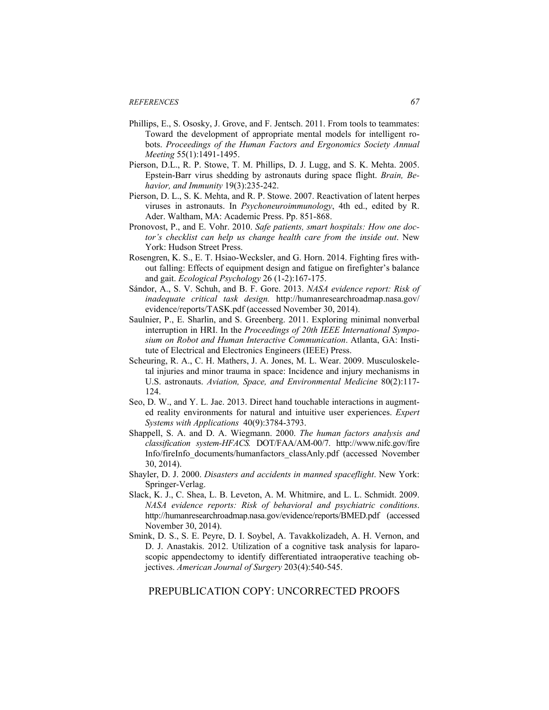- Nickerson, C. A., C. M. Ott, S. J. Mister, B. J. Morrow, L. Burns-Keliher, and D. L. Pierson. 2000. Microgravity as a novel environmental signal affecting *Salmonella enterica* serovar Typhimurium virulence. *Infection and Immunity* 68(6):3147-3152.
- Nickerson, C. A., C. M. Ott, J. W. Wilson, R. Ramamurthy, and D. L. Pierson. 2004. Microbial responses to microgravity and other low-shear environments. *Microbiology and Molecular Biology Reviews* 68(2):345-361.
- NRC (National Research Council). 2011. *Preparing for the high frontier: The role and training of NASA Astronauts in the post-space shuttle era*. Washington, DC: The National Academies Press.
- O'Donnell, P. M., J. M. Orshal, D. Sen, G. Sonnenfeld, and H. O. Aviles. 2009. Effects of exposure of mice to hindlimb unloading on leukocyte subsets and sympathetic nervous system activity. *Stress* 12(1):82-88.
- Ososky, S., D. Schuster, F. Jentsch, S. Fiore, and R. Shumaker. 2012. *The importance of shared mental models and shared situation awareness for transforming robots from tools to teammates*. Paper presented at the meeting of the International Society for Optics and Photonics, Baltimore, MD.
- Ososky, S., D. Schuster, E. Phillips, and F. G. Jentsch. 2013. Building appropriate trust in human-robot teams. *AAAI Spring Symposium: Trust and Autonomous Systems*. http://www.aaai.org/ocs/index.php/SSS/SSS13/paper/view File/5784/6008 (accessed November 30, 2014).
- Ott, C. M., A. Crabbé, J. W. Wilson, J. Barrila, S. L. Castro, and C. A. Nickerson. 2012. Microbial stress: Spaceflight-induced alterations in microbial virulence and infectious disease risks for the crew. In *Stress Challenges and Immunity in Space*, edited by A. Choukèr. Berlin: Springer-Verlag. Pp. 203- 225.
- Pacello, F., G. Rotilio, and A. Battistoni. 2012. Low-shear modeled microgravity enhances *Salmonella enterica* resistance to hydrogen peroxide through a mechanism involving KatG and KatN. *The Open Microbiology Journal* 6:53-64.
- Paloski, W. H., C. M. Oman, J. J. Bloomberg, M. F. Reschke, S. J. Wood, D. L. Harm, B. T. Peters, A. P. Mulavara, J. P. Locke, and L. S. Stone. 2008. *NASA evidence report: Risk of sensory-motor performance failures affecting vehicle control during space missions: A review of the evidence*. http://humanresearchroadmap.nasa.gov/evidence/reports/Sensorimotor.pdf (accessed November 30, 2014).
- Patterson, P. 2013. Implementing a daily huddle protects patients, avoids delays. *OR Manager* 29(6):12-13.
- Perchonok, M., G. Douglas, and M. Cooper. 2012. *NASA evidence report: Risk of performance decrement and crew illness due to an inadequate food system.* http://humanresearchroadmap.nasa.gov/evidence/reports/Food.pdf (accessed November 30, 2014).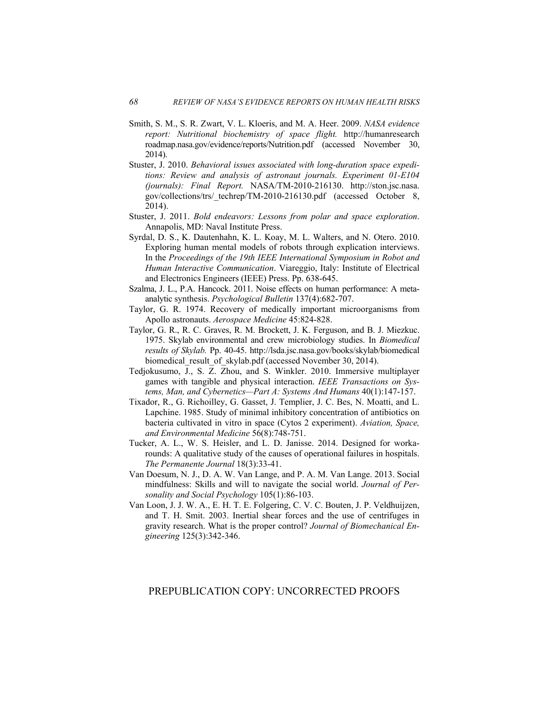- Phillips, E., S. Ososky, J. Grove, and F. Jentsch. 2011. From tools to teammates: Toward the development of appropriate mental models for intelligent robots. *Proceedings of the Human Factors and Ergonomics Society Annual Meeting* 55(1):1491-1495.
- Pierson, D.L., R. P. Stowe, T. M. Phillips, D. J. Lugg, and S. K. Mehta. 2005. Epstein-Barr virus shedding by astronauts during space flight. *Brain, Behavior, and Immunity* 19(3):235-242.
- Pierson, D. L., S. K. Mehta, and R. P. Stowe. 2007. Reactivation of latent herpes viruses in astronauts. In *Psychoneuroimmunology*, 4th ed., edited by R. Ader. Waltham, MA: Academic Press. Pp. 851-868.
- Pronovost, P., and E. Vohr. 2010. *Safe patients, smart hospitals: How one doctor's checklist can help us change health care from the inside out*. New York: Hudson Street Press.
- Rosengren, K. S., E. T. Hsiao-Wecksler, and G. Horn. 2014. Fighting fires without falling: Effects of equipment design and fatigue on firefighter's balance and gait. *Ecological Psychology* 26 (1-2):167-175.
- Sándor, A., S. V. Schuh, and B. F. Gore. 2013. *NASA evidence report: Risk of inadequate critical task design.* http://humanresearchroadmap.nasa.gov/ evidence/reports/TASK.pdf (accessed November 30, 2014).
- Saulnier, P., E. Sharlin, and S. Greenberg. 2011. Exploring minimal nonverbal interruption in HRI. In the *Proceedings of 20th IEEE International Symposium on Robot and Human Interactive Communication*. Atlanta, GA: Institute of Electrical and Electronics Engineers (IEEE) Press.
- Scheuring, R. A., C. H. Mathers, J. A. Jones, M. L. Wear. 2009. Musculoskeletal injuries and minor trauma in space: Incidence and injury mechanisms in U.S. astronauts. *Aviation, Space, and Environmental Medicine* 80(2):117- 124.
- Seo, D. W., and Y. L. Jae. 2013. Direct hand touchable interactions in augmented reality environments for natural and intuitive user experiences. *Expert Systems with Applications* 40(9):3784-3793.
- Shappell, S. A. and D. A. Wiegmann. 2000. *The human factors analysis and classification system-HFACS.* DOT/FAA/AM-00/7. http://www.nifc.gov/fire Info/fireInfo\_documents/humanfactors\_classAnly.pdf (accessed November 30, 2014).
- Shayler, D. J. 2000. *Disasters and accidents in manned spaceflight*. New York: Springer-Verlag.
- Slack, K. J., C. Shea, L. B. Leveton, A. M. Whitmire, and L. L. Schmidt. 2009. *NASA evidence reports: Risk of behavioral and psychiatric conditions*. http://humanresearchroadmap.nasa.gov/evidence/reports/BMED.pdf (accessed November 30, 2014).
- Smink, D. S., S. E. Peyre, D. I. Soybel, A. Tavakkolizadeh, A. H. Vernon, and D. J. Anastakis. 2012. Utilization of a cognitive task analysis for laparoscopic appendectomy to identify differentiated intraoperative teaching objectives. *American Journal of Surgery* 203(4):540-545.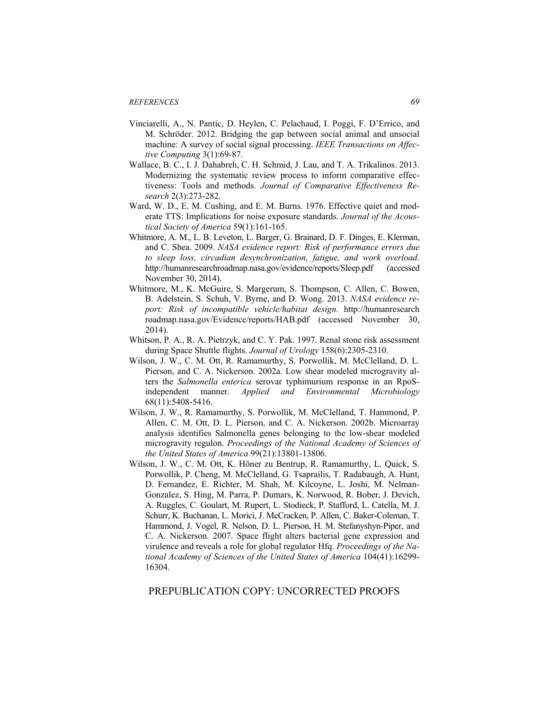- Smith, S. M., S. R. Zwart, V. L. Kloeris, and M. A. Heer. 2009. *NASA evidence report: Nutritional biochemistry of space flight.* http://humanresearch roadmap.nasa.gov/evidence/reports/Nutrition.pdf (accessed November 30, 2014).
- Stuster, J. 2010. *Behavioral issues associated with long-duration space expeditions: Review and analysis of astronaut journals. Experiment 01-E104 (journals): Final Report.* NASA/TM-2010-216130. http://ston.jsc.nasa. gov/collections/trs/\_techrep/TM-2010-216130.pdf (accessed October 8, 2014).
- Stuster, J. 2011. *Bold endeavors: Lessons from polar and space exploration*. Annapolis, MD: Naval Institute Press.
- Syrdal, D. S., K. Dautenhahn, K. L. Koay, M. L. Walters, and N. Otero. 2010. Exploring human mental models of robots through explication interviews. In the *Proceedings of the 19th IEEE International Symposium in Robot and Human Interactive Communication*. Viareggio, Italy: Institute of Electrical and Electronics Engineers (IEEE) Press. Pp. 638-645.
- Szalma, J. L., P.A. Hancock. 2011. Noise effects on human performance: A metaanalytic synthesis. *Psychological Bulletin* 137(4):682-707.
- Taylor, G. R. 1974. Recovery of medically important microorganisms from Apollo astronauts. *Aerospace Medicine* 45:824-828.
- Taylor, G. R., R. C. Graves, R. M. Brockett, J. K. Ferguson, and B. J. Miezkuc. 1975. Skylab environmental and crew microbiology studies. In *Biomedical results of Skylab.* Pp. 40-45. http://lsda.jsc.nasa.gov/books/skylab/biomedical biomedical result of skylab.pdf (accessed November 30, 2014).
- Tedjokusumo, J., S. Z. Zhou, and S. Winkler. 2010. Immersive multiplayer games with tangible and physical interaction. *IEEE Transactions on Systems, Man, and Cybernetics—Part A: Systems And Humans* 40(1):147-157.
- Tixador, R., G. Richoilley, G. Gasset, J. Templier, J. C. Bes, N. Moatti, and L. Lapchine. 1985. Study of minimal inhibitory concentration of antibiotics on bacteria cultivated in vitro in space (Cytos 2 experiment). *Aviation, Space, and Environmental Medicine* 56(8):748-751.
- Tucker, A. L., W. S. Heisler, and L. D. Janisse. 2014. Designed for workarounds: A qualitative study of the causes of operational failures in hospitals. *The Permanente Journal* 18(3):33-41.
- Van Doesum, N. J., D. A. W. Van Lange, and P. A. M. Van Lange. 2013. Social mindfulness: Skills and will to navigate the social world. *Journal of Personality and Social Psychology* 105(1):86-103.
- Van Loon, J. J. W. A., E. H. T. E. Folgering, C. V. C. Bouten, J. P. Veldhuijzen, and T. H. Smit. 2003. Inertial shear forces and the use of centrifuges in gravity research. What is the proper control? *Journal of Biomechanical Engineering* 125(3):342-346.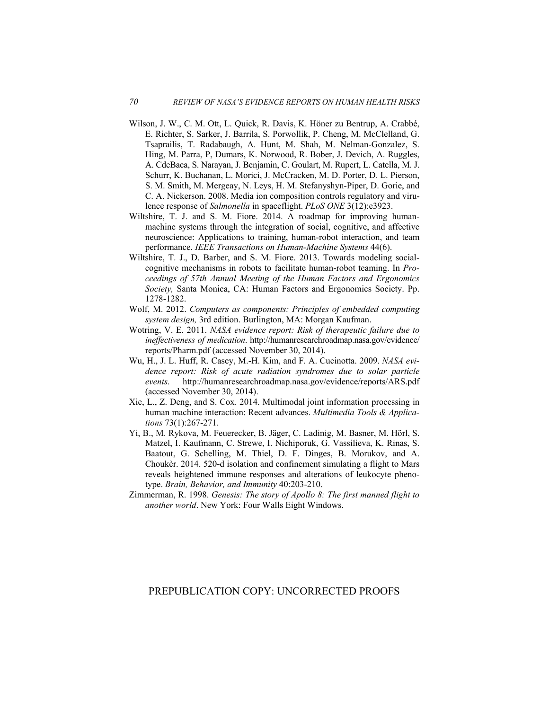- Vinciarelli, A., N. Pantic, D. Heylen, C. Pelachaud, I. Poggi, F. D'Errico, and M. Schröder. 2012. Bridging the gap between social animal and unsocial machine: A survey of social signal processing. *IEEE Transactions on Affective Computing* 3(1):69-87.
- Wallace, B. C., I. J. Dahabreh, C. H. Schmid, J. Lau, and T. A. Trikalinos. 2013. Modernizing the systematic review process to inform comparative effectiveness: Tools and methods. *Journal of Comparative Effectiveness Research* 2(3):273-282.
- Ward, W. D., E. M. Cushing, and E. M. Burns. 1976. Effective quiet and moderate TTS: Implications for noise exposure standards. *Journal of the Acoustical Society of America* 59(1):161-165.
- Whitmore, A. M., L. B. Leveton, L. Barger, G. Brainard, D. F. Dinges, E. Klerman, and C. Shea. 2009. *NASA evidence report: Risk of performance errors due to sleep loss, circadian desynchronization, fatigue, and work overload*. http://humanresearchroadmap.nasa.gov/evidence/reports/Sleep.pdf (accessed November 30, 2014).
- Whitmore, M., K. McGuire, S. Margerum, S. Thompson, C. Allen, C. Bowen, B. Adelstein, S. Schuh, V. Byrne, and D. Wong. 2013. *NASA evidence report: Risk of incompatible vehicle/habitat design.* http://humanresearch roadmap.nasa.gov/Evidence/reports/HAB.pdf (accessed November 30, 2014).
- Whitson, P. A., R. A. Pietrzyk, and C. Y. Pak. 1997. Renal stone risk assessment during Space Shuttle flights. *Journal of Urology* 158(6):2305-2310.
- Wilson, J. W., C. M. Ott, R. Ramamurthy, S. Porwollik, M. McClelland, D. L. Pierson, and C. A. Nickerson. 2002a. Low shear modeled microgravity alters the *Salmonella enterica* serovar typhimurium response in an RpoSindependent manner. *Applied and Environmental Microbiology* 68(11):5408-5416.
- Wilson, J. W., R. Ramamurthy, S. Porwollik, M. McClelland, T. Hammond, P. Allen, C. M. Ott, D. L. Pierson, and C. A. Nickerson. 2002b. Microarray analysis identifies Salmonella genes belonging to the low-shear modeled microgravity regulon. *Proceedings of the National Academy of Sciences of the United States of America* 99(21):13801-13806.
- Wilson, J. W., C. M. Ott, K. Höner zu Bentrup, R. Ramamurthy, L. Quick, S. Porwollik, P. Cheng, M. McClelland, G. Tsaprailis, T. Radabaugh, A. Hunt, D. Fernandez, E. Richter, M. Shah, M. Kilcoyne, L. Joshi, M. Nelman-Gonzalez, S. Hing, M. Parra, P. Dumars, K. Norwood, R. Bober, J. Devich, A. Ruggles, C. Goulart, M. Rupert, L. Stodieck, P. Stafford, L. Catella, M. J. Schurr, K. Buchanan, L. Morici, J. McCracken, P. Allen, C. Baker-Coleman, T. Hammond, J. Vogel, R. Nelson, D. L. Pierson, H. M. Stefanyshyn-Piper, and C. A. Nickerson. 2007. Space flight alters bacterial gene expression and virulence and reveals a role for global regulator Hfq. *Proceedings of the National Academy of Sciences of the United States of America* 104(41):16299- 16304.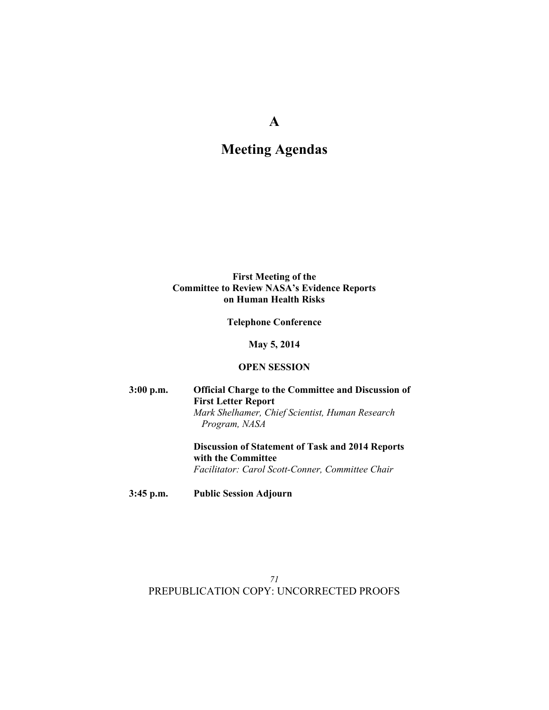- Wilson, J. W., C. M. Ott, L. Quick, R. Davis, K. Höner zu Bentrup, A. Crabbé, E. Richter, S. Sarker, J. Barrila, S. Porwollik, P. Cheng, M. McClelland, G. Tsaprailis, T. Radabaugh, A. Hunt, M. Shah, M. Nelman-Gonzalez, S. Hing, M. Parra, P, Dumars, K. Norwood, R. Bober, J. Devich, A. Ruggles, A. CdeBaca, S. Narayan, J. Benjamin, C. Goulart, M. Rupert, L. Catella, M. J. Schurr, K. Buchanan, L. Morici, J. McCracken, M. D. Porter, D. L. Pierson, S. M. Smith, M. Mergeay, N. Leys, H. M. Stefanyshyn-Piper, D. Gorie, and C. A. Nickerson. 2008. Media ion composition controls regulatory and virulence response of *Salmonella* in spaceflight. *PLoS ONE* 3(12):e3923.
- Wiltshire, T. J. and S. M. Fiore. 2014. A roadmap for improving humanmachine systems through the integration of social, cognitive, and affective neuroscience: Applications to training, human-robot interaction, and team performance. *IEEE Transactions on Human-Machine Systems* 44(6).
- Wiltshire, T. J., D. Barber, and S. M. Fiore. 2013. Towards modeling socialcognitive mechanisms in robots to facilitate human-robot teaming. In *Proceedings of 57th Annual Meeting of the Human Factors and Ergonomics Society,* Santa Monica, CA: Human Factors and Ergonomics Society. Pp. 1278-1282.
- Wolf, M. 2012. *Computers as components: Principles of embedded computing system design,* 3rd edition. Burlington, MA: Morgan Kaufman.
- Wotring, V. E. 2011. *NASA evidence report: Risk of therapeutic failure due to ineffectiveness of medication*. http://humanresearchroadmap.nasa.gov/evidence/ reports/Pharm.pdf (accessed November 30, 2014).
- Wu, H., J. L. Huff, R. Casey, M.-H. Kim, and F. A. Cucinotta. 2009. *NASA evidence report: Risk of acute radiation syndromes due to solar particle events*. http://humanresearchroadmap.nasa.gov/evidence/reports/ARS.pdf (accessed November 30, 2014).
- Xie, L., Z. Deng, and S. Cox. 2014. Multimodal joint information processing in human machine interaction: Recent advances. *Multimedia Tools & Applications* 73(1):267-271.
- Yi, B., M. Rykova, M. Feuerecker, B. Jäger, C. Ladinig, M. Basner, M. Hörl, S. Matzel, I. Kaufmann, C. Strewe, I. Nichiporuk, G. Vassilieva, K. Rinas, S. Baatout, G. Schelling, M. Thiel, D. F. Dinges, B. Morukov, and A. Choukèr. 2014. 520-d isolation and confinement simulating a flight to Mars reveals heightened immune responses and alterations of leukocyte phenotype. *Brain, Behavior, and Immunity* 40:203-210.
- Zimmerman, R. 1998. *Genesis: The story of Apollo 8: The first manned flight to another world*. New York: Four Walls Eight Windows.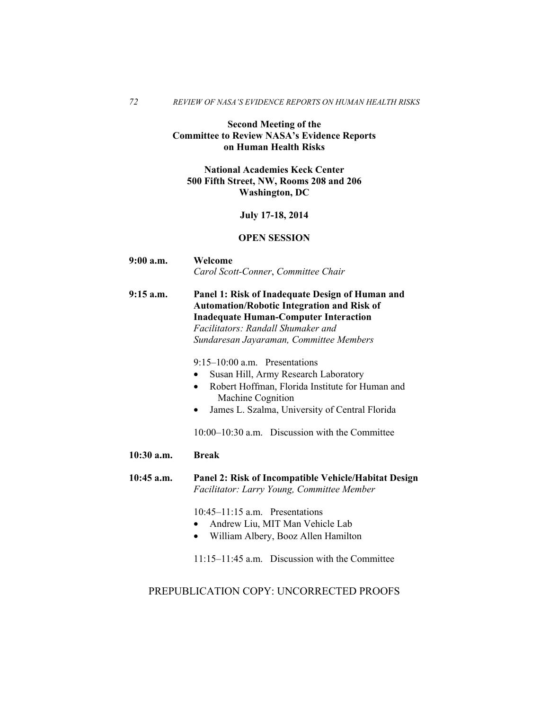## **A**

# **Meeting Agendas**

### **First Meeting of the Committee to Review NASA's Evidence Reports on Human Health Risks**

**Telephone Conference** 

**May 5, 2014** 

### **OPEN SESSION**

| $3:00$ p.m. | <b>Official Charge to the Committee and Discussion of</b> |
|-------------|-----------------------------------------------------------|
|             | <b>First Letter Report</b>                                |
|             | Mark Shelhamer, Chief Scientist, Human Research           |
|             | Program, NASA                                             |
|             | <b>Discussion of Statement of Task and 2014 Reports</b>   |
|             | with the Committee                                        |
|             | $\Gamma$ $\cdots$ $\alpha$ $\cdots$ $\alpha$              |

*Facilitator: Carol Scott-Conner, Committee Chair* 

**3:45 p.m. Public Session Adjourn**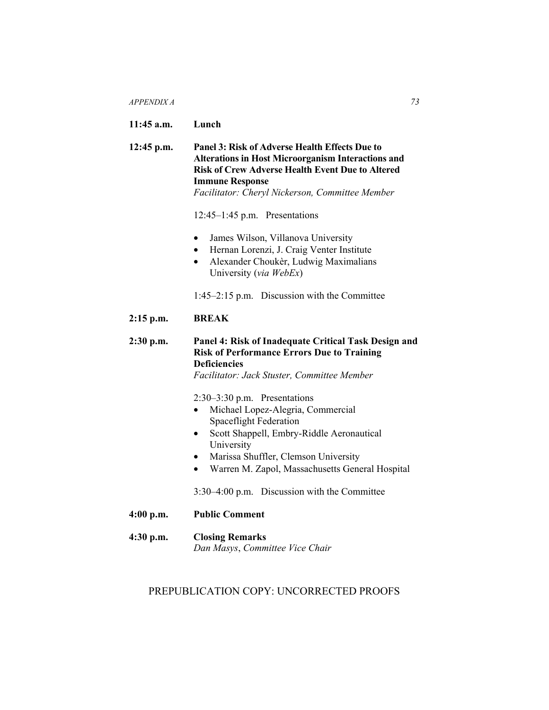#### *72 REVIEW OF NASA'S EVIDENCE REPORTS ON HUMAN HEALTH RISKS*

### **Second Meeting of the Committee to Review NASA's Evidence Reports on Human Health Risks**

### **National Academies Keck Center 500 Fifth Street, NW, Rooms 208 and 206 Washington, DC**

#### **July 17-18, 2014**

### **OPEN SESSION**

| $9:00$ a.m. | Welcome                                                                                              |
|-------------|------------------------------------------------------------------------------------------------------|
|             | Carol Scott-Conner, Committee Chair                                                                  |
| $9:15$ a.m. | Panel 1: Risk of Inadequate Design of Human and<br><b>Automation/Robotic Integration and Risk of</b> |
|             | <b>Inadequate Human-Computer Interaction</b><br>Facilitators: Randall Shumaker and                   |
|             |                                                                                                      |
|             | Sundaresan Jayaraman, Committee Members                                                              |
|             |                                                                                                      |

9:15–10:00 a.m. Presentations

- Susan Hill, Army Research Laboratory
- Robert Hoffman, Florida Institute for Human and Machine Cognition
- James L. Szalma, University of Central Florida

10:00–10:30 a.m. Discussion with the Committee

- **10:30 a.m. Break**
- **10:45 a.m. Panel 2: Risk of Incompatible Vehicle/Habitat Design**  *Facilitator: Larry Young, Committee Member*

10:45–11:15 a.m. Presentations

- Andrew Liu, MIT Man Vehicle Lab
- William Albery, Booz Allen Hamilton
- 11:15–11:45 a.m. Discussion with the Committee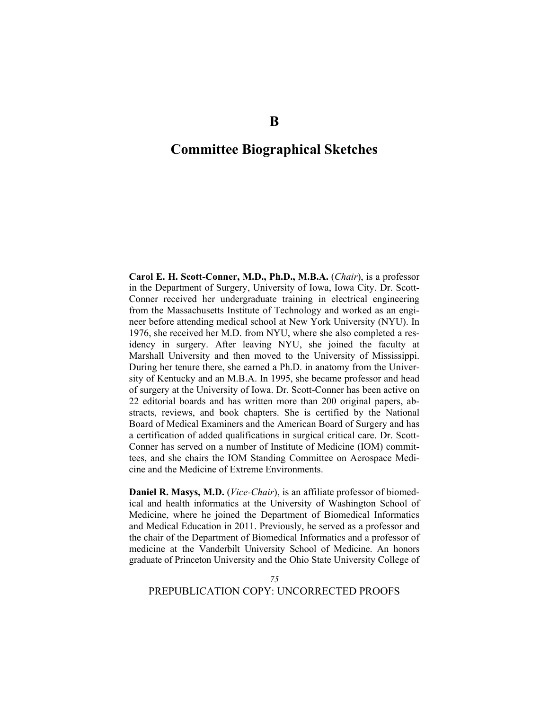#### *APPENDIX A 73*

### **11:45 a.m. Lunch**

**12:45 p.m. Panel 3: Risk of Adverse Health Effects Due to Alterations in Host Microorganism Interactions and Risk of Crew Adverse Health Event Due to Altered Immune Response**  *Facilitator: Cheryl Nickerson, Committee Member* 

12:45–1:45 p.m. Presentations

- James Wilson, Villanova University
- Hernan Lorenzi, J. Craig Venter Institute
- Alexander Choukèr, Ludwig Maximalians University (*via WebEx*)

1:45–2:15 p.m.Discussion with the Committee

#### **2:15 p.m. BREAK**

### **2:30 p.m. Panel 4: Risk of Inadequate Critical Task Design and Risk of Performance Errors Due to Training Deficiencies**

*Facilitator: Jack Stuster, Committee Member* 

2:30–3:30 p.m. Presentations

- Michael Lopez-Alegria, Commercial Spaceflight Federation
- Scott Shappell, Embry-Riddle Aeronautical University
- Marissa Shuffler, Clemson University
- Warren M. Zapol, Massachusetts General Hospital

3:30–4:00 p.m. Discussion with the Committee

- **4:00 p.m. Public Comment**
- **4:30 p.m. Closing Remarks**  *Dan Masys*, *Committee Vice Chair*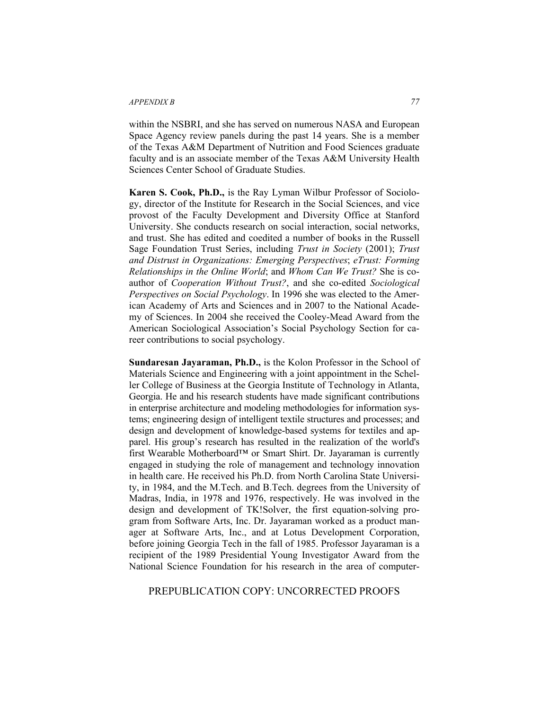# **Committee Biographical Sketches**

**Carol E. H. Scott-Conner, M.D., Ph.D., M.B.A.** (*Chair*), is a professor in the Department of Surgery, University of Iowa, Iowa City. Dr. Scott-Conner received her undergraduate training in electrical engineering from the Massachusetts Institute of Technology and worked as an engineer before attending medical school at New York University (NYU). In 1976, she received her M.D. from NYU, where she also completed a residency in surgery. After leaving NYU, she joined the faculty at Marshall University and then moved to the University of Mississippi. During her tenure there, she earned a Ph.D. in anatomy from the University of Kentucky and an M.B.A. In 1995, she became professor and head of surgery at the University of Iowa. Dr. Scott-Conner has been active on 22 editorial boards and has written more than 200 original papers, abstracts, reviews, and book chapters. She is certified by the National Board of Medical Examiners and the American Board of Surgery and has a certification of added qualifications in surgical critical care. Dr. Scott-Conner has served on a number of Institute of Medicine (IOM) committees, and she chairs the IOM Standing Committee on Aerospace Medicine and the Medicine of Extreme Environments.

**Daniel R. Masys, M.D.** (*Vice-Chair*), is an affiliate professor of biomedical and health informatics at the University of Washington School of Medicine, where he joined the Department of Biomedical Informatics and Medical Education in 2011. Previously, he served as a professor and the chair of the Department of Biomedical Informatics and a professor of medicine at the Vanderbilt University School of Medicine. An honors graduate of Princeton University and the Ohio State University College of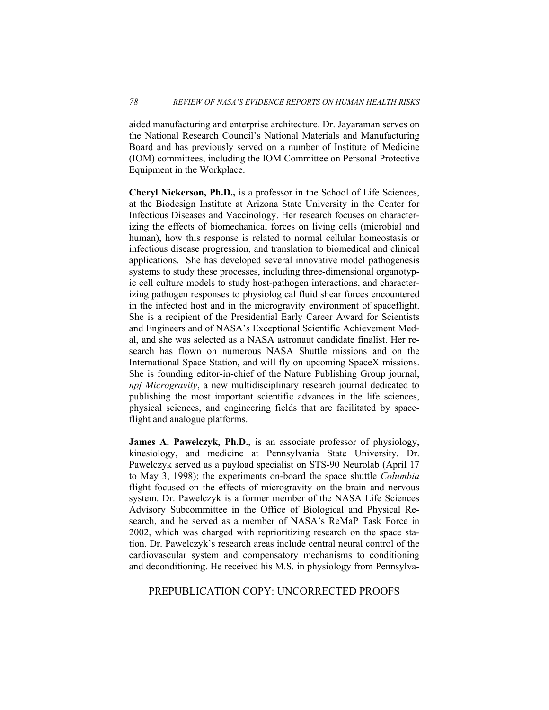Medicine, he completed postgraduate training in internal medicine, hematology, and medical oncology at the University of California, San Diego (UCSD), and the Naval Regional Medical Center, San Diego. He served as chief of the International Cancer Research Data Bank of the National Cancer Institute, National Institutes of Health, and was director of the Lister Hill National Center for Biomedical Communications, which is a computer research and development division of the National Library of Medicine. He also served as director of Biomedical Informatics at the UCSD School of Medicine, director of the UCSD Human Research Protections Program, and professor of medicine. Dr. Masys is an elected member of the Institute of Medicine (IOM). He is a diplomate of the American Board of Internal Medicine in medicine, hematology, and medical oncology. He is a fellow of the American College of Physicians and fellow and past president of the American College of Medical Informatics. Dr. Masys served as a member of the IOM Committee on Aerospace Medicine and Medicine of Extreme Environments and chaired the 2008 IOM review of NASA's Human Research Program evidence books.

**Susan A. Bloomfield, Ph.D.,** earned her B.S. in biology at Oberlin College (Ohio) and her M.A. in physical education (exercise physiology) at the University of Iowa. After completing a Ph.D. (exercise physiology) at Ohio State University, Dr. Bloomfield joined the faculty in the Department of Health and Kinesiology at Texas A&M University in 1993, where she currently holds the rank of professor and is director of the Bone Biology Laboratory. In addition, she serves as assistant provost in the Texas A&M Office of Graduate and Professional Studies. Her research interests focus on the integrative physiology of bone, with specific reference to adaptations to disuse, microgravity, and caloric deficiency and how the sympathetic nervous system, altered blood flow, and endocrine factors modify those adaptations. Her more recent work has focused on the independent and combined effects of partial weight bearing and simulated space radiation on the integrity of bone and muscle, involving several experiments at Brookhaven National Laboratory. Collaborations with muscle biologists have enabled definition of concurrent changes in muscle-bone pairs with disuse and/or radiation exposure. Her work has been funded by the National Space Biomedical Research Institute (NSBRI), the Department of Defense, and, currently, NASA's Space Biology Program. From 2000 to 2012, Dr. Bloomfield served as the associate lead for the Bone Loss (later, Musculoskeletal Alterations) Team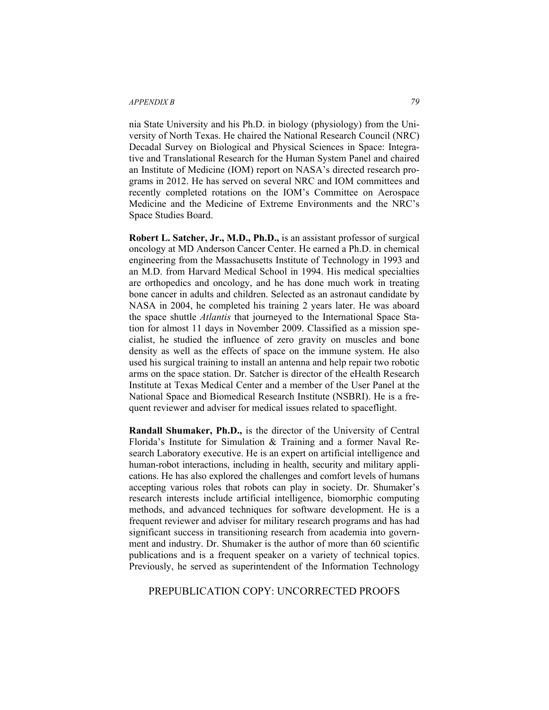#### *APPENDIX B 77*

within the NSBRI, and she has served on numerous NASA and European Space Agency review panels during the past 14 years. She is a member of the Texas A&M Department of Nutrition and Food Sciences graduate faculty and is an associate member of the Texas A&M University Health Sciences Center School of Graduate Studies.

**Karen S. Cook, Ph.D.,** is the Ray Lyman Wilbur Professor of Sociology, director of the Institute for Research in the Social Sciences, and vice provost of the Faculty Development and Diversity Office at Stanford University. She conducts research on social interaction, social networks, and trust. She has edited and coedited a number of books in the Russell Sage Foundation Trust Series, including *Trust in Society* (2001); *Trust and Distrust in Organizations: Emerging Perspectives*; *eTrust: Forming Relationships in the Online World*; and *Whom Can We Trust?* She is coauthor of *Cooperation Without Trust?*, and she co-edited *Sociological Perspectives on Social Psychology*. In 1996 she was elected to the American Academy of Arts and Sciences and in 2007 to the National Academy of Sciences. In 2004 she received the Cooley-Mead Award from the American Sociological Association's Social Psychology Section for career contributions to social psychology.

**Sundaresan Jayaraman, Ph.D.,** is the Kolon Professor in the School of Materials Science and Engineering with a joint appointment in the Scheller College of Business at the Georgia Institute of Technology in Atlanta, Georgia. He and his research students have made significant contributions in enterprise architecture and modeling methodologies for information systems; engineering design of intelligent textile structures and processes; and design and development of knowledge-based systems for textiles and apparel. His group's research has resulted in the realization of the world's first Wearable Motherboard™ or Smart Shirt. Dr. Jayaraman is currently engaged in studying the role of management and technology innovation in health care. He received his Ph.D. from North Carolina State University, in 1984, and the M.Tech. and B.Tech. degrees from the University of Madras, India, in 1978 and 1976, respectively. He was involved in the design and development of TK!Solver, the first equation-solving program from Software Arts, Inc. Dr. Jayaraman worked as a product manager at Software Arts, Inc., and at Lotus Development Corporation, before joining Georgia Tech in the fall of 1985. Professor Jayaraman is a recipient of the 1989 Presidential Young Investigator Award from the National Science Foundation for his research in the area of computer-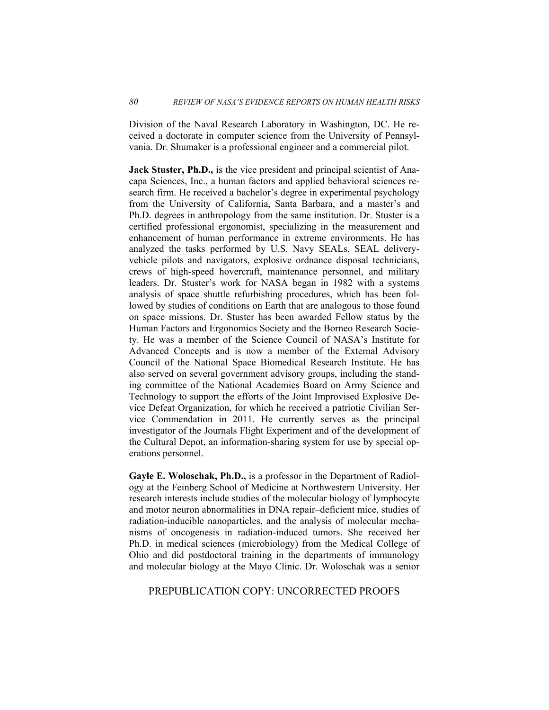aided manufacturing and enterprise architecture. Dr. Jayaraman serves on the National Research Council's National Materials and Manufacturing Board and has previously served on a number of Institute of Medicine (IOM) committees, including the IOM Committee on Personal Protective Equipment in the Workplace.

**Cheryl Nickerson, Ph.D.,** is a professor in the School of Life Sciences, at the Biodesign Institute at Arizona State University in the Center for Infectious Diseases and Vaccinology. Her research focuses on characterizing the effects of biomechanical forces on living cells (microbial and human), how this response is related to normal cellular homeostasis or infectious disease progression, and translation to biomedical and clinical applications. She has developed several innovative model pathogenesis systems to study these processes, including three-dimensional organotypic cell culture models to study host-pathogen interactions, and characterizing pathogen responses to physiological fluid shear forces encountered in the infected host and in the microgravity environment of spaceflight. She is a recipient of the Presidential Early Career Award for Scientists and Engineers and of NASA's Exceptional Scientific Achievement Medal, and she was selected as a NASA astronaut candidate finalist. Her research has flown on numerous NASA Shuttle missions and on the International Space Station, and will fly on upcoming SpaceX missions. She is founding editor-in-chief of the Nature Publishing Group journal, *npj Microgravity*, a new multidisciplinary research journal dedicated to publishing the most important scientific advances in the life sciences, physical sciences, and engineering fields that are facilitated by spaceflight and analogue platforms.

**James A. Pawelczyk, Ph.D.,** is an associate professor of physiology, kinesiology, and medicine at Pennsylvania State University. Dr. Pawelczyk served as a payload specialist on STS-90 Neurolab (April 17 to May 3, 1998); the experiments on-board the space shuttle *Columbia* flight focused on the effects of microgravity on the brain and nervous system. Dr. Pawelczyk is a former member of the NASA Life Sciences Advisory Subcommittee in the Office of Biological and Physical Research, and he served as a member of NASA's ReMaP Task Force in 2002, which was charged with reprioritizing research on the space station. Dr. Pawelczyk's research areas include central neural control of the cardiovascular system and compensatory mechanisms to conditioning and deconditioning. He received his M.S. in physiology from Pennsylva-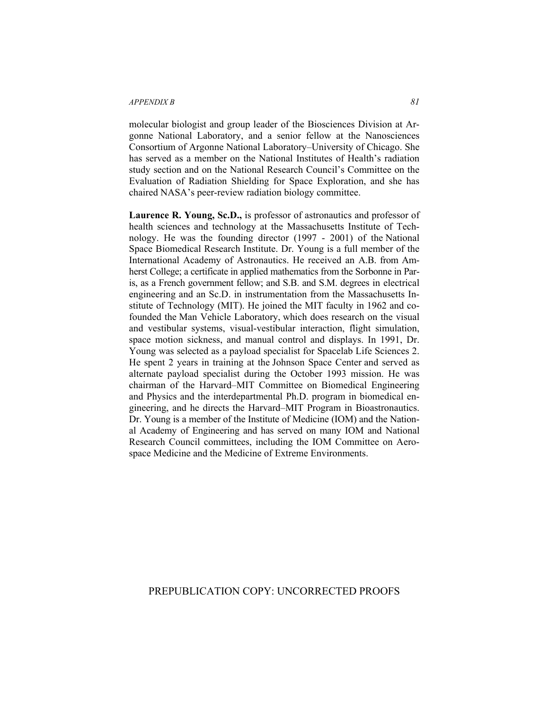#### *APPENDIX B 79*

nia State University and his Ph.D. in biology (physiology) from the University of North Texas. He chaired the National Research Council (NRC) Decadal Survey on Biological and Physical Sciences in Space: Integrative and Translational Research for the Human System Panel and chaired an Institute of Medicine (IOM) report on NASA's directed research programs in 2012. He has served on several NRC and IOM committees and recently completed rotations on the IOM's Committee on Aerospace Medicine and the Medicine of Extreme Environments and the NRC's Space Studies Board.

**Robert L. Satcher, Jr., M.D., Ph.D.,** is an assistant professor of surgical oncology at MD Anderson Cancer Center. He earned a Ph.D. in chemical engineering from the Massachusetts Institute of Technology in 1993 and an M.D. from Harvard Medical School in 1994. His medical specialties are orthopedics and oncology, and he has done much work in treating bone cancer in adults and children. Selected as an astronaut candidate by NASA in 2004, he completed his training 2 years later. He was aboard the space shuttle *Atlantis* that journeyed to the International Space Station for almost 11 days in November 2009. Classified as a mission specialist, he studied the influence of zero gravity on muscles and bone density as well as the effects of space on the immune system. He also used his surgical training to install an antenna and help repair two robotic arms on the space station. Dr. Satcher is director of the eHealth Research Institute at Texas Medical Center and a member of the User Panel at the National Space and Biomedical Research Institute (NSBRI). He is a frequent reviewer and adviser for medical issues related to spaceflight.

**Randall Shumaker, Ph.D.,** is the director of the University of Central Florida's Institute for Simulation & Training and a former Naval Research Laboratory executive. He is an expert on artificial intelligence and human-robot interactions, including in health, security and military applications. He has also explored the challenges and comfort levels of humans accepting various roles that robots can play in society. Dr. Shumaker's research interests include artificial intelligence, biomorphic computing methods, and advanced techniques for software development. He is a frequent reviewer and adviser for military research programs and has had significant success in transitioning research from academia into government and industry. Dr. Shumaker is the author of more than 60 scientific publications and is a frequent speaker on a variety of technical topics. Previously, he served as superintendent of the Information Technology